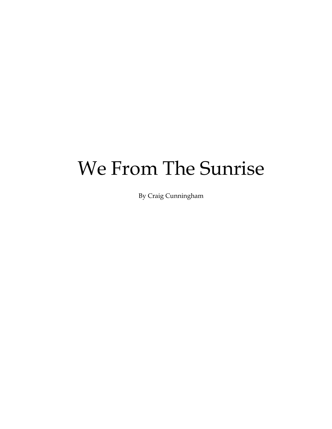## We From The Sunrise

By Craig Cunningham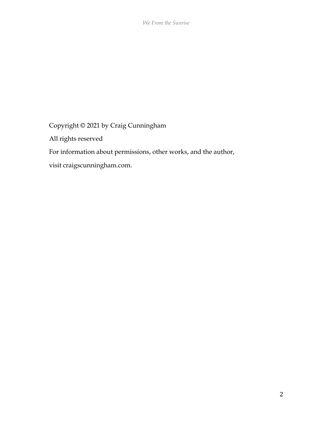Copyright © 2021 by Craig Cunningham

All rights reserved

For information about permissions, other works, and the author,

visit craigscunningham.com.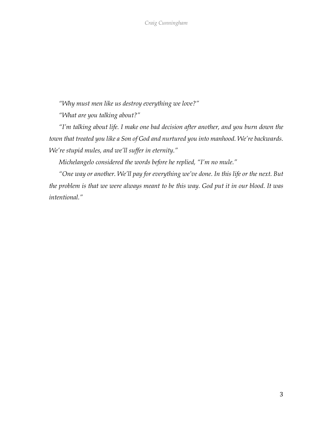*"Why must men like us destroy everything we love?"*

*"What are you talking about?"*

*"I'm talking about life. I make one bad decision after another, and you burn down the town that treated you like a Son of God and nurtured you into manhood. We're backwards. We're stupid mules, and we'll suffer in eternity."*

*Michelangelo considered the words before he replied, "I'm no mule."*

*"One way or another. We'll pay for everything we've done. In this life or the next. But the problem is that we were always meant to be this way. God put it in our blood. It was intentional."*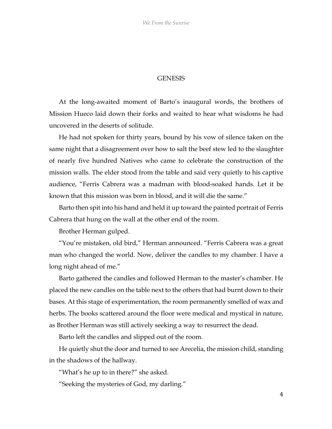## **GENESIS**

At the long-awaited moment of Barto's inaugural words, the brothers of Mission Hueco laid down their forks and waited to hear what wisdoms he had uncovered in the deserts of solitude.

He had not spoken for thirty years, bound by his vow of silence taken on the same night that a disagreement over how to salt the beef stew led to the slaughter of nearly five hundred Natives who came to celebrate the construction of the mission walls. The elder stood from the table and said very quietly to his captive audience, "Ferris Cabrera was a madman with blood-soaked hands. Let it be known that this mission was born in blood, and it will die the same."

Barto then spit into his hand and held it up toward the painted portrait of Ferris Cabrera that hung on the wall at the other end of the room.

Brother Herman gulped.

"You're mistaken, old bird," Herman announced. "Ferris Cabrera was a great man who changed the world. Now, deliver the candles to my chamber. I have a long night ahead of me."

Barto gathered the candles and followed Herman to the master's chamber. He placed the new candles on the table next to the others that had burnt down to their bases. At this stage of experimentation, the room permanently smelled of wax and herbs. The books scattered around the floor were medical and mystical in nature, as Brother Herman was still actively seeking a way to resurrect the dead.

Barto left the candles and slipped out of the room.

He quietly shut the door and turned to see Arecelia, the mission child, standing in the shadows of the hallway.

"What's he up to in there?" she asked.

"Seeking the mysteries of God, my darling."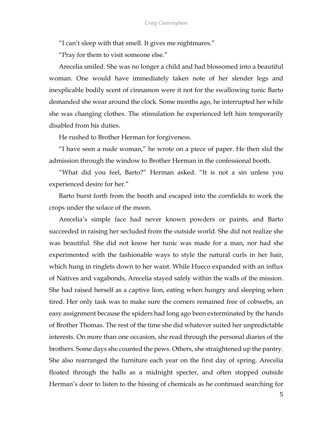"I can't sleep with that smell. It gives me nightmares."

"Pray for them to visit someone else."

Arecelia smiled. She was no longer a child and had blossomed into a beautiful woman. One would have immediately taken note of her slender legs and inexplicable bodily scent of cinnamon were it not for the swallowing tunic Barto demanded she wear around the clock. Some months ago, he interrupted her while she was changing clothes. The stimulation he experienced left him temporarily disabled from his duties.

He rushed to Brother Herman for forgiveness.

"I have seen a nude woman," he wrote on a piece of paper. He then slid the admission through the window to Brother Herman in the confessional booth.

"What did you feel, Barto?" Herman asked. "It is not a sin unless you experienced desire for her."

Barto burst forth from the booth and escaped into the cornfields to work the crops under the solace of the moon.

Arecelia's simple face had never known powders or paints, and Barto succeeded in raising her secluded from the outside world. She did not realize she was beautiful. She did not know her tunic was made for a man, nor had she experimented with the fashionable ways to style the natural curls in her hair, which hung in ringlets down to her waist. While Hueco expanded with an influx of Natives and vagabonds, Arecelia stayed safely within the walls of the mission. She had raised herself as a captive lion, eating when hungry and sleeping when tired. Her only task was to make sure the corners remained free of cobwebs, an easy assignment because the spiders had long ago been exterminated by the hands of Brother Thomas. The rest of the time she did whatever suited her unpredictable interests. On more than one occasion, she read through the personal diaries of the brothers. Some days she counted the pews. Others, she straightened up the pantry. She also rearranged the furniture each year on the first day of spring. Arecelia floated through the halls as a midnight specter, and often stopped outside Herman's door to listen to the hissing of chemicals as he continued searching for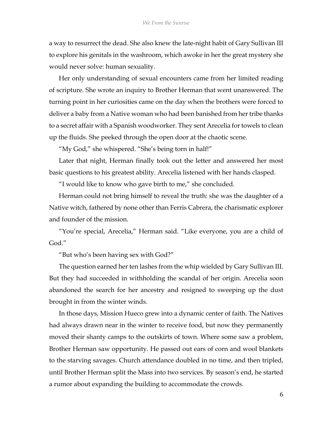a way to resurrect the dead. She also knew the late-night habit of Gary Sullivan III to explore his genitals in the washroom, which awoke in her the great mystery she would never solve: human sexuality.

Her only understanding of sexual encounters came from her limited reading of scripture. She wrote an inquiry to Brother Herman that went unanswered. The turning point in her curiosities came on the day when the brothers were forced to deliver a baby from a Native woman who had been banished from her tribe thanks to a secret affair with a Spanish woodworker. They sent Arecelia for towels to clean up the fluids. She peeked through the open door at the chaotic scene.

"My God," she whispered. "She's being torn in half!"

Later that night, Herman finally took out the letter and answered her most basic questions to his greatest ability. Arecelia listened with her hands clasped.

"I would like to know who gave birth to me," she concluded.

Herman could not bring himself to reveal the truth: she was the daughter of a Native witch, fathered by none other than Ferris Cabrera, the charismatic explorer and founder of the mission.

"You're special, Arecelia," Herman said. "Like everyone, you are a child of God."

"But who's been having sex with God?"

The question earned her ten lashes from the whip wielded by Gary Sullivan III. But they had succeeded in withholding the scandal of her origin. Arecelia soon abandoned the search for her ancestry and resigned to sweeping up the dust brought in from the winter winds.

In those days, Mission Hueco grew into a dynamic center of faith. The Natives had always drawn near in the winter to receive food, but now they permanently moved their shanty camps to the outskirts of town. Where some saw a problem, Brother Herman saw opportunity. He passed out ears of corn and wool blankets to the starving savages. Church attendance doubled in no time, and then tripled, until Brother Herman split the Mass into two services. By season's end, he started a rumor about expanding the building to accommodate the crowds.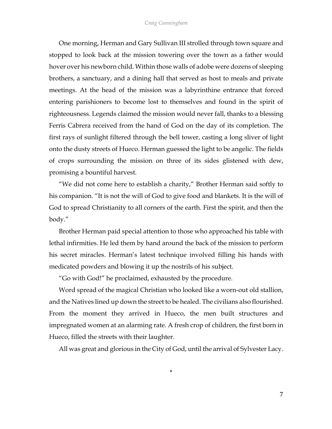One morning, Herman and Gary Sullivan III strolled through town square and stopped to look back at the mission towering over the town as a father would hover over his newborn child. Within those walls of adobe were dozens of sleeping brothers, a sanctuary, and a dining hall that served as host to meals and private meetings. At the head of the mission was a labyrinthine entrance that forced entering parishioners to become lost to themselves and found in the spirit of righteousness. Legends claimed the mission would never fall, thanks to a blessing Ferris Cabrera received from the hand of God on the day of its completion. The first rays of sunlight filtered through the bell tower, casting a long sliver of light onto the dusty streets of Hueco. Herman guessed the light to be angelic. The fields of crops surrounding the mission on three of its sides glistened with dew, promising a bountiful harvest.

"We did not come here to establish a charity," Brother Herman said softly to his companion. "It is not the will of God to give food and blankets. It is the will of God to spread Christianity to all corners of the earth. First the spirit, and then the body."

Brother Herman paid special attention to those who approached his table with lethal infirmities. He led them by hand around the back of the mission to perform his secret miracles. Herman's latest technique involved filling his hands with medicated powders and blowing it up the nostrils of his subject.

"Go with God!" he proclaimed, exhausted by the procedure.

Word spread of the magical Christian who looked like a worn-out old stallion, and the Natives lined up down the street to be healed. The civilians also flourished. From the moment they arrived in Hueco, the men built structures and impregnated women at an alarming rate. A fresh crop of children, the first born in Hueco, filled the streets with their laughter.

All was great and glorious in the City of God, until the arrival of Sylvester Lacy.

\*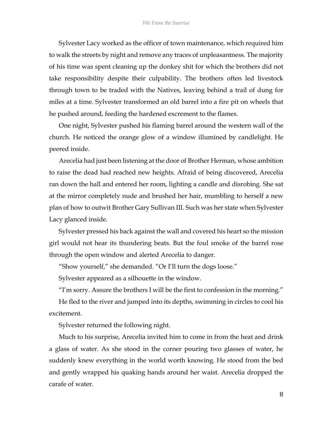Sylvester Lacy worked as the officer of town maintenance, which required him to walk the streets by night and remove any traces of unpleasantness. The majority of his time was spent cleaning up the donkey shit for which the brothers did not take responsibility despite their culpability. The brothers often led livestock through town to be traded with the Natives, leaving behind a trail of dung for miles at a time. Sylvester transformed an old barrel into a fire pit on wheels that he pushed around, feeding the hardened excrement to the flames.

One night, Sylvester pushed his flaming barrel around the western wall of the church. He noticed the orange glow of a window illumined by candlelight. He peered inside.

Arecelia had just been listening at the door of Brother Herman, whose ambition to raise the dead had reached new heights. Afraid of being discovered, Arecelia ran down the hall and entered her room, lighting a candle and disrobing. She sat at the mirror completely nude and brushed her hair, mumbling to herself a new plan of how to outwit Brother Gary Sullivan III. Such was her state when Sylvester Lacy glanced inside.

Sylvester pressed his back against the wall and covered his heart so the mission girl would not hear its thundering beats. But the foul smoke of the barrel rose through the open window and alerted Arecelia to danger.

"Show yourself," she demanded. "Or I'll turn the dogs loose."

Sylvester appeared as a silhouette in the window.

"I'm sorry. Assure the brothers I will be the first to confession in the morning."

He fled to the river and jumped into its depths, swimming in circles to cool his excitement.

Sylvester returned the following night.

Much to his surprise, Arecelia invited him to come in from the heat and drink a glass of water. As she stood in the corner pouring two glasses of water, he suddenly knew everything in the world worth knowing. He stood from the bed and gently wrapped his quaking hands around her waist. Arecelia dropped the carafe of water.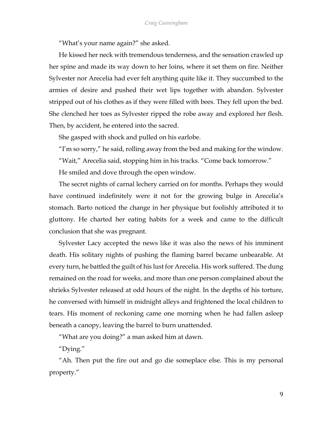"What's your name again?" she asked.

He kissed her neck with tremendous tenderness, and the sensation crawled up her spine and made its way down to her loins, where it set them on fire. Neither Sylvester nor Arecelia had ever felt anything quite like it. They succumbed to the armies of desire and pushed their wet lips together with abandon. Sylvester stripped out of his clothes as if they were filled with bees. They fell upon the bed. She clenched her toes as Sylvester ripped the robe away and explored her flesh. Then, by accident, he entered into the sacred.

She gasped with shock and pulled on his earlobe.

"I'm so sorry," he said, rolling away from the bed and making for the window.

"Wait," Arecelia said, stopping him in his tracks. "Come back tomorrow."

He smiled and dove through the open window.

The secret nights of carnal lechery carried on for months. Perhaps they would have continued indefinitely were it not for the growing bulge in Arecelia's stomach. Barto noticed the change in her physique but foolishly attributed it to gluttony. He charted her eating habits for a week and came to the difficult conclusion that she was pregnant.

Sylvester Lacy accepted the news like it was also the news of his imminent death. His solitary nights of pushing the flaming barrel became unbearable. At every turn, he battled the guilt of his lust for Arecelia. His work suffered. The dung remained on the road for weeks, and more than one person complained about the shrieks Sylvester released at odd hours of the night. In the depths of his torture, he conversed with himself in midnight alleys and frightened the local children to tears. His moment of reckoning came one morning when he had fallen asleep beneath a canopy, leaving the barrel to burn unattended.

"What are you doing?" a man asked him at dawn.

"Dying."

"Ah. Then put the fire out and go die someplace else. This is my personal property."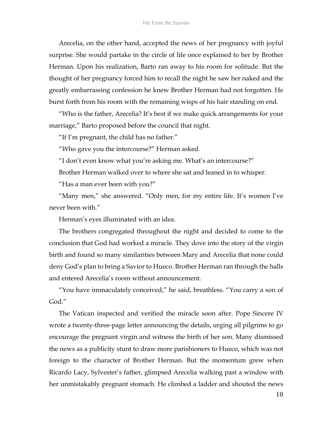Arecelia, on the other hand, accepted the news of her pregnancy with joyful surprise. She would partake in the circle of life once explained to her by Brother Herman. Upon his realization, Barto ran away to his room for solitude. But the thought of her pregnancy forced him to recall the night he saw her naked and the greatly embarrassing confession he knew Brother Herman had not forgotten. He burst forth from his room with the remaining wisps of his hair standing on end.

"Who is the father, Arecelia? It's best if we make quick arrangements for your marriage," Barto proposed before the council that night.

"If I'm pregnant, the child has no father."

"Who gave you the intercourse?" Herman asked.

"I don't even know what you're asking me. What's an intercourse?"

Brother Herman walked over to where she sat and leaned in to whisper.

"Has a man ever been with you?"

"Many men," she answered. "Only men, for my entire life. It's women I've never been with."

Herman's eyes illuminated with an idea.

The brothers congregated throughout the night and decided to come to the conclusion that God had worked a miracle. They dove into the story of the virgin birth and found so many similarities between Mary and Arecelia that none could deny God's plan to bring a Savior to Hueco. Brother Herman ran through the halls and entered Arecelia's room without announcement.

"You have immaculately conceived," he said, breathless. "You carry a son of God."

The Vatican inspected and verified the miracle soon after. Pope Sincere IV wrote a twenty-three-page letter announcing the details, urging all pilgrims to go encourage the pregnant virgin and witness the birth of her son. Many dismissed the news as a publicity stunt to draw more parishioners to Hueco, which was not foreign to the character of Brother Herman. But the momentum grew when Ricardo Lacy, Sylvester's father, glimpsed Arecelia walking past a window with her unmistakably pregnant stomach. He climbed a ladder and shouted the news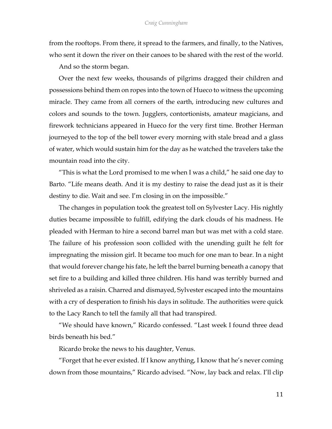from the rooftops. From there, it spread to the farmers, and finally, to the Natives, who sent it down the river on their canoes to be shared with the rest of the world.

And so the storm began.

Over the next few weeks, thousands of pilgrims dragged their children and possessions behind them on ropes into the town of Hueco to witness the upcoming miracle. They came from all corners of the earth, introducing new cultures and colors and sounds to the town. Jugglers, contortionists, amateur magicians, and firework technicians appeared in Hueco for the very first time. Brother Herman journeyed to the top of the bell tower every morning with stale bread and a glass of water, which would sustain him for the day as he watched the travelers take the mountain road into the city.

"This is what the Lord promised to me when I was a child," he said one day to Barto. "Life means death. And it is my destiny to raise the dead just as it is their destiny to die. Wait and see. I'm closing in on the impossible."

The changes in population took the greatest toll on Sylvester Lacy. His nightly duties became impossible to fulfill, edifying the dark clouds of his madness. He pleaded with Herman to hire a second barrel man but was met with a cold stare. The failure of his profession soon collided with the unending guilt he felt for impregnating the mission girl. It became too much for one man to bear. In a night that would forever change his fate, he left the barrel burning beneath a canopy that set fire to a building and killed three children. His hand was terribly burned and shriveled as a raisin. Charred and dismayed, Sylvester escaped into the mountains with a cry of desperation to finish his days in solitude. The authorities were quick to the Lacy Ranch to tell the family all that had transpired.

"We should have known," Ricardo confessed. "Last week I found three dead birds beneath his bed."

Ricardo broke the news to his daughter, Venus.

"Forget that he ever existed. If I know anything, I know that he's never coming down from those mountains," Ricardo advised. "Now, lay back and relax. I'll clip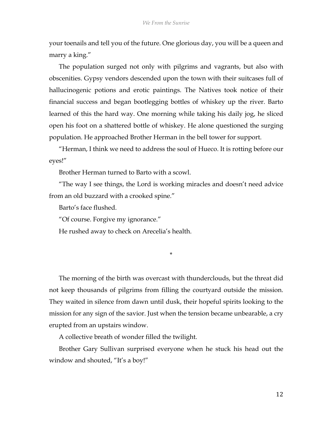your toenails and tell you of the future. One glorious day, you will be a queen and marry a king."

The population surged not only with pilgrims and vagrants, but also with obscenities. Gypsy vendors descended upon the town with their suitcases full of hallucinogenic potions and erotic paintings. The Natives took notice of their financial success and began bootlegging bottles of whiskey up the river. Barto learned of this the hard way. One morning while taking his daily jog, he sliced open his foot on a shattered bottle of whiskey. He alone questioned the surging population. He approached Brother Herman in the bell tower for support.

"Herman, I think we need to address the soul of Hueco. It is rotting before our eyes!"

Brother Herman turned to Barto with a scowl.

"The way I see things, the Lord is working miracles and doesn't need advice from an old buzzard with a crooked spine."

Barto's face flushed.

"Of course. Forgive my ignorance."

He rushed away to check on Arecelia's health.

\*

The morning of the birth was overcast with thunderclouds, but the threat did not keep thousands of pilgrims from filling the courtyard outside the mission. They waited in silence from dawn until dusk, their hopeful spirits looking to the mission for any sign of the savior. Just when the tension became unbearable, a cry erupted from an upstairs window.

A collective breath of wonder filled the twilight.

Brother Gary Sullivan surprised everyone when he stuck his head out the window and shouted, "It's a boy!"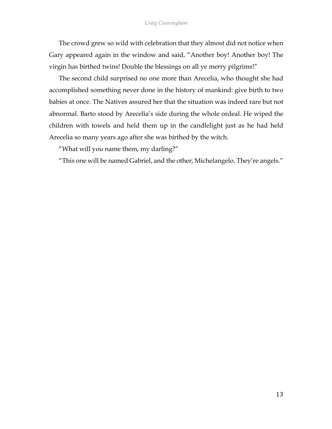The crowd grew so wild with celebration that they almost did not notice when Gary appeared again in the window and said, "Another boy! Another boy! The virgin has birthed twins! Double the blessings on all ye merry pilgrims!"

The second child surprised no one more than Arecelia, who thought she had accomplished something never done in the history of mankind: give birth to two babies at once. The Natives assured her that the situation was indeed rare but not abnormal. Barto stood by Arecelia's side during the whole ordeal. He wiped the children with towels and held them up in the candlelight just as he had held Arecelia so many years ago after she was birthed by the witch.

"What will you name them, my darling?"

"This one will be named Gabriel, and the other, Michelangelo. They're angels."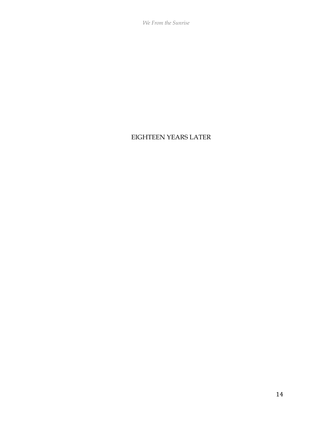*We From the Sunrise*

## EIGHTEEN YEARS LATER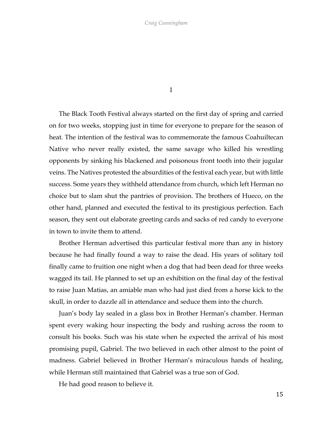I

The Black Tooth Festival always started on the first day of spring and carried on for two weeks, stopping just in time for everyone to prepare for the season of heat. The intention of the festival was to commemorate the famous Coahuiltecan Native who never really existed, the same savage who killed his wrestling opponents by sinking his blackened and poisonous front tooth into their jugular veins. The Natives protested the absurdities of the festival each year, but with little success. Some years they withheld attendance from church, which left Herman no choice but to slam shut the pantries of provision. The brothers of Hueco, on the other hand, planned and executed the festival to its prestigious perfection. Each season, they sent out elaborate greeting cards and sacks of red candy to everyone in town to invite them to attend.

Brother Herman advertised this particular festival more than any in history because he had finally found a way to raise the dead. His years of solitary toil finally came to fruition one night when a dog that had been dead for three weeks wagged its tail. He planned to set up an exhibition on the final day of the festival to raise Juan Matias, an amiable man who had just died from a horse kick to the skull, in order to dazzle all in attendance and seduce them into the church.

Juan's body lay sealed in a glass box in Brother Herman's chamber. Herman spent every waking hour inspecting the body and rushing across the room to consult his books. Such was his state when he expected the arrival of his most promising pupil, Gabriel. The two believed in each other almost to the point of madness. Gabriel believed in Brother Herman's miraculous hands of healing, while Herman still maintained that Gabriel was a true son of God.

He had good reason to believe it.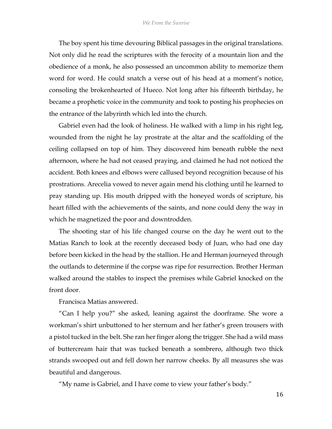The boy spent his time devouring Biblical passages in the original translations. Not only did he read the scriptures with the ferocity of a mountain lion and the obedience of a monk, he also possessed an uncommon ability to memorize them word for word. He could snatch a verse out of his head at a moment's notice, consoling the brokenhearted of Hueco. Not long after his fifteenth birthday, he became a prophetic voice in the community and took to posting his prophecies on the entrance of the labyrinth which led into the church.

Gabriel even had the look of holiness. He walked with a limp in his right leg, wounded from the night he lay prostrate at the altar and the scaffolding of the ceiling collapsed on top of him. They discovered him beneath rubble the next afternoon, where he had not ceased praying, and claimed he had not noticed the accident. Both knees and elbows were callused beyond recognition because of his prostrations. Arecelia vowed to never again mend his clothing until he learned to pray standing up. His mouth dripped with the honeyed words of scripture, his heart filled with the achievements of the saints, and none could deny the way in which he magnetized the poor and downtrodden.

The shooting star of his life changed course on the day he went out to the Matias Ranch to look at the recently deceased body of Juan, who had one day before been kicked in the head by the stallion. He and Herman journeyed through the outlands to determine if the corpse was ripe for resurrection. Brother Herman walked around the stables to inspect the premises while Gabriel knocked on the front door.

Francisca Matias answered.

"Can I help you?" she asked, leaning against the doorframe. She wore a workman's shirt unbuttoned to her sternum and her father's green trousers with a pistol tucked in the belt. She ran her finger along the trigger. She had a wild mass of buttercream hair that was tucked beneath a sombrero, although two thick strands swooped out and fell down her narrow cheeks. By all measures she was beautiful and dangerous.

"My name is Gabriel, and I have come to view your father's body."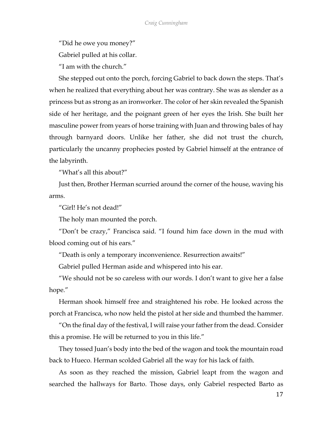"Did he owe you money?"

Gabriel pulled at his collar.

"I am with the church."

She stepped out onto the porch, forcing Gabriel to back down the steps. That's when he realized that everything about her was contrary. She was as slender as a princess but as strong as an ironworker. The color of her skin revealed the Spanish side of her heritage, and the poignant green of her eyes the Irish. She built her masculine power from years of horse training with Juan and throwing bales of hay through barnyard doors. Unlike her father, she did not trust the church, particularly the uncanny prophecies posted by Gabriel himself at the entrance of the labyrinth.

"What's all this about?"

Just then, Brother Herman scurried around the corner of the house, waving his arms.

"Girl! He's not dead!"

The holy man mounted the porch.

"Don't be crazy," Francisca said. "I found him face down in the mud with blood coming out of his ears."

"Death is only a temporary inconvenience. Resurrection awaits!"

Gabriel pulled Herman aside and whispered into his ear.

"We should not be so careless with our words. I don't want to give her a false hope."

Herman shook himself free and straightened his robe. He looked across the porch at Francisca, who now held the pistol at her side and thumbed the hammer.

"On the final day of the festival, I will raise your father from the dead. Consider this a promise. He will be returned to you in this life."

They tossed Juan's body into the bed of the wagon and took the mountain road back to Hueco. Herman scolded Gabriel all the way for his lack of faith.

As soon as they reached the mission, Gabriel leapt from the wagon and searched the hallways for Barto. Those days, only Gabriel respected Barto as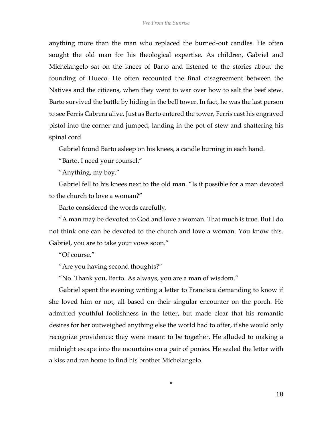anything more than the man who replaced the burned-out candles. He often sought the old man for his theological expertise. As children, Gabriel and Michelangelo sat on the knees of Barto and listened to the stories about the founding of Hueco. He often recounted the final disagreement between the Natives and the citizens, when they went to war over how to salt the beef stew. Barto survived the battle by hiding in the bell tower. In fact, he was the last person to see Ferris Cabrera alive. Just as Barto entered the tower, Ferris cast his engraved pistol into the corner and jumped, landing in the pot of stew and shattering his spinal cord.

Gabriel found Barto asleep on his knees, a candle burning in each hand.

"Barto. I need your counsel."

"Anything, my boy."

Gabriel fell to his knees next to the old man. "Is it possible for a man devoted to the church to love a woman?"

Barto considered the words carefully.

"A man may be devoted to God and love a woman. That much is true. But I do not think one can be devoted to the church and love a woman. You know this. Gabriel, you are to take your vows soon."

"Of course."

"Are you having second thoughts?"

"No. Thank you, Barto. As always, you are a man of wisdom."

Gabriel spent the evening writing a letter to Francisca demanding to know if she loved him or not, all based on their singular encounter on the porch. He admitted youthful foolishness in the letter, but made clear that his romantic desires for her outweighed anything else the world had to offer, if she would only recognize providence: they were meant to be together. He alluded to making a midnight escape into the mountains on a pair of ponies. He sealed the letter with a kiss and ran home to find his brother Michelangelo.

\*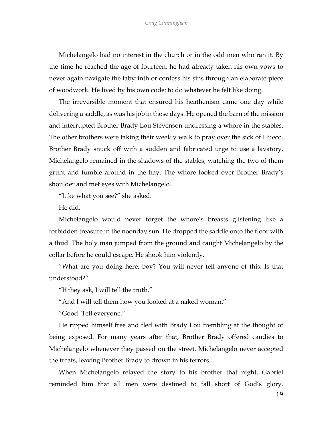Michelangelo had no interest in the church or in the odd men who ran it. By the time he reached the age of fourteen, he had already taken his own vows to never again navigate the labyrinth or confess his sins through an elaborate piece of woodwork. He lived by his own code: to do whatever he felt like doing.

The irreversible moment that ensured his heathenism came one day while delivering a saddle, as was his job in those days. He opened the barn of the mission and interrupted Brother Brady Lou Stevenson undressing a whore in the stables. The other brothers were taking their weekly walk to pray over the sick of Hueco. Brother Brady snuck off with a sudden and fabricated urge to use a lavatory. Michelangelo remained in the shadows of the stables, watching the two of them grunt and fumble around in the hay. The whore looked over Brother Brady's shoulder and met eyes with Michelangelo.

"Like what you see?" she asked.

He did.

Michelangelo would never forget the whore's breasts glistening like a forbidden treasure in the noonday sun. He dropped the saddle onto the floor with a thud. The holy man jumped from the ground and caught Michelangelo by the collar before he could escape. He shook him violently.

"What are you doing here, boy? You will never tell anyone of this. Is that understood?"

"If they ask, I will tell the truth."

"And I will tell them how you looked at a naked woman."

"Good. Tell everyone."

He ripped himself free and fled with Brady Lou trembling at the thought of being exposed. For many years after that, Brother Brady offered candies to Michelangelo whenever they passed on the street. Michelangelo never accepted the treats, leaving Brother Brady to drown in his terrors.

When Michelangelo relayed the story to his brother that night, Gabriel reminded him that all men were destined to fall short of God's glory.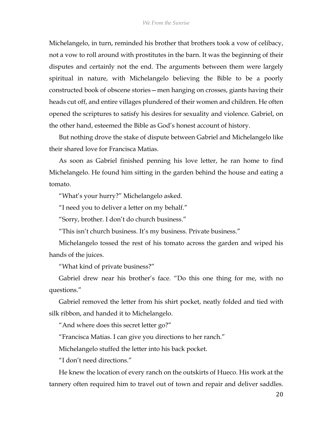Michelangelo, in turn, reminded his brother that brothers took a vow of celibacy, not a vow to roll around with prostitutes in the barn. It was the beginning of their disputes and certainly not the end. The arguments between them were largely spiritual in nature, with Michelangelo believing the Bible to be a poorly constructed book of obscene stories—men hanging on crosses, giants having their heads cut off, and entire villages plundered of their women and children. He often opened the scriptures to satisfy his desires for sexuality and violence. Gabriel, on the other hand, esteemed the Bible as God's honest account of history.

But nothing drove the stake of dispute between Gabriel and Michelangelo like their shared love for Francisca Matias.

As soon as Gabriel finished penning his love letter, he ran home to find Michelangelo. He found him sitting in the garden behind the house and eating a tomato.

"What's your hurry?" Michelangelo asked.

"I need you to deliver a letter on my behalf."

"Sorry, brother. I don't do church business."

"This isn't church business. It's my business. Private business."

Michelangelo tossed the rest of his tomato across the garden and wiped his hands of the juices.

"What kind of private business?"

Gabriel drew near his brother's face. "Do this one thing for me, with no questions."

Gabriel removed the letter from his shirt pocket, neatly folded and tied with silk ribbon, and handed it to Michelangelo.

"And where does this secret letter go?"

"Francisca Matias. I can give you directions to her ranch."

Michelangelo stuffed the letter into his back pocket.

"I don't need directions."

He knew the location of every ranch on the outskirts of Hueco. His work at the tannery often required him to travel out of town and repair and deliver saddles.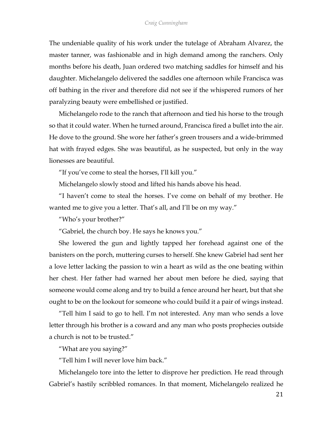The undeniable quality of his work under the tutelage of Abraham Alvarez, the master tanner, was fashionable and in high demand among the ranchers. Only months before his death, Juan ordered two matching saddles for himself and his daughter. Michelangelo delivered the saddles one afternoon while Francisca was off bathing in the river and therefore did not see if the whispered rumors of her paralyzing beauty were embellished or justified.

Michelangelo rode to the ranch that afternoon and tied his horse to the trough so that it could water. When he turned around, Francisca fired a bullet into the air. He dove to the ground. She wore her father's green trousers and a wide-brimmed hat with frayed edges. She was beautiful, as he suspected, but only in the way lionesses are beautiful.

"If you've come to steal the horses, I'll kill you."

Michelangelo slowly stood and lifted his hands above his head.

"I haven't come to steal the horses. I've come on behalf of my brother. He wanted me to give you a letter. That's all, and I'll be on my way."

"Who's your brother?"

"Gabriel, the church boy. He says he knows you."

She lowered the gun and lightly tapped her forehead against one of the banisters on the porch, muttering curses to herself. She knew Gabriel had sent her a love letter lacking the passion to win a heart as wild as the one beating within her chest. Her father had warned her about men before he died, saying that someone would come along and try to build a fence around her heart, but that she ought to be on the lookout for someone who could build it a pair of wings instead.

"Tell him I said to go to hell. I'm not interested. Any man who sends a love letter through his brother is a coward and any man who posts prophecies outside a church is not to be trusted."

"What are you saying?"

"Tell him I will never love him back."

Michelangelo tore into the letter to disprove her prediction. He read through Gabriel's hastily scribbled romances. In that moment, Michelangelo realized he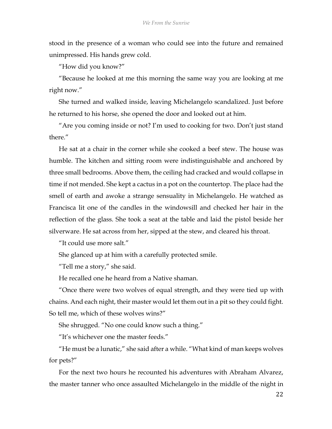stood in the presence of a woman who could see into the future and remained unimpressed. His hands grew cold.

"How did you know?"

"Because he looked at me this morning the same way you are looking at me right now."

She turned and walked inside, leaving Michelangelo scandalized. Just before he returned to his horse, she opened the door and looked out at him.

"Are you coming inside or not? I'm used to cooking for two. Don't just stand there."

He sat at a chair in the corner while she cooked a beef stew. The house was humble. The kitchen and sitting room were indistinguishable and anchored by three small bedrooms. Above them, the ceiling had cracked and would collapse in time if not mended. She kept a cactus in a pot on the countertop. The place had the smell of earth and awoke a strange sensuality in Michelangelo. He watched as Francisca lit one of the candles in the windowsill and checked her hair in the reflection of the glass. She took a seat at the table and laid the pistol beside her silverware. He sat across from her, sipped at the stew, and cleared his throat.

"It could use more salt."

She glanced up at him with a carefully protected smile.

"Tell me a story," she said.

He recalled one he heard from a Native shaman.

"Once there were two wolves of equal strength, and they were tied up with chains. And each night, their master would let them out in a pit so they could fight. So tell me, which of these wolves wins?"

She shrugged. "No one could know such a thing."

"It's whichever one the master feeds."

"He must be a lunatic," she said after a while. "What kind of man keeps wolves for pets?"

For the next two hours he recounted his adventures with Abraham Alvarez, the master tanner who once assaulted Michelangelo in the middle of the night in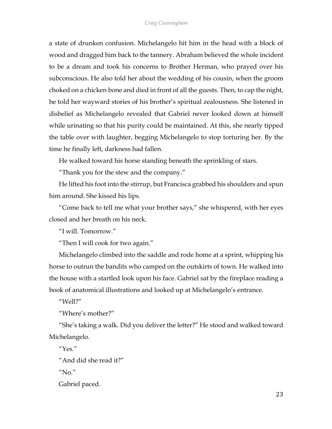a state of drunken confusion. Michelangelo hit him in the head with a block of wood and dragged him back to the tannery. Abraham believed the whole incident to be a dream and took his concerns to Brother Herman, who prayed over his subconscious. He also told her about the wedding of his cousin, when the groom choked on a chicken bone and died in front of all the guests. Then, to cap the night, he told her wayward stories of his brother's spiritual zealousness. She listened in disbelief as Michelangelo revealed that Gabriel never looked down at himself while urinating so that his purity could be maintained. At this, she nearly tipped the table over with laughter, begging Michelangelo to stop torturing her. By the time he finally left, darkness had fallen.

He walked toward his horse standing beneath the sprinkling of stars.

"Thank you for the stew and the company."

He lifted his foot into the stirrup, but Francisca grabbed his shoulders and spun him around. She kissed his lips.

"Come back to tell me what your brother says," she whispered, with her eyes closed and her breath on his neck.

"I will. Tomorrow."

"Then I will cook for two again."

Michelangelo climbed into the saddle and rode home at a sprint, whipping his horse to outrun the bandits who camped on the outskirts of town. He walked into the house with a startled look upon his face. Gabriel sat by the fireplace reading a book of anatomical illustrations and looked up at Michelangelo's entrance.

"Well?"

"Where's mother?"

"She's taking a walk. Did you deliver the letter?" He stood and walked toward Michelangelo.

"Yes."

"And did she read it?"

 $''$ No."

Gabriel paced.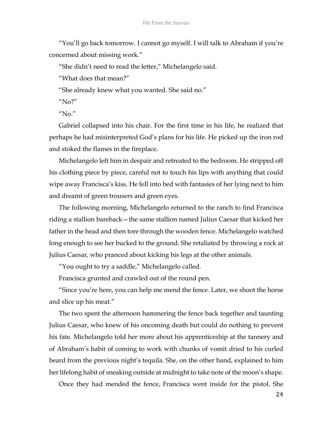"You'll go back tomorrow. I cannot go myself. I will talk to Abraham if you're concerned about missing work."

"She didn't need to read the letter," Michelangelo said.

"What does that mean?"

"She already knew what you wanted. She said no."

"No?"

" $N_0$ "

Gabriel collapsed into his chair. For the first time in his life, he realized that perhaps he had misinterpreted God's plans for his life. He picked up the iron rod and stoked the flames in the fireplace.

Michelangelo left him in despair and retreated to the bedroom. He stripped off his clothing piece by piece, careful not to touch his lips with anything that could wipe away Francisca's kiss. He fell into bed with fantasies of her lying next to him and dreamt of green trousers and green eyes.

The following morning, Michelangelo returned to the ranch to find Francisca riding a stallion bareback—the same stallion named Julius Caesar that kicked her father in the head and then tore through the wooden fence. Michelangelo watched long enough to see her bucked to the ground. She retaliated by throwing a rock at Julius Caesar, who pranced about kicking his legs at the other animals.

"You ought to try a saddle," Michelangelo called.

Francisca grunted and crawled out of the round pen.

"Since you're here, you can help me mend the fence. Later, we shoot the horse and slice up his meat."

The two spent the afternoon hammering the fence back together and taunting Julius Caesar, who knew of his oncoming death but could do nothing to prevent his fate. Michelangelo told her more about his apprenticeship at the tannery and of Abraham's habit of coming to work with chunks of vomit dried to his curled beard from the previous night's tequila. She, on the other hand, explained to him her lifelong habit of sneaking outside at midnight to take note of the moon's shape.

Once they had mended the fence, Francisca went inside for the pistol. She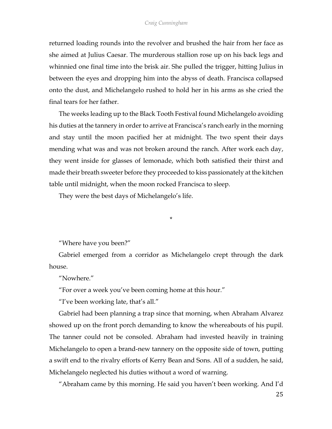returned loading rounds into the revolver and brushed the hair from her face as she aimed at Julius Caesar. The murderous stallion rose up on his back legs and whinnied one final time into the brisk air. She pulled the trigger, hitting Julius in between the eyes and dropping him into the abyss of death. Francisca collapsed onto the dust, and Michelangelo rushed to hold her in his arms as she cried the final tears for her father.

The weeks leading up to the Black Tooth Festival found Michelangelo avoiding his duties at the tannery in order to arrive at Francisca's ranch early in the morning and stay until the moon pacified her at midnight. The two spent their days mending what was and was not broken around the ranch. After work each day, they went inside for glasses of lemonade, which both satisfied their thirst and made their breath sweeter before they proceeded to kiss passionately at the kitchen table until midnight, when the moon rocked Francisca to sleep.

They were the best days of Michelangelo's life.

"Where have you been?"

Gabriel emerged from a corridor as Michelangelo crept through the dark house.

\*

"Nowhere."

"For over a week you've been coming home at this hour."

"I've been working late, that's all."

Gabriel had been planning a trap since that morning, when Abraham Alvarez showed up on the front porch demanding to know the whereabouts of his pupil. The tanner could not be consoled. Abraham had invested heavily in training Michelangelo to open a brand-new tannery on the opposite side of town, putting a swift end to the rivalry efforts of Kerry Bean and Sons. All of a sudden, he said, Michelangelo neglected his duties without a word of warning.

"Abraham came by this morning. He said you haven't been working. And I'd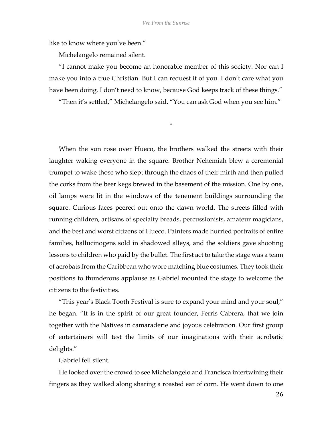like to know where you've been."

Michelangelo remained silent.

"I cannot make you become an honorable member of this society. Nor can I make you into a true Christian. But I can request it of you. I don't care what you have been doing. I don't need to know, because God keeps track of these things."

"Then it's settled," Michelangelo said. "You can ask God when you see him."

\*

When the sun rose over Hueco, the brothers walked the streets with their laughter waking everyone in the square. Brother Nehemiah blew a ceremonial trumpet to wake those who slept through the chaos of their mirth and then pulled the corks from the beer kegs brewed in the basement of the mission. One by one, oil lamps were lit in the windows of the tenement buildings surrounding the square. Curious faces peered out onto the dawn world. The streets filled with running children, artisans of specialty breads, percussionists, amateur magicians, and the best and worst citizens of Hueco. Painters made hurried portraits of entire families, hallucinogens sold in shadowed alleys, and the soldiers gave shooting lessons to children who paid by the bullet. The first act to take the stage was a team of acrobats from the Caribbean who wore matching blue costumes. They took their positions to thunderous applause as Gabriel mounted the stage to welcome the citizens to the festivities.

"This year's Black Tooth Festival is sure to expand your mind and your soul," he began. "It is in the spirit of our great founder, Ferris Cabrera, that we join together with the Natives in camaraderie and joyous celebration. Our first group of entertainers will test the limits of our imaginations with their acrobatic delights."

Gabriel fell silent.

He looked over the crowd to see Michelangelo and Francisca intertwining their fingers as they walked along sharing a roasted ear of corn. He went down to one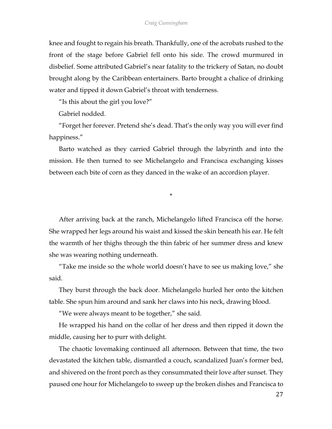knee and fought to regain his breath. Thankfully, one of the acrobats rushed to the front of the stage before Gabriel fell onto his side. The crowd murmured in disbelief. Some attributed Gabriel's near fatality to the trickery of Satan, no doubt brought along by the Caribbean entertainers. Barto brought a chalice of drinking water and tipped it down Gabriel's throat with tenderness.

"Is this about the girl you love?"

Gabriel nodded.

"Forget her forever. Pretend she's dead. That's the only way you will ever find happiness."

Barto watched as they carried Gabriel through the labyrinth and into the mission. He then turned to see Michelangelo and Francisca exchanging kisses between each bite of corn as they danced in the wake of an accordion player.

\*

After arriving back at the ranch, Michelangelo lifted Francisca off the horse. She wrapped her legs around his waist and kissed the skin beneath his ear. He felt the warmth of her thighs through the thin fabric of her summer dress and knew she was wearing nothing underneath.

"Take me inside so the whole world doesn't have to see us making love," she said.

They burst through the back door. Michelangelo hurled her onto the kitchen table. She spun him around and sank her claws into his neck, drawing blood.

"We were always meant to be together," she said.

He wrapped his hand on the collar of her dress and then ripped it down the middle, causing her to purr with delight.

The chaotic lovemaking continued all afternoon. Between that time, the two devastated the kitchen table, dismantled a couch, scandalized Juan's former bed, and shivered on the front porch as they consummated their love after sunset. They paused one hour for Michelangelo to sweep up the broken dishes and Francisca to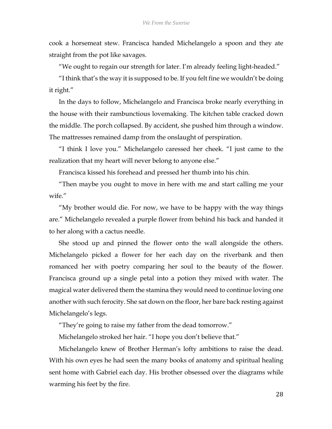cook a horsemeat stew. Francisca handed Michelangelo a spoon and they ate straight from the pot like savages.

"We ought to regain our strength for later. I'm already feeling light-headed."

"I think that's the way it is supposed to be. If you felt fine we wouldn't be doing it right."

In the days to follow, Michelangelo and Francisca broke nearly everything in the house with their rambunctious lovemaking. The kitchen table cracked down the middle. The porch collapsed. By accident, she pushed him through a window. The mattresses remained damp from the onslaught of perspiration.

"I think I love you." Michelangelo caressed her cheek. "I just came to the realization that my heart will never belong to anyone else."

Francisca kissed his forehead and pressed her thumb into his chin.

"Then maybe you ought to move in here with me and start calling me your wife"

"My brother would die. For now, we have to be happy with the way things are." Michelangelo revealed a purple flower from behind his back and handed it to her along with a cactus needle.

She stood up and pinned the flower onto the wall alongside the others. Michelangelo picked a flower for her each day on the riverbank and then romanced her with poetry comparing her soul to the beauty of the flower. Francisca ground up a single petal into a potion they mixed with water. The magical water delivered them the stamina they would need to continue loving one another with such ferocity. She sat down on the floor, her bare back resting against Michelangelo's legs.

"They're going to raise my father from the dead tomorrow."

Michelangelo stroked her hair. "I hope you don't believe that."

Michelangelo knew of Brother Herman's lofty ambitions to raise the dead. With his own eyes he had seen the many books of anatomy and spiritual healing sent home with Gabriel each day. His brother obsessed over the diagrams while warming his feet by the fire.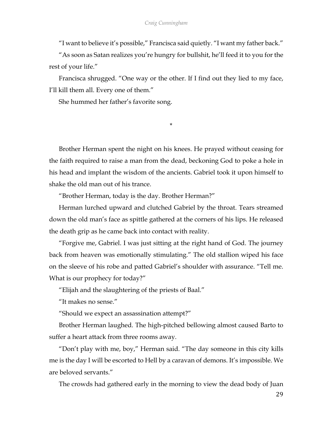"I want to believe it's possible," Francisca said quietly. "I want my father back."

"As soon as Satan realizes you're hungry for bullshit, he'll feed it to you for the rest of your life."

Francisca shrugged. "One way or the other. If I find out they lied to my face, I'll kill them all. Every one of them."

She hummed her father's favorite song.

\*

Brother Herman spent the night on his knees. He prayed without ceasing for the faith required to raise a man from the dead, beckoning God to poke a hole in his head and implant the wisdom of the ancients. Gabriel took it upon himself to shake the old man out of his trance.

"Brother Herman, today is the day. Brother Herman?"

Herman lurched upward and clutched Gabriel by the throat. Tears streamed down the old man's face as spittle gathered at the corners of his lips. He released the death grip as he came back into contact with reality.

"Forgive me, Gabriel. I was just sitting at the right hand of God. The journey back from heaven was emotionally stimulating." The old stallion wiped his face on the sleeve of his robe and patted Gabriel's shoulder with assurance. "Tell me. What is our prophecy for today?"

"Elijah and the slaughtering of the priests of Baal."

"It makes no sense."

"Should we expect an assassination attempt?"

Brother Herman laughed. The high-pitched bellowing almost caused Barto to suffer a heart attack from three rooms away.

"Don't play with me, boy," Herman said. "The day someone in this city kills me is the day I will be escorted to Hell by a caravan of demons. It's impossible. We are beloved servants."

The crowds had gathered early in the morning to view the dead body of Juan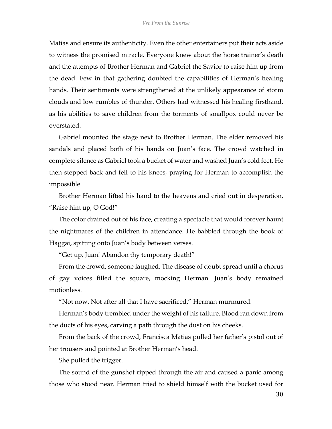Matias and ensure its authenticity. Even the other entertainers put their acts aside to witness the promised miracle. Everyone knew about the horse trainer's death and the attempts of Brother Herman and Gabriel the Savior to raise him up from the dead. Few in that gathering doubted the capabilities of Herman's healing hands. Their sentiments were strengthened at the unlikely appearance of storm clouds and low rumbles of thunder. Others had witnessed his healing firsthand, as his abilities to save children from the torments of smallpox could never be overstated.

Gabriel mounted the stage next to Brother Herman. The elder removed his sandals and placed both of his hands on Juan's face. The crowd watched in complete silence as Gabriel took a bucket of water and washed Juan's cold feet. He then stepped back and fell to his knees, praying for Herman to accomplish the impossible.

Brother Herman lifted his hand to the heavens and cried out in desperation, "Raise him up, O God!"

The color drained out of his face, creating a spectacle that would forever haunt the nightmares of the children in attendance. He babbled through the book of Haggai, spitting onto Juan's body between verses.

"Get up, Juan! Abandon thy temporary death!"

From the crowd, someone laughed. The disease of doubt spread until a chorus of gay voices filled the square, mocking Herman. Juan's body remained motionless.

"Not now. Not after all that I have sacrificed," Herman murmured.

Herman's body trembled under the weight of his failure. Blood ran down from the ducts of his eyes, carving a path through the dust on his cheeks.

From the back of the crowd, Francisca Matias pulled her father's pistol out of her trousers and pointed at Brother Herman's head.

She pulled the trigger.

The sound of the gunshot ripped through the air and caused a panic among those who stood near. Herman tried to shield himself with the bucket used for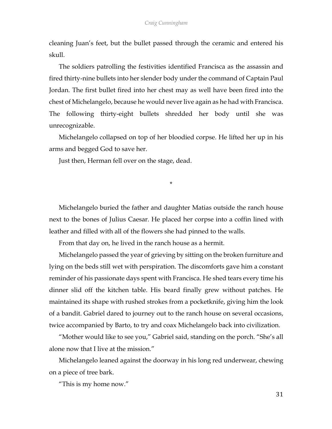cleaning Juan's feet, but the bullet passed through the ceramic and entered his skull.

The soldiers patrolling the festivities identified Francisca as the assassin and fired thirty-nine bullets into her slender body under the command of Captain Paul Jordan. The first bullet fired into her chest may as well have been fired into the chest of Michelangelo, because he would never live again as he had with Francisca. The following thirty-eight bullets shredded her body until she was unrecognizable.

Michelangelo collapsed on top of her bloodied corpse. He lifted her up in his arms and begged God to save her.

Just then, Herman fell over on the stage, dead.

\*

Michelangelo buried the father and daughter Matias outside the ranch house next to the bones of Julius Caesar. He placed her corpse into a coffin lined with leather and filled with all of the flowers she had pinned to the walls.

From that day on, he lived in the ranch house as a hermit.

Michelangelo passed the year of grieving by sitting on the broken furniture and lying on the beds still wet with perspiration. The discomforts gave him a constant reminder of his passionate days spent with Francisca. He shed tears every time his dinner slid off the kitchen table. His beard finally grew without patches. He maintained its shape with rushed strokes from a pocketknife, giving him the look of a bandit. Gabriel dared to journey out to the ranch house on several occasions, twice accompanied by Barto, to try and coax Michelangelo back into civilization.

"Mother would like to see you," Gabriel said, standing on the porch. "She's all alone now that I live at the mission."

Michelangelo leaned against the doorway in his long red underwear, chewing on a piece of tree bark.

"This is my home now."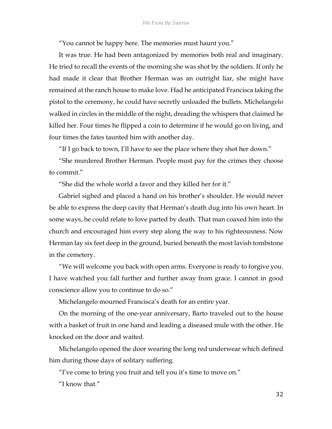"You cannot be happy here. The memories must haunt you."

It was true. He had been antagonized by memories both real and imaginary. He tried to recall the events of the morning she was shot by the soldiers. If only he had made it clear that Brother Herman was an outright liar, she might have remained at the ranch house to make love. Had he anticipated Francisca taking the pistol to the ceremony, he could have secretly unloaded the bullets. Michelangelo walked in circles in the middle of the night, dreading the whispers that claimed he killed her. Four times he flipped a coin to determine if he would go on living, and four times the fates taunted him with another day.

"If I go back to town, I'll have to see the place where they shot her down."

"She murdered Brother Herman. People must pay for the crimes they choose to commit."

"She did the whole world a favor and they killed her for it."

Gabriel sighed and placed a hand on his brother's shoulder. He would never be able to express the deep cavity that Herman's death dug into his own heart. In some ways, he could relate to love parted by death. That man coaxed him into the church and encouraged him every step along the way to his righteousness. Now Herman lay six feet deep in the ground, buried beneath the most lavish tombstone in the cemetery.

"We will welcome you back with open arms. Everyone is ready to forgive you. I have watched you fall further and further away from grace. I cannot in good conscience allow you to continue to do so."

Michelangelo mourned Francisca's death for an entire year.

On the morning of the one-year anniversary, Barto traveled out to the house with a basket of fruit in one hand and leading a diseased mule with the other. He knocked on the door and waited.

Michelangelo opened the door wearing the long red underwear which defined him during those days of solitary suffering.

"I've come to bring you fruit and tell you it's time to move on."

"I know that."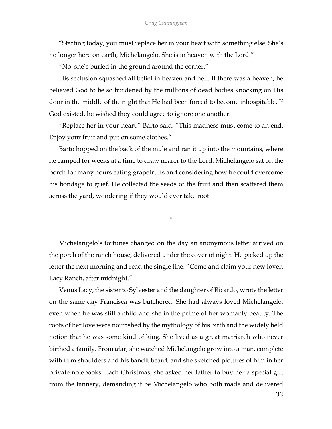"Starting today, you must replace her in your heart with something else. She's no longer here on earth, Michelangelo. She is in heaven with the Lord."

"No, she's buried in the ground around the corner."

His seclusion squashed all belief in heaven and hell. If there was a heaven, he believed God to be so burdened by the millions of dead bodies knocking on His door in the middle of the night that He had been forced to become inhospitable. If God existed, he wished they could agree to ignore one another.

"Replace her in your heart," Barto said. "This madness must come to an end. Enjoy your fruit and put on some clothes."

Barto hopped on the back of the mule and ran it up into the mountains, where he camped for weeks at a time to draw nearer to the Lord. Michelangelo sat on the porch for many hours eating grapefruits and considering how he could overcome his bondage to grief. He collected the seeds of the fruit and then scattered them across the yard, wondering if they would ever take root.

\*

Michelangelo's fortunes changed on the day an anonymous letter arrived on the porch of the ranch house, delivered under the cover of night. He picked up the letter the next morning and read the single line: "Come and claim your new lover. Lacy Ranch, after midnight."

Venus Lacy, the sister to Sylvester and the daughter of Ricardo, wrote the letter on the same day Francisca was butchered. She had always loved Michelangelo, even when he was still a child and she in the prime of her womanly beauty. The roots of her love were nourished by the mythology of his birth and the widely held notion that he was some kind of king. She lived as a great matriarch who never birthed a family. From afar, she watched Michelangelo grow into a man, complete with firm shoulders and his bandit beard, and she sketched pictures of him in her private notebooks. Each Christmas, she asked her father to buy her a special gift from the tannery, demanding it be Michelangelo who both made and delivered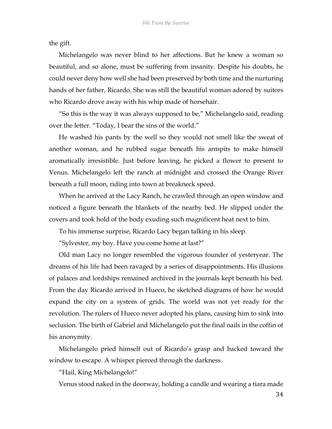the gift.

Michelangelo was never blind to her affections. But he knew a woman so beautiful, and so alone, must be suffering from insanity. Despite his doubts, he could never deny how well she had been preserved by both time and the nurturing hands of her father, Ricardo. She was still the beautiful woman adored by suitors who Ricardo drove away with his whip made of horsehair.

"So this is the way it was always supposed to be," Michelangelo said, reading over the letter. "Today, I bear the sins of the world."

He washed his pants by the well so they would not smell like the sweat of another woman, and he rubbed sugar beneath his armpits to make himself aromatically irresistible. Just before leaving, he picked a flower to present to Venus. Michelangelo left the ranch at midnight and crossed the Orange River beneath a full moon, riding into town at breakneck speed.

When he arrived at the Lacy Ranch, he crawled through an open window and noticed a figure beneath the blankets of the nearby bed. He slipped under the covers and took hold of the body exuding such magnificent heat next to him.

To his immense surprise, Ricardo Lacy began talking in his sleep.

"Sylvester, my boy. Have you come home at last?"

Old man Lacy no longer resembled the vigorous founder of yesteryear. The dreams of his life had been ravaged by a series of disappointments. His illusions of palaces and lordships remained archived in the journals kept beneath his bed. From the day Ricardo arrived in Hueco, he sketched diagrams of how he would expand the city on a system of grids. The world was not yet ready for the revolution. The rulers of Hueco never adopted his plans, causing him to sink into seclusion. The birth of Gabriel and Michelangelo put the final nails in the coffin of his anonymity.

Michelangelo pried himself out of Ricardo's grasp and backed toward the window to escape. A whisper pierced through the darkness.

"Hail, King Michelangelo!"

Venus stood naked in the doorway, holding a candle and wearing a tiara made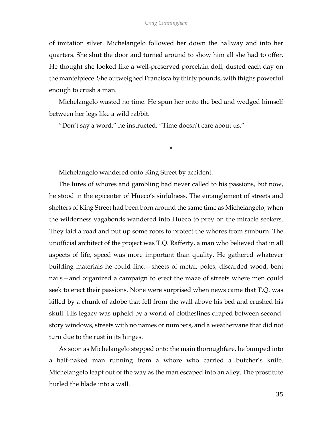of imitation silver. Michelangelo followed her down the hallway and into her quarters. She shut the door and turned around to show him all she had to offer. He thought she looked like a well-preserved porcelain doll, dusted each day on the mantelpiece. She outweighed Francisca by thirty pounds, with thighs powerful enough to crush a man.

Michelangelo wasted no time. He spun her onto the bed and wedged himself between her legs like a wild rabbit.

\*

"Don't say a word," he instructed. "Time doesn't care about us."

Michelangelo wandered onto King Street by accident.

The lures of whores and gambling had never called to his passions, but now, he stood in the epicenter of Hueco's sinfulness. The entanglement of streets and shelters of King Street had been born around the same time as Michelangelo, when the wilderness vagabonds wandered into Hueco to prey on the miracle seekers. They laid a road and put up some roofs to protect the whores from sunburn. The unofficial architect of the project was T.Q. Rafferty, a man who believed that in all aspects of life, speed was more important than quality. He gathered whatever building materials he could find—sheets of metal, poles, discarded wood, bent nails—and organized a campaign to erect the maze of streets where men could seek to erect their passions. None were surprised when news came that T.Q. was killed by a chunk of adobe that fell from the wall above his bed and crushed his skull. His legacy was upheld by a world of clotheslines draped between secondstory windows, streets with no names or numbers, and a weathervane that did not turn due to the rust in its hinges.

As soon as Michelangelo stepped onto the main thoroughfare, he bumped into a half-naked man running from a whore who carried a butcher's knife. Michelangelo leapt out of the way as the man escaped into an alley. The prostitute hurled the blade into a wall.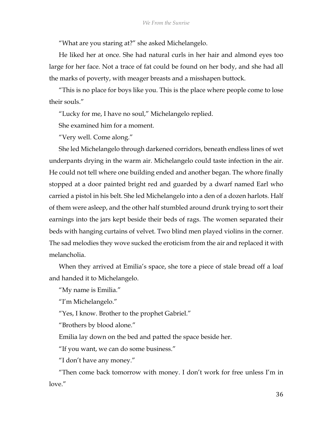"What are you staring at?" she asked Michelangelo.

He liked her at once. She had natural curls in her hair and almond eyes too large for her face. Not a trace of fat could be found on her body, and she had all the marks of poverty, with meager breasts and a misshapen buttock.

"This is no place for boys like you. This is the place where people come to lose their souls."

"Lucky for me, I have no soul," Michelangelo replied.

She examined him for a moment.

"Very well. Come along."

She led Michelangelo through darkened corridors, beneath endless lines of wet underpants drying in the warm air. Michelangelo could taste infection in the air. He could not tell where one building ended and another began. The whore finally stopped at a door painted bright red and guarded by a dwarf named Earl who carried a pistol in his belt. She led Michelangelo into a den of a dozen harlots. Half of them were asleep, and the other half stumbled around drunk trying to sort their earnings into the jars kept beside their beds of rags. The women separated their beds with hanging curtains of velvet. Two blind men played violins in the corner. The sad melodies they wove sucked the eroticism from the air and replaced it with melancholia.

When they arrived at Emilia's space, she tore a piece of stale bread off a loaf and handed it to Michelangelo.

"My name is Emilia."

"I'm Michelangelo."

"Yes, I know. Brother to the prophet Gabriel."

"Brothers by blood alone."

Emilia lay down on the bed and patted the space beside her.

"If you want, we can do some business."

"I don't have any money."

"Then come back tomorrow with money. I don't work for free unless I'm in love."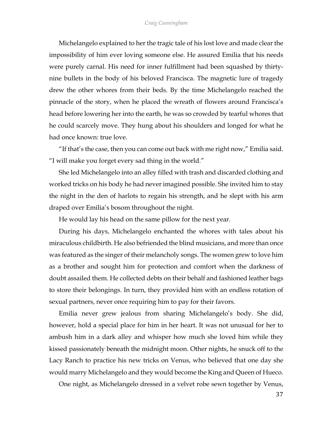Michelangelo explained to her the tragic tale of his lost love and made clear the impossibility of him ever loving someone else. He assured Emilia that his needs were purely carnal. His need for inner fulfillment had been squashed by thirtynine bullets in the body of his beloved Francisca. The magnetic lure of tragedy drew the other whores from their beds. By the time Michelangelo reached the pinnacle of the story, when he placed the wreath of flowers around Francisca's head before lowering her into the earth, he was so crowded by tearful whores that he could scarcely move. They hung about his shoulders and longed for what he had once known: true love.

"If that's the case, then you can come out back with me right now," Emilia said. "I will make you forget every sad thing in the world."

She led Michelangelo into an alley filled with trash and discarded clothing and worked tricks on his body he had never imagined possible. She invited him to stay the night in the den of harlots to regain his strength, and he slept with his arm draped over Emilia's bosom throughout the night.

He would lay his head on the same pillow for the next year.

During his days, Michelangelo enchanted the whores with tales about his miraculous childbirth. He also befriended the blind musicians, and more than once was featured as the singer of their melancholy songs. The women grew to love him as a brother and sought him for protection and comfort when the darkness of doubt assailed them. He collected debts on their behalf and fashioned leather bags to store their belongings. In turn, they provided him with an endless rotation of sexual partners, never once requiring him to pay for their favors.

Emilia never grew jealous from sharing Michelangelo's body. She did, however, hold a special place for him in her heart. It was not unusual for her to ambush him in a dark alley and whisper how much she loved him while they kissed passionately beneath the midnight moon. Other nights, he snuck off to the Lacy Ranch to practice his new tricks on Venus, who believed that one day she would marry Michelangelo and they would become the King and Queen of Hueco.

One night, as Michelangelo dressed in a velvet robe sewn together by Venus,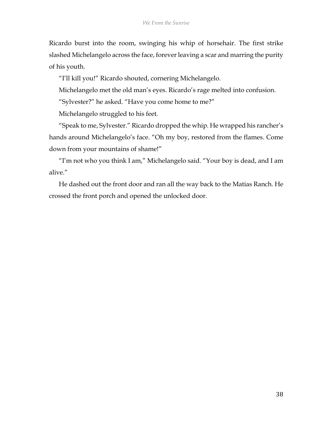Ricardo burst into the room, swinging his whip of horsehair. The first strike slashed Michelangelo across the face, forever leaving a scar and marring the purity of his youth.

"I'll kill you!" Ricardo shouted, cornering Michelangelo.

Michelangelo met the old man's eyes. Ricardo's rage melted into confusion.

"Sylvester?" he asked. "Have you come home to me?"

Michelangelo struggled to his feet.

"Speak to me, Sylvester." Ricardo dropped the whip. He wrapped his rancher's hands around Michelangelo's face. "Oh my boy, restored from the flames. Come down from your mountains of shame!"

"I'm not who you think I am," Michelangelo said. "Your boy is dead, and I am alive."

He dashed out the front door and ran all the way back to the Matias Ranch. He crossed the front porch and opened the unlocked door.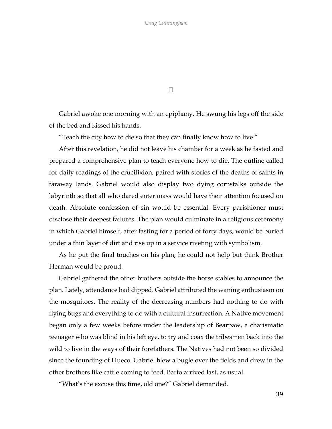II

Gabriel awoke one morning with an epiphany. He swung his legs off the side of the bed and kissed his hands.

"Teach the city how to die so that they can finally know how to live."

After this revelation, he did not leave his chamber for a week as he fasted and prepared a comprehensive plan to teach everyone how to die. The outline called for daily readings of the crucifixion, paired with stories of the deaths of saints in faraway lands. Gabriel would also display two dying cornstalks outside the labyrinth so that all who dared enter mass would have their attention focused on death. Absolute confession of sin would be essential. Every parishioner must disclose their deepest failures. The plan would culminate in a religious ceremony in which Gabriel himself, after fasting for a period of forty days, would be buried under a thin layer of dirt and rise up in a service riveting with symbolism.

As he put the final touches on his plan, he could not help but think Brother Herman would be proud.

Gabriel gathered the other brothers outside the horse stables to announce the plan. Lately, attendance had dipped. Gabriel attributed the waning enthusiasm on the mosquitoes. The reality of the decreasing numbers had nothing to do with flying bugs and everything to do with a cultural insurrection. A Native movement began only a few weeks before under the leadership of Bearpaw, a charismatic teenager who was blind in his left eye, to try and coax the tribesmen back into the wild to live in the ways of their forefathers. The Natives had not been so divided since the founding of Hueco. Gabriel blew a bugle over the fields and drew in the other brothers like cattle coming to feed. Barto arrived last, as usual.

"What's the excuse this time, old one?" Gabriel demanded.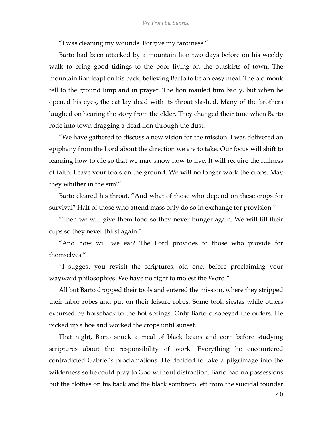"I was cleaning my wounds. Forgive my tardiness."

Barto had been attacked by a mountain lion two days before on his weekly walk to bring good tidings to the poor living on the outskirts of town. The mountain lion leapt on his back, believing Barto to be an easy meal. The old monk fell to the ground limp and in prayer. The lion mauled him badly, but when he opened his eyes, the cat lay dead with its throat slashed. Many of the brothers laughed on hearing the story from the elder. They changed their tune when Barto rode into town dragging a dead lion through the dust.

"We have gathered to discuss a new vision for the mission. I was delivered an epiphany from the Lord about the direction we are to take. Our focus will shift to learning how to die so that we may know how to live. It will require the fullness of faith. Leave your tools on the ground. We will no longer work the crops. May they whither in the sun!"

Barto cleared his throat. "And what of those who depend on these crops for survival? Half of those who attend mass only do so in exchange for provision."

"Then we will give them food so they never hunger again. We will fill their cups so they never thirst again."

"And how will we eat? The Lord provides to those who provide for themselves."

"I suggest you revisit the scriptures, old one, before proclaiming your wayward philosophies. We have no right to molest the Word."

All but Barto dropped their tools and entered the mission, where they stripped their labor robes and put on their leisure robes. Some took siestas while others excursed by horseback to the hot springs. Only Barto disobeyed the orders. He picked up a hoe and worked the crops until sunset.

That night, Barto snuck a meal of black beans and corn before studying scriptures about the responsibility of work. Everything he encountered contradicted Gabriel's proclamations. He decided to take a pilgrimage into the wilderness so he could pray to God without distraction. Barto had no possessions but the clothes on his back and the black sombrero left from the suicidal founder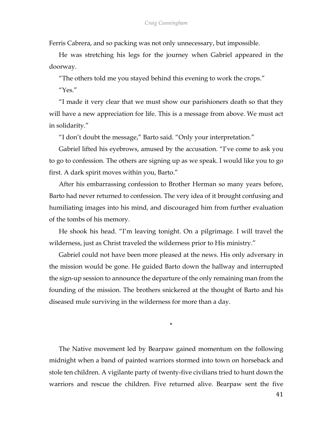Ferris Cabrera, and so packing was not only unnecessary, but impossible.

He was stretching his legs for the journey when Gabriel appeared in the doorway.

"The others told me you stayed behind this evening to work the crops."

"Yes."

"I made it very clear that we must show our parishioners death so that they will have a new appreciation for life. This is a message from above. We must act in solidarity."

"I don't doubt the message," Barto said. "Only your interpretation."

Gabriel lifted his eyebrows, amused by the accusation. "I've come to ask you to go to confession. The others are signing up as we speak. I would like you to go first. A dark spirit moves within you, Barto."

After his embarrassing confession to Brother Herman so many years before, Barto had never returned to confession. The very idea of it brought confusing and humiliating images into his mind, and discouraged him from further evaluation of the tombs of his memory.

He shook his head. "I'm leaving tonight. On a pilgrimage. I will travel the wilderness, just as Christ traveled the wilderness prior to His ministry."

Gabriel could not have been more pleased at the news. His only adversary in the mission would be gone. He guided Barto down the hallway and interrupted the sign-up session to announce the departure of the only remaining man from the founding of the mission. The brothers snickered at the thought of Barto and his diseased mule surviving in the wilderness for more than a day.

\*

The Native movement led by Bearpaw gained momentum on the following midnight when a band of painted warriors stormed into town on horseback and stole ten children. A vigilante party of twenty-five civilians tried to hunt down the warriors and rescue the children. Five returned alive. Bearpaw sent the five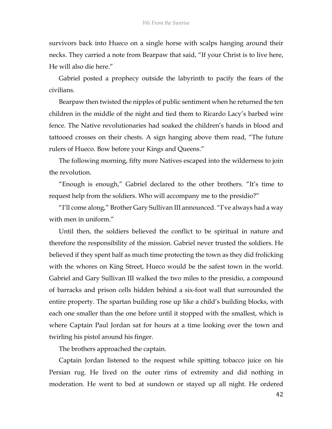survivors back into Hueco on a single horse with scalps hanging around their necks. They carried a note from Bearpaw that said, "If your Christ is to live here, He will also die here."

Gabriel posted a prophecy outside the labyrinth to pacify the fears of the civilians.

Bearpaw then twisted the nipples of public sentiment when he returned the ten children in the middle of the night and tied them to Ricardo Lacy's barbed wire fence. The Native revolutionaries had soaked the children's hands in blood and tattooed crosses on their chests. A sign hanging above them read, "The future rulers of Hueco. Bow before your Kings and Queens."

The following morning, fifty more Natives escaped into the wilderness to join the revolution.

"Enough is enough," Gabriel declared to the other brothers. "It's time to request help from the soldiers. Who will accompany me to the presidio?"

"I'll come along," Brother Gary Sullivan III announced. "I've always had a way with men in uniform."

Until then, the soldiers believed the conflict to be spiritual in nature and therefore the responsibility of the mission. Gabriel never trusted the soldiers. He believed if they spent half as much time protecting the town as they did frolicking with the whores on King Street, Hueco would be the safest town in the world. Gabriel and Gary Sullivan III walked the two miles to the presidio, a compound of barracks and prison cells hidden behind a six-foot wall that surrounded the entire property. The spartan building rose up like a child's building blocks, with each one smaller than the one before until it stopped with the smallest, which is where Captain Paul Jordan sat for hours at a time looking over the town and twirling his pistol around his finger.

The brothers approached the captain.

Captain Jordan listened to the request while spitting tobacco juice on his Persian rug. He lived on the outer rims of extremity and did nothing in moderation. He went to bed at sundown or stayed up all night. He ordered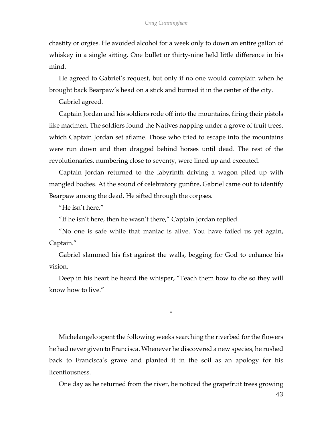chastity or orgies. He avoided alcohol for a week only to down an entire gallon of whiskey in a single sitting. One bullet or thirty-nine held little difference in his mind.

He agreed to Gabriel's request, but only if no one would complain when he brought back Bearpaw's head on a stick and burned it in the center of the city.

Gabriel agreed.

Captain Jordan and his soldiers rode off into the mountains, firing their pistols like madmen. The soldiers found the Natives napping under a grove of fruit trees, which Captain Jordan set aflame. Those who tried to escape into the mountains were run down and then dragged behind horses until dead. The rest of the revolutionaries, numbering close to seventy, were lined up and executed.

Captain Jordan returned to the labyrinth driving a wagon piled up with mangled bodies. At the sound of celebratory gunfire, Gabriel came out to identify Bearpaw among the dead. He sifted through the corpses.

"He isn't here."

"If he isn't here, then he wasn't there," Captain Jordan replied.

"No one is safe while that maniac is alive. You have failed us yet again, Captain."

Gabriel slammed his fist against the walls, begging for God to enhance his vision.

Deep in his heart he heard the whisper, "Teach them how to die so they will know how to live."

\*

Michelangelo spent the following weeks searching the riverbed for the flowers he had never given to Francisca. Whenever he discovered a new species, he rushed back to Francisca's grave and planted it in the soil as an apology for his licentiousness.

One day as he returned from the river, he noticed the grapefruit trees growing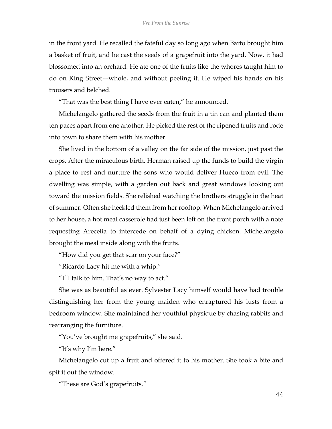in the front yard. He recalled the fateful day so long ago when Barto brought him a basket of fruit, and he cast the seeds of a grapefruit into the yard. Now, it had blossomed into an orchard. He ate one of the fruits like the whores taught him to do on King Street—whole, and without peeling it. He wiped his hands on his trousers and belched.

"That was the best thing I have ever eaten," he announced.

Michelangelo gathered the seeds from the fruit in a tin can and planted them ten paces apart from one another. He picked the rest of the ripened fruits and rode into town to share them with his mother.

She lived in the bottom of a valley on the far side of the mission, just past the crops. After the miraculous birth, Herman raised up the funds to build the virgin a place to rest and nurture the sons who would deliver Hueco from evil. The dwelling was simple, with a garden out back and great windows looking out toward the mission fields. She relished watching the brothers struggle in the heat of summer. Often she heckled them from her rooftop. When Michelangelo arrived to her house, a hot meal casserole had just been left on the front porch with a note requesting Arecelia to intercede on behalf of a dying chicken. Michelangelo brought the meal inside along with the fruits.

"How did you get that scar on your face?"

"Ricardo Lacy hit me with a whip."

"I'll talk to him. That's no way to act."

She was as beautiful as ever. Sylvester Lacy himself would have had trouble distinguishing her from the young maiden who enraptured his lusts from a bedroom window. She maintained her youthful physique by chasing rabbits and rearranging the furniture.

"You've brought me grapefruits," she said.

"It's why I'm here."

Michelangelo cut up a fruit and offered it to his mother. She took a bite and spit it out the window.

"These are God's grapefruits."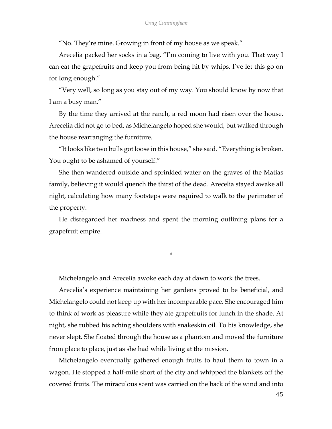"No. They're mine. Growing in front of my house as we speak."

Arecelia packed her socks in a bag. "I'm coming to live with you. That way I can eat the grapefruits and keep you from being hit by whips. I've let this go on for long enough."

"Very well, so long as you stay out of my way. You should know by now that I am a busy man."

By the time they arrived at the ranch, a red moon had risen over the house. Arecelia did not go to bed, as Michelangelo hoped she would, but walked through the house rearranging the furniture.

"It looks like two bulls got loose in this house," she said. "Everything is broken. You ought to be ashamed of yourself."

She then wandered outside and sprinkled water on the graves of the Matias family, believing it would quench the thirst of the dead. Arecelia stayed awake all night, calculating how many footsteps were required to walk to the perimeter of the property.

He disregarded her madness and spent the morning outlining plans for a grapefruit empire.

\*

Michelangelo and Arecelia awoke each day at dawn to work the trees.

Arecelia's experience maintaining her gardens proved to be beneficial, and Michelangelo could not keep up with her incomparable pace. She encouraged him to think of work as pleasure while they ate grapefruits for lunch in the shade. At night, she rubbed his aching shoulders with snakeskin oil. To his knowledge, she never slept. She floated through the house as a phantom and moved the furniture from place to place, just as she had while living at the mission.

Michelangelo eventually gathered enough fruits to haul them to town in a wagon. He stopped a half-mile short of the city and whipped the blankets off the covered fruits. The miraculous scent was carried on the back of the wind and into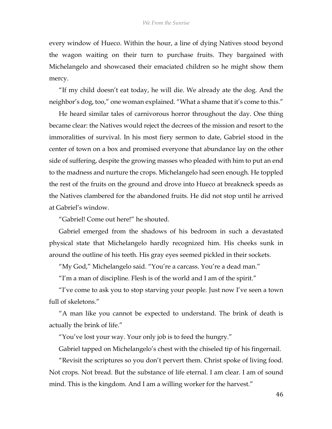every window of Hueco. Within the hour, a line of dying Natives stood beyond the wagon waiting on their turn to purchase fruits. They bargained with Michelangelo and showcased their emaciated children so he might show them mercy.

"If my child doesn't eat today, he will die. We already ate the dog. And the neighbor's dog, too," one woman explained. "What a shame that it's come to this."

He heard similar tales of carnivorous horror throughout the day. One thing became clear: the Natives would reject the decrees of the mission and resort to the immoralities of survival. In his most fiery sermon to date, Gabriel stood in the center of town on a box and promised everyone that abundance lay on the other side of suffering, despite the growing masses who pleaded with him to put an end to the madness and nurture the crops. Michelangelo had seen enough. He toppled the rest of the fruits on the ground and drove into Hueco at breakneck speeds as the Natives clambered for the abandoned fruits. He did not stop until he arrived at Gabriel's window.

"Gabriel! Come out here!" he shouted.

Gabriel emerged from the shadows of his bedroom in such a devastated physical state that Michelangelo hardly recognized him. His cheeks sunk in around the outline of his teeth. His gray eyes seemed pickled in their sockets.

"My God," Michelangelo said. "You're a carcass. You're a dead man."

"I'm a man of discipline. Flesh is of the world and I am of the spirit."

"I've come to ask you to stop starving your people. Just now I've seen a town full of skeletons."

"A man like you cannot be expected to understand. The brink of death is actually the brink of life."

"You've lost your way. Your only job is to feed the hungry."

Gabriel tapped on Michelangelo's chest with the chiseled tip of his fingernail.

"Revisit the scriptures so you don't pervert them. Christ spoke of living food. Not crops. Not bread. But the substance of life eternal. I am clear. I am of sound mind. This is the kingdom. And I am a willing worker for the harvest."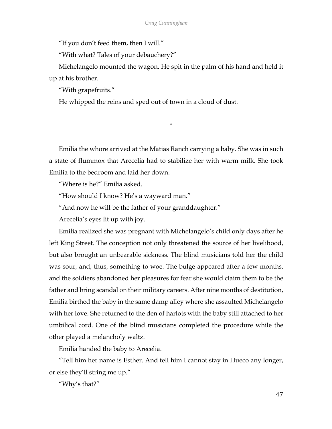"If you don't feed them, then I will."

"With what? Tales of your debauchery?"

Michelangelo mounted the wagon. He spit in the palm of his hand and held it up at his brother.

"With grapefruits."

He whipped the reins and sped out of town in a cloud of dust.

\*

Emilia the whore arrived at the Matias Ranch carrying a baby. She was in such a state of flummox that Arecelia had to stabilize her with warm milk. She took Emilia to the bedroom and laid her down.

"Where is he?" Emilia asked.

"How should I know? He's a wayward man."

"And now he will be the father of your granddaughter."

Arecelia's eyes lit up with joy.

Emilia realized she was pregnant with Michelangelo's child only days after he left King Street. The conception not only threatened the source of her livelihood, but also brought an unbearable sickness. The blind musicians told her the child was sour, and, thus, something to woe. The bulge appeared after a few months, and the soldiers abandoned her pleasures for fear she would claim them to be the father and bring scandal on their military careers. After nine months of destitution, Emilia birthed the baby in the same damp alley where she assaulted Michelangelo with her love. She returned to the den of harlots with the baby still attached to her umbilical cord. One of the blind musicians completed the procedure while the other played a melancholy waltz.

Emilia handed the baby to Arecelia.

"Tell him her name is Esther. And tell him I cannot stay in Hueco any longer, or else they'll string me up."

"Why's that?"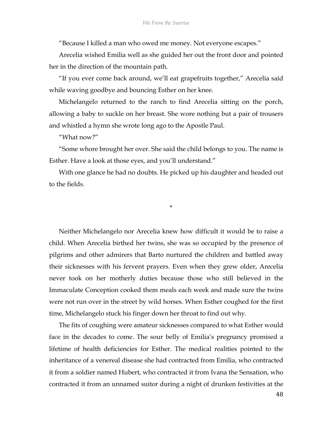"Because I killed a man who owed me money. Not everyone escapes."

Arecelia wished Emilia well as she guided her out the front door and pointed her in the direction of the mountain path.

"If you ever come back around, we'll eat grapefruits together," Arecelia said while waving goodbye and bouncing Esther on her knee.

Michelangelo returned to the ranch to find Arecelia sitting on the porch, allowing a baby to suckle on her breast. She wore nothing but a pair of trousers and whistled a hymn she wrote long ago to the Apostle Paul.

"What now?"

"Some whore brought her over. She said the child belongs to you. The name is Esther. Have a look at those eyes, and you'll understand."

With one glance he had no doubts. He picked up his daughter and headed out to the fields.

\*

Neither Michelangelo nor Arecelia knew how difficult it would be to raise a child. When Arecelia birthed her twins, she was so occupied by the presence of pilgrims and other admirers that Barto nurtured the children and battled away their sicknesses with his fervent prayers. Even when they grew older, Arecelia never took on her motherly duties because those who still believed in the Immaculate Conception cooked them meals each week and made sure the twins were not run over in the street by wild horses. When Esther coughed for the first time, Michelangelo stuck his finger down her throat to find out why.

The fits of coughing were amateur sicknesses compared to what Esther would face in the decades to come. The sour belly of Emilia's pregnancy promised a lifetime of health deficiencies for Esther. The medical realities pointed to the inheritance of a venereal disease she had contracted from Emilia, who contracted it from a soldier named Hubert, who contracted it from Ivana the Sensation, who contracted it from an unnamed suitor during a night of drunken festivities at the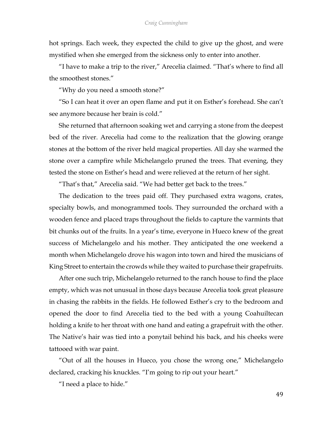hot springs. Each week, they expected the child to give up the ghost, and were mystified when she emerged from the sickness only to enter into another.

"I have to make a trip to the river," Arecelia claimed. "That's where to find all the smoothest stones."

"Why do you need a smooth stone?"

"So I can heat it over an open flame and put it on Esther's forehead. She can't see anymore because her brain is cold."

She returned that afternoon soaking wet and carrying a stone from the deepest bed of the river. Arecelia had come to the realization that the glowing orange stones at the bottom of the river held magical properties. All day she warmed the stone over a campfire while Michelangelo pruned the trees. That evening, they tested the stone on Esther's head and were relieved at the return of her sight.

"That's that," Arecelia said. "We had better get back to the trees."

The dedication to the trees paid off. They purchased extra wagons, crates, specialty bowls, and monogrammed tools. They surrounded the orchard with a wooden fence and placed traps throughout the fields to capture the varmints that bit chunks out of the fruits. In a year's time, everyone in Hueco knew of the great success of Michelangelo and his mother. They anticipated the one weekend a month when Michelangelo drove his wagon into town and hired the musicians of King Street to entertain the crowds while they waited to purchase their grapefruits.

After one such trip, Michelangelo returned to the ranch house to find the place empty, which was not unusual in those days because Arecelia took great pleasure in chasing the rabbits in the fields. He followed Esther's cry to the bedroom and opened the door to find Arecelia tied to the bed with a young Coahuiltecan holding a knife to her throat with one hand and eating a grapefruit with the other. The Native's hair was tied into a ponytail behind his back, and his cheeks were tattooed with war paint.

"Out of all the houses in Hueco, you chose the wrong one," Michelangelo declared, cracking his knuckles. "I'm going to rip out your heart."

"I need a place to hide."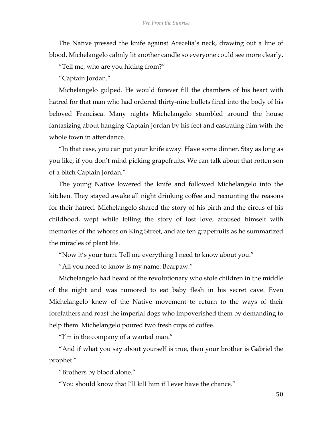The Native pressed the knife against Arecelia's neck, drawing out a line of blood. Michelangelo calmly lit another candle so everyone could see more clearly.

"Tell me, who are you hiding from?"

"Captain Jordan."

Michelangelo gulped. He would forever fill the chambers of his heart with hatred for that man who had ordered thirty-nine bullets fired into the body of his beloved Francisca. Many nights Michelangelo stumbled around the house fantasizing about hanging Captain Jordan by his feet and castrating him with the whole town in attendance.

"In that case, you can put your knife away. Have some dinner. Stay as long as you like, if you don't mind picking grapefruits. We can talk about that rotten son of a bitch Captain Jordan."

The young Native lowered the knife and followed Michelangelo into the kitchen. They stayed awake all night drinking coffee and recounting the reasons for their hatred. Michelangelo shared the story of his birth and the circus of his childhood, wept while telling the story of lost love, aroused himself with memories of the whores on King Street, and ate ten grapefruits as he summarized the miracles of plant life.

"Now it's your turn. Tell me everything I need to know about you."

"All you need to know is my name: Bearpaw."

Michelangelo had heard of the revolutionary who stole children in the middle of the night and was rumored to eat baby flesh in his secret cave. Even Michelangelo knew of the Native movement to return to the ways of their forefathers and roast the imperial dogs who impoverished them by demanding to help them. Michelangelo poured two fresh cups of coffee.

"I'm in the company of a wanted man."

"And if what you say about yourself is true, then your brother is Gabriel the prophet."

"Brothers by blood alone."

"You should know that I'll kill him if I ever have the chance."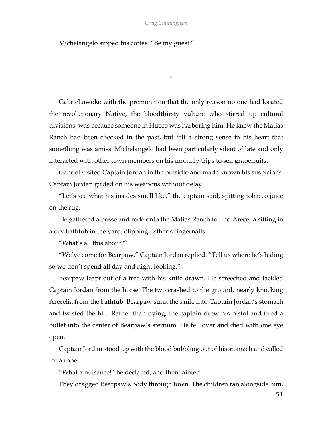## *Craig Cunningham*

\*

Michelangelo sipped his coffee. "Be my guest."

Gabriel awoke with the premonition that the only reason no one had located the revolutionary Native, the bloodthirsty vulture who stirred up cultural divisions, was because someone in Hueco was harboring him. He knew the Matias Ranch had been checked in the past, but felt a strong sense in his heart that something was amiss. Michelangelo had been particularly silent of late and only interacted with other town members on his monthly trips to sell grapefruits.

Gabriel visited Captain Jordan in the presidio and made known his suspicions. Captain Jordan girded on his weapons without delay.

"Let's see what his insides smell like," the captain said, spitting tobacco juice on the rug.

He gathered a posse and rode onto the Matias Ranch to find Arecelia sitting in a dry bathtub in the yard, clipping Esther's fingernails.

"What's all this about?"

"We've come for Bearpaw," Captain Jordan replied. "Tell us where he's hiding so we don't spend all day and night looking."

Bearpaw leapt out of a tree with his knife drawn. He screeched and tackled Captain Jordan from the horse. The two crashed to the ground, nearly knocking Arecelia from the bathtub. Bearpaw sunk the knife into Captain Jordan's stomach and twisted the hilt. Rather than dying, the captain drew his pistol and fired a bullet into the center of Bearpaw's sternum. He fell over and died with one eye open.

Captain Jordan stood up with the blood bubbling out of his stomach and called for a rope.

"What a nuisance!" he declared, and then fainted.

They dragged Bearpaw's body through town. The children ran alongside him,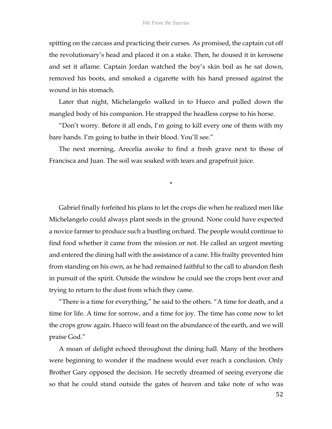spitting on the carcass and practicing their curses. As promised, the captain cut off the revolutionary's head and placed it on a stake. Then, he doused it in kerosene and set it aflame. Captain Jordan watched the boy's skin boil as he sat down, removed his boots, and smoked a cigarette with his hand pressed against the wound in his stomach.

Later that night, Michelangelo walked in to Hueco and pulled down the mangled body of his companion. He strapped the headless corpse to his horse.

"Don't worry. Before it all ends, I'm going to kill every one of them with my bare hands. I'm going to bathe in their blood. You'll see."

The next morning, Arecelia awoke to find a fresh grave next to those of Francisca and Juan. The soil was soaked with tears and grapefruit juice.

\*

Gabriel finally forfeited his plans to let the crops die when he realized men like Michelangelo could always plant seeds in the ground. None could have expected a novice farmer to produce such a bustling orchard. The people would continue to find food whether it came from the mission or not. He called an urgent meeting and entered the dining hall with the assistance of a cane. His frailty prevented him from standing on his own, as he had remained faithful to the call to abandon flesh in pursuit of the spirit. Outside the window he could see the crops bent over and trying to return to the dust from which they came.

"There is a time for everything," he said to the others. "A time for death, and a time for life. A time for sorrow, and a time for joy. The time has come now to let the crops grow again. Hueco will feast on the abundance of the earth, and we will praise God."

A moan of delight echoed throughout the dining hall. Many of the brothers were beginning to wonder if the madness would ever reach a conclusion. Only Brother Gary opposed the decision. He secretly dreamed of seeing everyone die so that he could stand outside the gates of heaven and take note of who was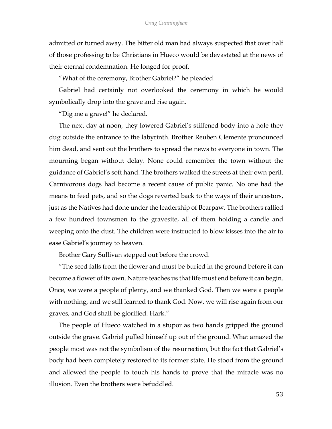admitted or turned away. The bitter old man had always suspected that over half of those professing to be Christians in Hueco would be devastated at the news of their eternal condemnation. He longed for proof.

"What of the ceremony, Brother Gabriel?" he pleaded.

Gabriel had certainly not overlooked the ceremony in which he would symbolically drop into the grave and rise again.

"Dig me a grave!" he declared.

The next day at noon, they lowered Gabriel's stiffened body into a hole they dug outside the entrance to the labyrinth. Brother Reuben Clemente pronounced him dead, and sent out the brothers to spread the news to everyone in town. The mourning began without delay. None could remember the town without the guidance of Gabriel's soft hand. The brothers walked the streets at their own peril. Carnivorous dogs had become a recent cause of public panic. No one had the means to feed pets, and so the dogs reverted back to the ways of their ancestors, just as the Natives had done under the leadership of Bearpaw. The brothers rallied a few hundred townsmen to the gravesite, all of them holding a candle and weeping onto the dust. The children were instructed to blow kisses into the air to ease Gabriel's journey to heaven.

Brother Gary Sullivan stepped out before the crowd.

"The seed falls from the flower and must be buried in the ground before it can become a flower of its own. Nature teaches us that life must end before it can begin. Once, we were a people of plenty, and we thanked God. Then we were a people with nothing, and we still learned to thank God. Now, we will rise again from our graves, and God shall be glorified. Hark."

The people of Hueco watched in a stupor as two hands gripped the ground outside the grave. Gabriel pulled himself up out of the ground. What amazed the people most was not the symbolism of the resurrection, but the fact that Gabriel's body had been completely restored to its former state. He stood from the ground and allowed the people to touch his hands to prove that the miracle was no illusion. Even the brothers were befuddled.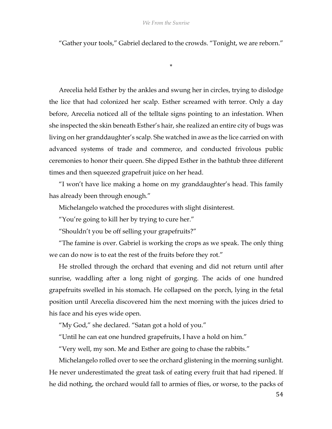"Gather your tools," Gabriel declared to the crowds. "Tonight, we are reborn."

\*

Arecelia held Esther by the ankles and swung her in circles, trying to dislodge the lice that had colonized her scalp. Esther screamed with terror. Only a day before, Arecelia noticed all of the telltale signs pointing to an infestation. When she inspected the skin beneath Esther's hair, she realized an entire city of bugs was living on her granddaughter's scalp. She watched in awe as the lice carried on with advanced systems of trade and commerce, and conducted frivolous public ceremonies to honor their queen. She dipped Esther in the bathtub three different times and then squeezed grapefruit juice on her head.

"I won't have lice making a home on my granddaughter's head. This family has already been through enough."

Michelangelo watched the procedures with slight disinterest.

"You're going to kill her by trying to cure her."

"Shouldn't you be off selling your grapefruits?"

"The famine is over. Gabriel is working the crops as we speak. The only thing we can do now is to eat the rest of the fruits before they rot."

He strolled through the orchard that evening and did not return until after sunrise, waddling after a long night of gorging. The acids of one hundred grapefruits swelled in his stomach. He collapsed on the porch, lying in the fetal position until Arecelia discovered him the next morning with the juices dried to his face and his eyes wide open.

"My God," she declared. "Satan got a hold of you."

"Until he can eat one hundred grapefruits, I have a hold on him."

"Very well, my son. Me and Esther are going to chase the rabbits."

Michelangelo rolled over to see the orchard glistening in the morning sunlight. He never underestimated the great task of eating every fruit that had ripened. If he did nothing, the orchard would fall to armies of flies, or worse, to the packs of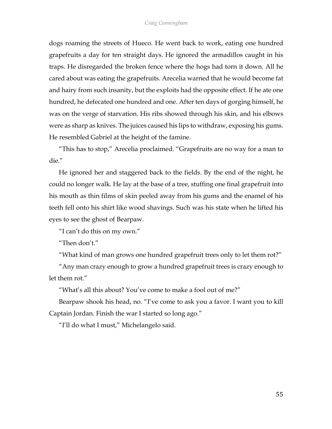dogs roaming the streets of Hueco. He went back to work, eating one hundred grapefruits a day for ten straight days. He ignored the armadillos caught in his traps. He disregarded the broken fence where the hogs had torn it down. All he cared about was eating the grapefruits. Arecelia warned that he would become fat and hairy from such insanity, but the exploits had the opposite effect. If he ate one hundred, he defecated one hundred and one. After ten days of gorging himself, he was on the verge of starvation. His ribs showed through his skin, and his elbows were as sharp as knives. The juices caused his lips to withdraw, exposing his gums. He resembled Gabriel at the height of the famine.

"This has to stop," Arecelia proclaimed. "Grapefruits are no way for a man to die."

He ignored her and staggered back to the fields. By the end of the night, he could no longer walk. He lay at the base of a tree, stuffing one final grapefruit into his mouth as thin films of skin peeled away from his gums and the enamel of his teeth fell onto his shirt like wood shavings. Such was his state when he lifted his eyes to see the ghost of Bearpaw.

"I can't do this on my own."

"Then don't"

"What kind of man grows one hundred grapefruit trees only to let them rot?"

"Any man crazy enough to grow a hundred grapefruit trees is crazy enough to let them rot."

"What's all this about? You've come to make a fool out of me?"

Bearpaw shook his head, no. "I've come to ask you a favor. I want you to kill Captain Jordan. Finish the war I started so long ago."

"I'll do what I must," Michelangelo said.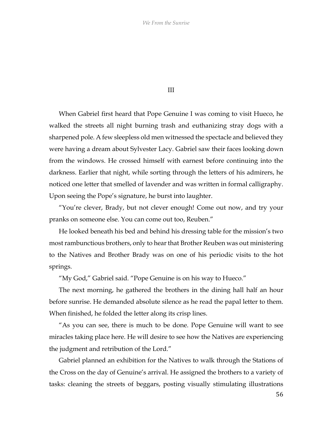III

When Gabriel first heard that Pope Genuine I was coming to visit Hueco, he walked the streets all night burning trash and euthanizing stray dogs with a sharpened pole. A few sleepless old men witnessed the spectacle and believed they were having a dream about Sylvester Lacy. Gabriel saw their faces looking down from the windows. He crossed himself with earnest before continuing into the darkness. Earlier that night, while sorting through the letters of his admirers, he noticed one letter that smelled of lavender and was written in formal calligraphy. Upon seeing the Pope's signature, he burst into laughter.

"You're clever, Brady, but not clever enough! Come out now, and try your pranks on someone else. You can come out too, Reuben."

He looked beneath his bed and behind his dressing table for the mission's two mostrambunctious brothers, only to hear that Brother Reuben was out ministering to the Natives and Brother Brady was on one of his periodic visits to the hot springs.

"My God," Gabriel said. "Pope Genuine is on his way to Hueco."

The next morning, he gathered the brothers in the dining hall half an hour before sunrise. He demanded absolute silence as he read the papal letter to them. When finished, he folded the letter along its crisp lines.

"As you can see, there is much to be done. Pope Genuine will want to see miracles taking place here. He will desire to see how the Natives are experiencing the judgment and retribution of the Lord."

Gabriel planned an exhibition for the Natives to walk through the Stations of the Cross on the day of Genuine's arrival. He assigned the brothers to a variety of tasks: cleaning the streets of beggars, posting visually stimulating illustrations

56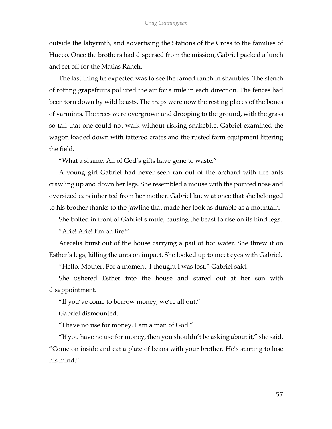outside the labyrinth, and advertising the Stations of the Cross to the families of Hueco. Once the brothers had dispersed from the mission, Gabriel packed a lunch and set off for the Matias Ranch.

The last thing he expected was to see the famed ranch in shambles. The stench of rotting grapefruits polluted the air for a mile in each direction. The fences had been torn down by wild beasts. The traps were now the resting places of the bones of varmints. The trees were overgrown and drooping to the ground, with the grass so tall that one could not walk without risking snakebite. Gabriel examined the wagon loaded down with tattered crates and the rusted farm equipment littering the field.

"What a shame. All of God's gifts have gone to waste."

A young girl Gabriel had never seen ran out of the orchard with fire ants crawling up and down her legs. She resembled a mouse with the pointed nose and oversized ears inherited from her mother. Gabriel knew at once that she belonged to his brother thanks to the jawline that made her look as durable as a mountain.

She bolted in front of Gabriel's mule, causing the beast to rise on its hind legs.

"Arie! Arie! I'm on fire!"

Arecelia burst out of the house carrying a pail of hot water. She threw it on Esther's legs, killing the ants on impact. She looked up to meet eyes with Gabriel.

"Hello, Mother. For a moment, I thought I was lost," Gabriel said.

She ushered Esther into the house and stared out at her son with disappointment.

"If you've come to borrow money, we're all out."

Gabriel dismounted.

"I have no use for money. I am a man of God."

"If you have no use for money, then you shouldn't be asking about it," she said. "Come on inside and eat a plate of beans with your brother. He's starting to lose his mind."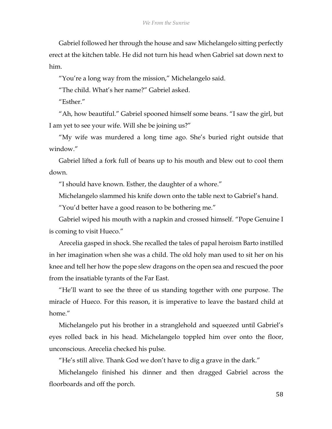Gabriel followed her through the house and saw Michelangelo sitting perfectly erect at the kitchen table. He did not turn his head when Gabriel sat down next to him.

"You're a long way from the mission," Michelangelo said.

"The child. What's her name?" Gabriel asked.

"Esther."

"Ah, how beautiful." Gabriel spooned himself some beans. "I saw the girl, but I am yet to see your wife. Will she be joining us?"

"My wife was murdered a long time ago. She's buried right outside that window."

Gabriel lifted a fork full of beans up to his mouth and blew out to cool them down.

"I should have known. Esther, the daughter of a whore."

Michelangelo slammed his knife down onto the table next to Gabriel's hand.

"You'd better have a good reason to be bothering me."

Gabriel wiped his mouth with a napkin and crossed himself. "Pope Genuine I is coming to visit Hueco."

Arecelia gasped in shock. She recalled the tales of papal heroism Barto instilled in her imagination when she was a child. The old holy man used to sit her on his knee and tell her how the pope slew dragons on the open sea and rescued the poor from the insatiable tyrants of the Far East.

"He'll want to see the three of us standing together with one purpose. The miracle of Hueco. For this reason, it is imperative to leave the bastard child at home."

Michelangelo put his brother in a stranglehold and squeezed until Gabriel's eyes rolled back in his head. Michelangelo toppled him over onto the floor, unconscious. Arecelia checked his pulse.

"He's still alive. Thank God we don't have to dig a grave in the dark."

Michelangelo finished his dinner and then dragged Gabriel across the floorboards and off the porch.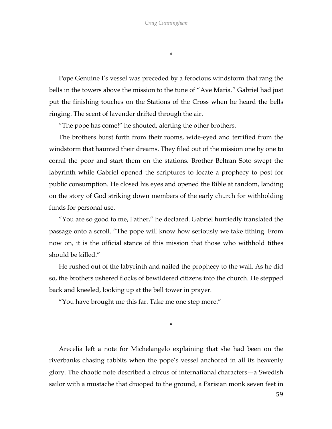\*

Pope Genuine I's vessel was preceded by a ferocious windstorm that rang the bells in the towers above the mission to the tune of "Ave Maria." Gabriel had just put the finishing touches on the Stations of the Cross when he heard the bells ringing. The scent of lavender drifted through the air.

"The pope has come!" he shouted, alerting the other brothers.

The brothers burst forth from their rooms, wide-eyed and terrified from the windstorm that haunted their dreams. They filed out of the mission one by one to corral the poor and start them on the stations. Brother Beltran Soto swept the labyrinth while Gabriel opened the scriptures to locate a prophecy to post for public consumption. He closed his eyes and opened the Bible at random, landing on the story of God striking down members of the early church for withholding funds for personal use.

"You are so good to me, Father," he declared. Gabriel hurriedly translated the passage onto a scroll. "The pope will know how seriously we take tithing. From now on, it is the official stance of this mission that those who withhold tithes should be killed."

He rushed out of the labyrinth and nailed the prophecy to the wall. As he did so, the brothers ushered flocks of bewildered citizens into the church. He stepped back and kneeled, looking up at the bell tower in prayer.

"You have brought me this far. Take me one step more."

\*

Arecelia left a note for Michelangelo explaining that she had been on the riverbanks chasing rabbits when the pope's vessel anchored in all its heavenly glory. The chaotic note described a circus of international characters—a Swedish sailor with a mustache that drooped to the ground, a Parisian monk seven feet in

59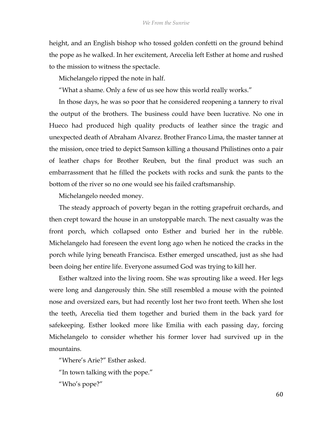height, and an English bishop who tossed golden confetti on the ground behind the pope as he walked. In her excitement, Arecelia left Esther at home and rushed to the mission to witness the spectacle.

Michelangelo ripped the note in half.

"What a shame. Only a few of us see how this world really works."

In those days, he was so poor that he considered reopening a tannery to rival the output of the brothers. The business could have been lucrative. No one in Hueco had produced high quality products of leather since the tragic and unexpected death of Abraham Alvarez. Brother Franco Lima, the master tanner at the mission, once tried to depict Samson killing a thousand Philistines onto a pair of leather chaps for Brother Reuben, but the final product was such an embarrassment that he filled the pockets with rocks and sunk the pants to the bottom of the river so no one would see his failed craftsmanship.

Michelangelo needed money.

The steady approach of poverty began in the rotting grapefruit orchards, and then crept toward the house in an unstoppable march. The next casualty was the front porch, which collapsed onto Esther and buried her in the rubble. Michelangelo had foreseen the event long ago when he noticed the cracks in the porch while lying beneath Francisca. Esther emerged unscathed, just as she had been doing her entire life. Everyone assumed God was trying to kill her.

Esther waltzed into the living room. She was sprouting like a weed. Her legs were long and dangerously thin. She still resembled a mouse with the pointed nose and oversized ears, but had recently lost her two front teeth. When she lost the teeth, Arecelia tied them together and buried them in the back yard for safekeeping. Esther looked more like Emilia with each passing day, forcing Michelangelo to consider whether his former lover had survived up in the mountains.

"Where's Arie?" Esther asked.

"In town talking with the pope."

"Who's pope?"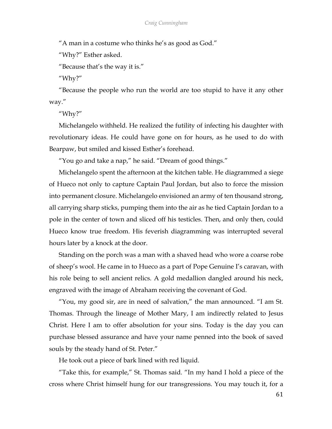"A man in a costume who thinks he's as good as God."

"Why?" Esther asked.

"Because that's the way it is."

"Why?"

"Because the people who run the world are too stupid to have it any other way."

"Why?"

Michelangelo withheld. He realized the futility of infecting his daughter with revolutionary ideas. He could have gone on for hours, as he used to do with Bearpaw, but smiled and kissed Esther's forehead.

"You go and take a nap," he said. "Dream of good things."

Michelangelo spent the afternoon at the kitchen table. He diagrammed a siege of Hueco not only to capture Captain Paul Jordan, but also to force the mission into permanent closure. Michelangelo envisioned an army of ten thousand strong, all carrying sharp sticks, pumping them into the air as he tied Captain Jordan to a pole in the center of town and sliced off his testicles. Then, and only then, could Hueco know true freedom. His feverish diagramming was interrupted several hours later by a knock at the door.

Standing on the porch was a man with a shaved head who wore a coarse robe of sheep's wool. He came in to Hueco as a part of Pope Genuine I's caravan, with his role being to sell ancient relics. A gold medallion dangled around his neck, engraved with the image of Abraham receiving the covenant of God.

"You, my good sir, are in need of salvation," the man announced. "I am St. Thomas. Through the lineage of Mother Mary, I am indirectly related to Jesus Christ. Here I am to offer absolution for your sins. Today is the day you can purchase blessed assurance and have your name penned into the book of saved souls by the steady hand of St. Peter."

He took out a piece of bark lined with red liquid.

"Take this, for example," St. Thomas said. "In my hand I hold a piece of the cross where Christ himself hung for our transgressions. You may touch it, for a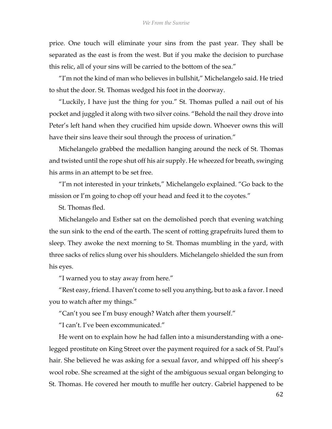price. One touch will eliminate your sins from the past year. They shall be separated as the east is from the west. But if you make the decision to purchase this relic, all of your sins will be carried to the bottom of the sea."

"I'm not the kind of man who believes in bullshit," Michelangelo said. He tried to shut the door. St. Thomas wedged his foot in the doorway.

"Luckily, I have just the thing for you." St. Thomas pulled a nail out of his pocket and juggled it along with two silver coins. "Behold the nail they drove into Peter's left hand when they crucified him upside down. Whoever owns this will have their sins leave their soul through the process of urination."

Michelangelo grabbed the medallion hanging around the neck of St. Thomas and twisted until the rope shut off his air supply. He wheezed for breath, swinging his arms in an attempt to be set free.

"I'm not interested in your trinkets," Michelangelo explained. "Go back to the mission or I'm going to chop off your head and feed it to the coyotes."

St. Thomas fled.

Michelangelo and Esther sat on the demolished porch that evening watching the sun sink to the end of the earth. The scent of rotting grapefruits lured them to sleep. They awoke the next morning to St. Thomas mumbling in the yard, with three sacks of relics slung over his shoulders. Michelangelo shielded the sun from his eyes.

"I warned you to stay away from here."

"Rest easy, friend. I haven't come to sell you anything, but to ask a favor. I need you to watch after my things."

"Can't you see I'm busy enough? Watch after them yourself."

"I can't. I've been excommunicated."

He went on to explain how he had fallen into a misunderstanding with a onelegged prostitute on King Street over the payment required for a sack of St. Paul's hair. She believed he was asking for a sexual favor, and whipped off his sheep's wool robe. She screamed at the sight of the ambiguous sexual organ belonging to St. Thomas. He covered her mouth to muffle her outcry. Gabriel happened to be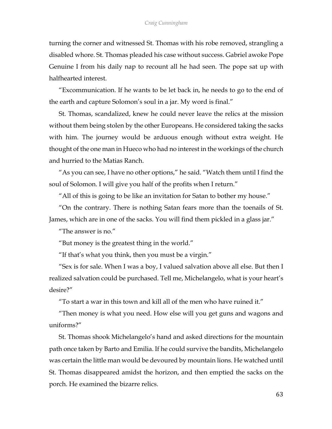turning the corner and witnessed St. Thomas with his robe removed, strangling a disabled whore. St. Thomas pleaded his case without success. Gabriel awoke Pope Genuine I from his daily nap to recount all he had seen. The pope sat up with halfhearted interest.

"Excommunication. If he wants to be let back in, he needs to go to the end of the earth and capture Solomon's soul in a jar. My word is final."

St. Thomas, scandalized, knew he could never leave the relics at the mission without them being stolen by the other Europeans. He considered taking the sacks with him. The journey would be arduous enough without extra weight. He thought of the one man in Hueco who had no interest in the workings of the church and hurried to the Matias Ranch.

"As you can see, I have no other options," he said. "Watch them until I find the soul of Solomon. I will give you half of the profits when I return."

"All of this is going to be like an invitation for Satan to bother my house."

"On the contrary. There is nothing Satan fears more than the toenails of St. James, which are in one of the sacks. You will find them pickled in a glass jar."

"The answer is no."

"But money is the greatest thing in the world."

"If that's what you think, then you must be a virgin."

"Sex is for sale. When I was a boy, I valued salvation above all else. But then I realized salvation could be purchased. Tell me, Michelangelo, what is your heart's desire?"

"To start a war in this town and kill all of the men who have ruined it."

"Then money is what you need. How else will you get guns and wagons and uniforms?"

St. Thomas shook Michelangelo's hand and asked directions for the mountain path once taken by Barto and Emilia. If he could survive the bandits, Michelangelo was certain the little man would be devoured by mountain lions. He watched until St. Thomas disappeared amidst the horizon, and then emptied the sacks on the porch. He examined the bizarre relics.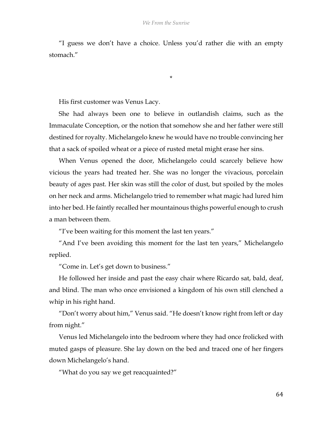"I guess we don't have a choice. Unless you'd rather die with an empty stomach."

\*

His first customer was Venus Lacy.

She had always been one to believe in outlandish claims, such as the Immaculate Conception, or the notion that somehow she and her father were still destined for royalty. Michelangelo knew he would have no trouble convincing her that a sack of spoiled wheat or a piece of rusted metal might erase her sins.

When Venus opened the door, Michelangelo could scarcely believe how vicious the years had treated her. She was no longer the vivacious, porcelain beauty of ages past. Her skin was still the color of dust, but spoiled by the moles on her neck and arms. Michelangelo tried to remember what magic had lured him into her bed. He faintly recalled her mountainous thighs powerful enough to crush a man between them.

"I've been waiting for this moment the last ten years."

"And I've been avoiding this moment for the last ten years," Michelangelo replied.

"Come in. Let's get down to business."

He followed her inside and past the easy chair where Ricardo sat, bald, deaf, and blind. The man who once envisioned a kingdom of his own still clenched a whip in his right hand.

"Don't worry about him," Venus said. "He doesn't know right from left or day from night."

Venus led Michelangelo into the bedroom where they had once frolicked with muted gasps of pleasure. She lay down on the bed and traced one of her fingers down Michelangelo's hand.

"What do you say we get reacquainted?"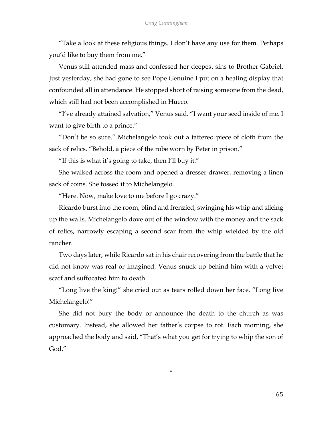"Take a look at these religious things. I don't have any use for them. Perhaps you'd like to buy them from me."

Venus still attended mass and confessed her deepest sins to Brother Gabriel. Just yesterday, she had gone to see Pope Genuine I put on a healing display that confounded all in attendance. He stopped short of raising someone from the dead, which still had not been accomplished in Hueco.

"I've already attained salvation," Venus said. "I want your seed inside of me. I want to give birth to a prince."

"Don't be so sure." Michelangelo took out a tattered piece of cloth from the sack of relics. "Behold, a piece of the robe worn by Peter in prison."

"If this is what it's going to take, then I'll buy it."

She walked across the room and opened a dresser drawer, removing a linen sack of coins. She tossed it to Michelangelo.

"Here. Now, make love to me before I go crazy."

Ricardo burst into the room, blind and frenzied, swinging his whip and slicing up the walls. Michelangelo dove out of the window with the money and the sack of relics, narrowly escaping a second scar from the whip wielded by the old rancher.

Two days later, while Ricardo sat in his chair recovering from the battle that he did not know was real or imagined, Venus snuck up behind him with a velvet scarf and suffocated him to death.

"Long live the king!" she cried out as tears rolled down her face. "Long live Michelangelo!"

She did not bury the body or announce the death to the church as was customary. Instead, she allowed her father's corpse to rot. Each morning, she approached the body and said, "That's what you get for trying to whip the son of God."

\*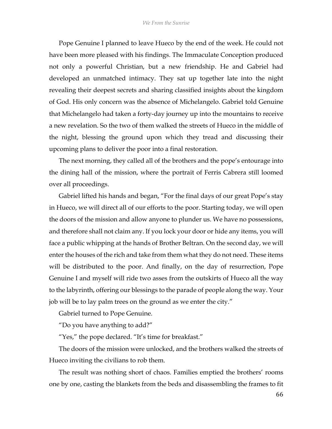Pope Genuine I planned to leave Hueco by the end of the week. He could not have been more pleased with his findings. The Immaculate Conception produced not only a powerful Christian, but a new friendship. He and Gabriel had developed an unmatched intimacy. They sat up together late into the night revealing their deepest secrets and sharing classified insights about the kingdom of God. His only concern was the absence of Michelangelo. Gabriel told Genuine that Michelangelo had taken a forty-day journey up into the mountains to receive a new revelation. So the two of them walked the streets of Hueco in the middle of the night, blessing the ground upon which they tread and discussing their upcoming plans to deliver the poor into a final restoration.

The next morning, they called all of the brothers and the pope's entourage into the dining hall of the mission, where the portrait of Ferris Cabrera still loomed over all proceedings.

Gabriel lifted his hands and began, "For the final days of our great Pope's stay in Hueco, we will direct all of our efforts to the poor. Starting today, we will open the doors of the mission and allow anyone to plunder us. We have no possessions, and therefore shall not claim any. If you lock your door or hide any items, you will face a public whipping at the hands of Brother Beltran. On the second day, we will enter the houses of the rich and take from them what they do not need. These items will be distributed to the poor. And finally, on the day of resurrection, Pope Genuine I and myself will ride two asses from the outskirts of Hueco all the way to the labyrinth, offering our blessings to the parade of people along the way. Your job will be to lay palm trees on the ground as we enter the city."

Gabriel turned to Pope Genuine.

"Do you have anything to add?"

"Yes," the pope declared. "It's time for breakfast."

The doors of the mission were unlocked, and the brothers walked the streets of Hueco inviting the civilians to rob them.

The result was nothing short of chaos. Families emptied the brothers' rooms one by one, casting the blankets from the beds and disassembling the frames to fit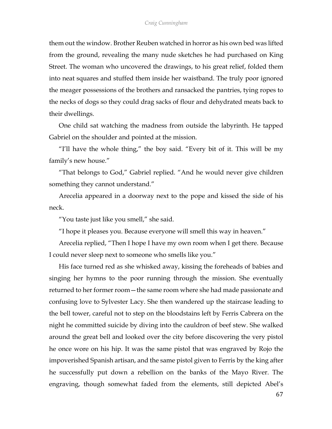them out the window. Brother Reuben watched in horror as his own bed was lifted from the ground, revealing the many nude sketches he had purchased on King Street. The woman who uncovered the drawings, to his great relief, folded them into neat squares and stuffed them inside her waistband. The truly poor ignored the meager possessions of the brothers and ransacked the pantries, tying ropes to the necks of dogs so they could drag sacks of flour and dehydrated meats back to their dwellings.

One child sat watching the madness from outside the labyrinth. He tapped Gabriel on the shoulder and pointed at the mission.

"I'll have the whole thing," the boy said. "Every bit of it. This will be my family's new house."

"That belongs to God," Gabriel replied. "And he would never give children something they cannot understand."

Arecelia appeared in a doorway next to the pope and kissed the side of his neck.

"You taste just like you smell," she said.

"I hope it pleases you. Because everyone will smell this way in heaven."

Arecelia replied, "Then I hope I have my own room when I get there. Because I could never sleep next to someone who smells like you."

His face turned red as she whisked away, kissing the foreheads of babies and singing her hymns to the poor running through the mission. She eventually returned to her former room—the same room where she had made passionate and confusing love to Sylvester Lacy. She then wandered up the staircase leading to the bell tower, careful not to step on the bloodstains left by Ferris Cabrera on the night he committed suicide by diving into the cauldron of beef stew. She walked around the great bell and looked over the city before discovering the very pistol he once wore on his hip. It was the same pistol that was engraved by Rojo the impoverished Spanish artisan, and the same pistol given to Ferris by the king after he successfully put down a rebellion on the banks of the Mayo River. The engraving, though somewhat faded from the elements, still depicted Abel's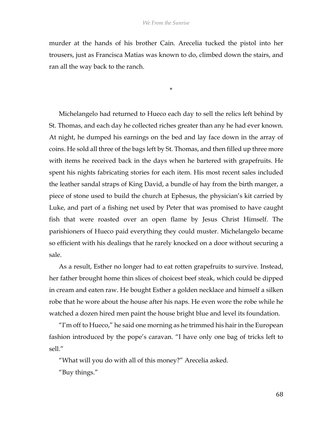murder at the hands of his brother Cain. Arecelia tucked the pistol into her trousers, just as Francisca Matias was known to do, climbed down the stairs, and ran all the way back to the ranch.

\*

Michelangelo had returned to Hueco each day to sell the relics left behind by St. Thomas, and each day he collected riches greater than any he had ever known. At night, he dumped his earnings on the bed and lay face down in the array of coins. He sold all three of the bags left by St. Thomas, and then filled up three more with items he received back in the days when he bartered with grapefruits. He spent his nights fabricating stories for each item. His most recent sales included the leather sandal straps of King David, a bundle of hay from the birth manger, a piece of stone used to build the church at Ephesus, the physician's kit carried by Luke, and part of a fishing net used by Peter that was promised to have caught fish that were roasted over an open flame by Jesus Christ Himself. The parishioners of Hueco paid everything they could muster. Michelangelo became so efficient with his dealings that he rarely knocked on a door without securing a sale.

As a result, Esther no longer had to eat rotten grapefruits to survive. Instead, her father brought home thin slices of choicest beef steak, which could be dipped in cream and eaten raw. He bought Esther a golden necklace and himself a silken robe that he wore about the house after his naps. He even wore the robe while he watched a dozen hired men paint the house bright blue and level its foundation.

"I'm off to Hueco," he said one morning as he trimmed his hair in the European fashion introduced by the pope's caravan. "I have only one bag of tricks left to sell."

"What will you do with all of this money?" Arecelia asked.

"Buy things."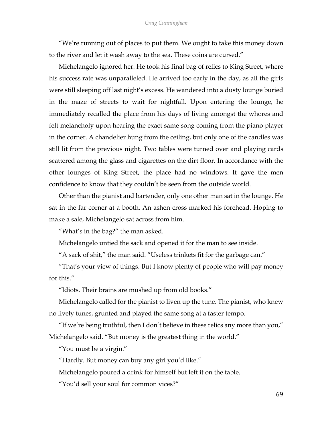"We're running out of places to put them. We ought to take this money down to the river and let it wash away to the sea. These coins are cursed."

Michelangelo ignored her. He took his final bag of relics to King Street, where his success rate was unparalleled. He arrived too early in the day, as all the girls were still sleeping off last night's excess. He wandered into a dusty lounge buried in the maze of streets to wait for nightfall. Upon entering the lounge, he immediately recalled the place from his days of living amongst the whores and felt melancholy upon hearing the exact same song coming from the piano player in the corner. A chandelier hung from the ceiling, but only one of the candles was still lit from the previous night. Two tables were turned over and playing cards scattered among the glass and cigarettes on the dirt floor. In accordance with the other lounges of King Street, the place had no windows. It gave the men confidence to know that they couldn't be seen from the outside world.

Other than the pianist and bartender, only one other man sat in the lounge. He sat in the far corner at a booth. An ashen cross marked his forehead. Hoping to make a sale, Michelangelo sat across from him.

"What's in the bag?" the man asked.

Michelangelo untied the sack and opened it for the man to see inside.

"A sack of shit," the man said. "Useless trinkets fit for the garbage can."

"That's your view of things. But I know plenty of people who will pay money for this."

"Idiots. Their brains are mushed up from old books."

Michelangelo called for the pianist to liven up the tune. The pianist, who knew no lively tunes, grunted and played the same song at a faster tempo.

"If we're being truthful, then I don't believe in these relics any more than you," Michelangelo said. "But money is the greatest thing in the world."

"You must be a virgin."

"Hardly. But money can buy any girl you'd like."

Michelangelo poured a drink for himself but left it on the table.

"You'd sell your soul for common vices?"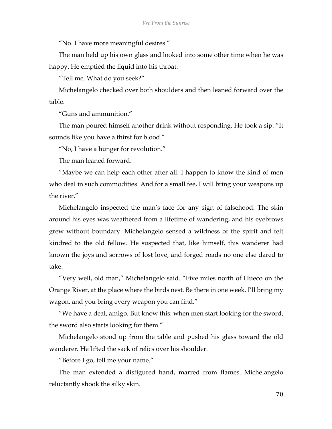"No. I have more meaningful desires."

The man held up his own glass and looked into some other time when he was happy. He emptied the liquid into his throat.

"Tell me. What do you seek?"

Michelangelo checked over both shoulders and then leaned forward over the table.

"Guns and ammunition."

The man poured himself another drink without responding. He took a sip. "It sounds like you have a thirst for blood."

"No, I have a hunger for revolution."

The man leaned forward.

"Maybe we can help each other after all. I happen to know the kind of men who deal in such commodities. And for a small fee, I will bring your weapons up the river."

Michelangelo inspected the man's face for any sign of falsehood. The skin around his eyes was weathered from a lifetime of wandering, and his eyebrows grew without boundary. Michelangelo sensed a wildness of the spirit and felt kindred to the old fellow. He suspected that, like himself, this wanderer had known the joys and sorrows of lost love, and forged roads no one else dared to take.

"Very well, old man," Michelangelo said. "Five miles north of Hueco on the Orange River, at the place where the birds nest. Be there in one week. I'll bring my wagon, and you bring every weapon you can find."

"We have a deal, amigo. But know this: when men start looking for the sword, the sword also starts looking for them."

Michelangelo stood up from the table and pushed his glass toward the old wanderer. He lifted the sack of relics over his shoulder.

"Before I go, tell me your name."

The man extended a disfigured hand, marred from flames. Michelangelo reluctantly shook the silky skin.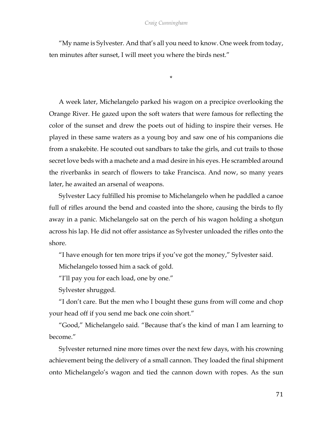"My name is Sylvester. And that's all you need to know. One week from today, ten minutes after sunset, I will meet you where the birds nest."

\*

A week later, Michelangelo parked his wagon on a precipice overlooking the Orange River. He gazed upon the soft waters that were famous for reflecting the color of the sunset and drew the poets out of hiding to inspire their verses. He played in these same waters as a young boy and saw one of his companions die from a snakebite. He scouted out sandbars to take the girls, and cut trails to those secret love beds with a machete and a mad desire in his eyes. He scrambled around the riverbanks in search of flowers to take Francisca. And now, so many years later, he awaited an arsenal of weapons.

Sylvester Lacy fulfilled his promise to Michelangelo when he paddled a canoe full of rifles around the bend and coasted into the shore, causing the birds to fly away in a panic. Michelangelo sat on the perch of his wagon holding a shotgun across his lap. He did not offer assistance as Sylvester unloaded the rifles onto the shore.

"I have enough for ten more trips if you've got the money," Sylvester said.

Michelangelo tossed him a sack of gold.

"I'll pay you for each load, one by one."

Sylvester shrugged.

"I don't care. But the men who I bought these guns from will come and chop your head off if you send me back one coin short."

"Good," Michelangelo said. "Because that's the kind of man I am learning to become."

Sylvester returned nine more times over the next few days, with his crowning achievement being the delivery of a small cannon. They loaded the final shipment onto Michelangelo's wagon and tied the cannon down with ropes. As the sun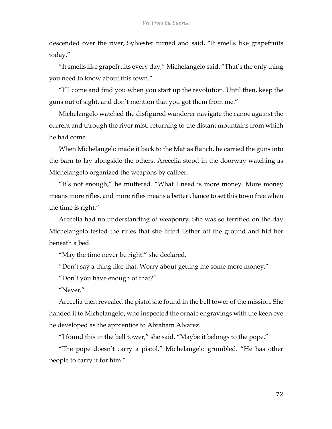descended over the river, Sylvester turned and said, "It smells like grapefruits today."

"It smells like grapefruits every day," Michelangelo said. "That's the only thing you need to know about this town."

"I'll come and find you when you start up the revolution. Until then, keep the guns out of sight, and don't mention that you got them from me."

Michelangelo watched the disfigured wanderer navigate the canoe against the current and through the river mist, returning to the distant mountains from which he had come.

When Michelangelo made it back to the Matias Ranch, he carried the guns into the barn to lay alongside the others. Arecelia stood in the doorway watching as Michelangelo organized the weapons by caliber.

"It's not enough," he muttered. "What I need is more money. More money means more rifles, and more rifles means a better chance to set this town free when the time is right."

Arecelia had no understanding of weaponry. She was so terrified on the day Michelangelo tested the rifles that she lifted Esther off the ground and hid her beneath a bed.

"May the time never be right!" she declared.

"Don't say a thing like that. Worry about getting me some more money."

"Don't you have enough of that?"

"Never."

Arecelia then revealed the pistol she found in the bell tower of the mission. She handed it to Michelangelo, who inspected the ornate engravings with the keen eye he developed as the apprentice to Abraham Alvarez.

"I found this in the bell tower," she said. "Maybe it belongs to the pope."

"The pope doesn't carry a pistol," Michelangelo grumbled. "He has other people to carry it for him."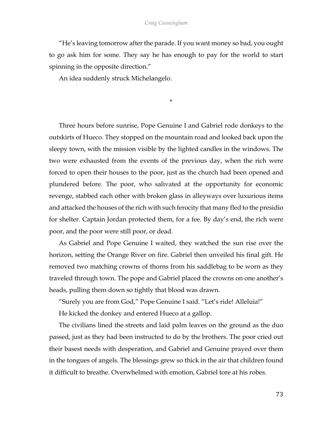## *Craig Cunningham*

"He's leaving tomorrow after the parade. If you want money so bad, you ought to go ask him for some. They say he has enough to pay for the world to start spinning in the opposite direction."

An idea suddenly struck Michelangelo.

\*

Three hours before sunrise, Pope Genuine I and Gabriel rode donkeys to the outskirts of Hueco. They stopped on the mountain road and looked back upon the sleepy town, with the mission visible by the lighted candles in the windows. The two were exhausted from the events of the previous day, when the rich were forced to open their houses to the poor, just as the church had been opened and plundered before. The poor, who salivated at the opportunity for economic revenge, stabbed each other with broken glass in alleyways over luxurious items and attacked the houses of the rich with such ferocity that many fled to the presidio for shelter. Captain Jordan protected them, for a fee. By day's end, the rich were poor, and the poor were still poor, or dead.

As Gabriel and Pope Genuine I waited, they watched the sun rise over the horizon, setting the Orange River on fire. Gabriel then unveiled his final gift. He removed two matching crowns of thorns from his saddlebag to be worn as they traveled through town. The pope and Gabriel placed the crowns on one another's heads, pulling them down so tightly that blood was drawn.

"Surely you are from God," Pope Genuine I said. "Let's ride! Alleluia!"

He kicked the donkey and entered Hueco at a gallop.

The civilians lined the streets and laid palm leaves on the ground as the duo passed, just as they had been instructed to do by the brothers. The poor cried out their basest needs with desperation, and Gabriel and Genuine prayed over them in the tongues of angels. The blessings grew so thick in the air that children found it difficult to breathe. Overwhelmed with emotion, Gabriel tore at his robes.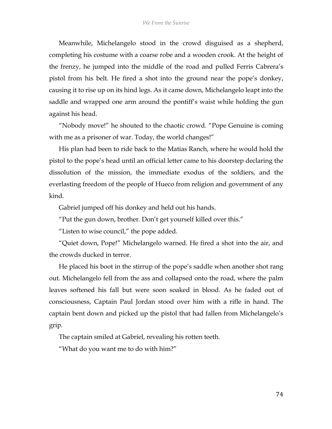Meanwhile, Michelangelo stood in the crowd disguised as a shepherd, completing his costume with a coarse robe and a wooden crook. At the height of the frenzy, he jumped into the middle of the road and pulled Ferris Cabrera's pistol from his belt. He fired a shot into the ground near the pope's donkey, causing it to rise up on its hind legs. As it came down, Michelangelo leapt into the saddle and wrapped one arm around the pontiff's waist while holding the gun against his head.

"Nobody move!" he shouted to the chaotic crowd. "Pope Genuine is coming with me as a prisoner of war. Today, the world changes!"

His plan had been to ride back to the Matias Ranch, where he would hold the pistol to the pope's head until an official letter came to his doorstep declaring the dissolution of the mission, the immediate exodus of the soldiers, and the everlasting freedom of the people of Hueco from religion and government of any kind.

Gabriel jumped off his donkey and held out his hands.

"Put the gun down, brother. Don't get yourself killed over this."

"Listen to wise council," the pope added.

"Quiet down, Pope!" Michelangelo warned. He fired a shot into the air, and the crowds ducked in terror.

He placed his boot in the stirrup of the pope's saddle when another shot rang out. Michelangelo fell from the ass and collapsed onto the road, where the palm leaves softened his fall but were soon soaked in blood. As he faded out of consciousness, Captain Paul Jordan stood over him with a rifle in hand. The captain bent down and picked up the pistol that had fallen from Michelangelo's grip.

The captain smiled at Gabriel, revealing his rotten teeth.

"What do you want me to do with him?"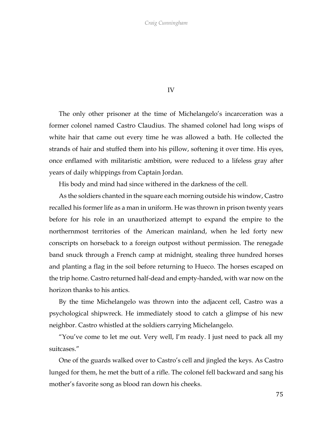## IV

The only other prisoner at the time of Michelangelo's incarceration was a former colonel named Castro Claudius. The shamed colonel had long wisps of white hair that came out every time he was allowed a bath. He collected the strands of hair and stuffed them into his pillow, softening it over time. His eyes, once enflamed with militaristic ambition, were reduced to a lifeless gray after years of daily whippings from Captain Jordan.

His body and mind had since withered in the darkness of the cell.

As the soldiers chanted in the square each morning outside his window, Castro recalled his former life as a man in uniform. He was thrown in prison twenty years before for his role in an unauthorized attempt to expand the empire to the northernmost territories of the American mainland, when he led forty new conscripts on horseback to a foreign outpost without permission. The renegade band snuck through a French camp at midnight, stealing three hundred horses and planting a flag in the soil before returning to Hueco. The horses escaped on the trip home. Castro returned half-dead and empty-handed, with war now on the horizon thanks to his antics.

By the time Michelangelo was thrown into the adjacent cell, Castro was a psychological shipwreck. He immediately stood to catch a glimpse of his new neighbor. Castro whistled at the soldiers carrying Michelangelo.

"You've come to let me out. Very well, I'm ready. I just need to pack all my suitcases."

One of the guards walked over to Castro's cell and jingled the keys. As Castro lunged for them, he met the butt of a rifle. The colonel fell backward and sang his mother's favorite song as blood ran down his cheeks.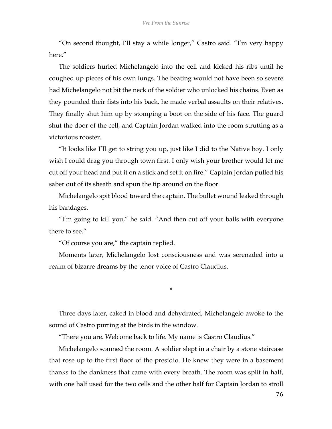"On second thought, I'll stay a while longer," Castro said. "I'm very happy here"

The soldiers hurled Michelangelo into the cell and kicked his ribs until he coughed up pieces of his own lungs. The beating would not have been so severe had Michelangelo not bit the neck of the soldier who unlocked his chains. Even as they pounded their fists into his back, he made verbal assaults on their relatives. They finally shut him up by stomping a boot on the side of his face. The guard shut the door of the cell, and Captain Jordan walked into the room strutting as a victorious rooster.

"It looks like I'll get to string you up, just like I did to the Native boy. I only wish I could drag you through town first. I only wish your brother would let me cut off your head and put it on a stick and set it on fire." Captain Jordan pulled his saber out of its sheath and spun the tip around on the floor.

Michelangelo spit blood toward the captain. The bullet wound leaked through his bandages.

"I'm going to kill you," he said. "And then cut off your balls with everyone there to see."

"Of course you are," the captain replied.

Moments later, Michelangelo lost consciousness and was serenaded into a realm of bizarre dreams by the tenor voice of Castro Claudius.

\*

Three days later, caked in blood and dehydrated, Michelangelo awoke to the sound of Castro purring at the birds in the window.

"There you are. Welcome back to life. My name is Castro Claudius."

Michelangelo scanned the room. A soldier slept in a chair by a stone staircase that rose up to the first floor of the presidio. He knew they were in a basement thanks to the dankness that came with every breath. The room was split in half, with one half used for the two cells and the other half for Captain Jordan to stroll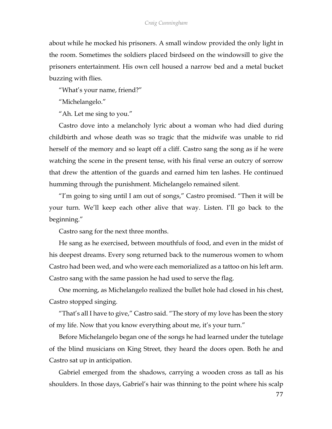## *Craig Cunningham*

about while he mocked his prisoners. A small window provided the only light in the room. Sometimes the soldiers placed birdseed on the windowsill to give the prisoners entertainment. His own cell housed a narrow bed and a metal bucket buzzing with flies.

"What's your name, friend?"

"Michelangelo."

"Ah. Let me sing to you."

Castro dove into a melancholy lyric about a woman who had died during childbirth and whose death was so tragic that the midwife was unable to rid herself of the memory and so leapt off a cliff. Castro sang the song as if he were watching the scene in the present tense, with his final verse an outcry of sorrow that drew the attention of the guards and earned him ten lashes. He continued humming through the punishment. Michelangelo remained silent.

"I'm going to sing until I am out of songs," Castro promised. "Then it will be your turn. We'll keep each other alive that way. Listen. I'll go back to the beginning."

Castro sang for the next three months.

He sang as he exercised, between mouthfuls of food, and even in the midst of his deepest dreams. Every song returned back to the numerous women to whom Castro had been wed, and who were each memorialized as a tattoo on his left arm. Castro sang with the same passion he had used to serve the flag.

One morning, as Michelangelo realized the bullet hole had closed in his chest, Castro stopped singing.

"That's all I have to give," Castro said. "The story of my love has been the story of my life. Now that you know everything about me, it's your turn."

Before Michelangelo began one of the songs he had learned under the tutelage of the blind musicians on King Street, they heard the doors open. Both he and Castro sat up in anticipation.

Gabriel emerged from the shadows, carrying a wooden cross as tall as his shoulders. In those days, Gabriel's hair was thinning to the point where his scalp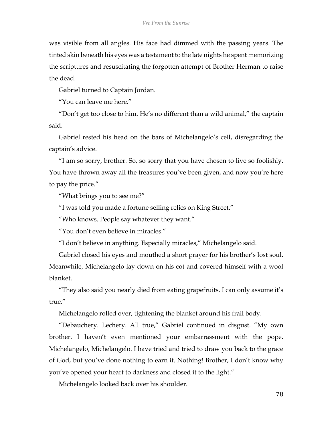was visible from all angles. His face had dimmed with the passing years. The tinted skin beneath his eyes was a testament to the late nights he spent memorizing the scriptures and resuscitating the forgotten attempt of Brother Herman to raise the dead.

Gabriel turned to Captain Jordan.

"You can leave me here."

"Don't get too close to him. He's no different than a wild animal," the captain said.

Gabriel rested his head on the bars of Michelangelo's cell, disregarding the captain's advice.

"I am so sorry, brother. So, so sorry that you have chosen to live so foolishly. You have thrown away all the treasures you've been given, and now you're here to pay the price."

"What brings you to see me?"

"I was told you made a fortune selling relics on King Street."

"Who knows. People say whatever they want."

"You don't even believe in miracles."

"I don't believe in anything. Especially miracles," Michelangelo said.

Gabriel closed his eyes and mouthed a short prayer for his brother's lost soul. Meanwhile, Michelangelo lay down on his cot and covered himself with a wool blanket.

"They also said you nearly died from eating grapefruits. I can only assume it's true."

Michelangelo rolled over, tightening the blanket around his frail body.

"Debauchery. Lechery. All true," Gabriel continued in disgust. "My own brother. I haven't even mentioned your embarrassment with the pope. Michelangelo, Michelangelo. I have tried and tried to draw you back to the grace of God, but you've done nothing to earn it. Nothing! Brother, I don't know why you've opened your heart to darkness and closed it to the light."

Michelangelo looked back over his shoulder.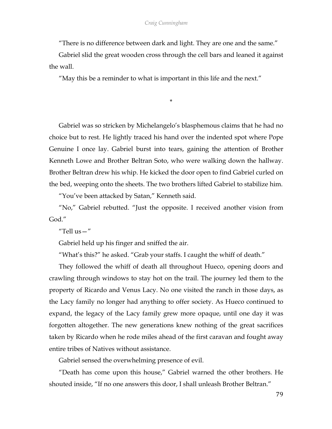"There is no difference between dark and light. They are one and the same."

Gabriel slid the great wooden cross through the cell bars and leaned it against the wall.

\*

"May this be a reminder to what is important in this life and the next."

Gabriel was so stricken by Michelangelo's blasphemous claims that he had no choice but to rest. He lightly traced his hand over the indented spot where Pope Genuine I once lay. Gabriel burst into tears, gaining the attention of Brother Kenneth Lowe and Brother Beltran Soto, who were walking down the hallway. Brother Beltran drew his whip. He kicked the door open to find Gabriel curled on the bed, weeping onto the sheets. The two brothers lifted Gabriel to stabilize him.

"You've been attacked by Satan," Kenneth said.

"No," Gabriel rebutted. "Just the opposite. I received another vision from God."

"Tell us—"

Gabriel held up his finger and sniffed the air.

"What's this?" he asked. "Grab your staffs. I caught the whiff of death."

They followed the whiff of death all throughout Hueco, opening doors and crawling through windows to stay hot on the trail. The journey led them to the property of Ricardo and Venus Lacy. No one visited the ranch in those days, as the Lacy family no longer had anything to offer society. As Hueco continued to expand, the legacy of the Lacy family grew more opaque, until one day it was forgotten altogether. The new generations knew nothing of the great sacrifices taken by Ricardo when he rode miles ahead of the first caravan and fought away entire tribes of Natives without assistance.

Gabriel sensed the overwhelming presence of evil.

"Death has come upon this house," Gabriel warned the other brothers. He shouted inside, "If no one answers this door, I shall unleash Brother Beltran."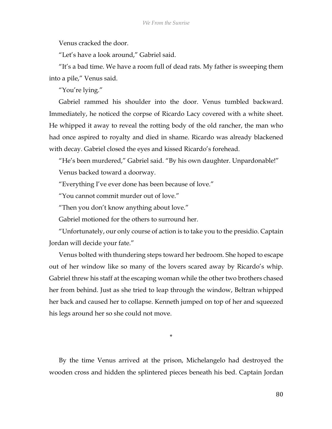Venus cracked the door.

"Let's have a look around," Gabriel said.

"It's a bad time. We have a room full of dead rats. My father is sweeping them into a pile," Venus said.

"You're lying."

Gabriel rammed his shoulder into the door. Venus tumbled backward. Immediately, he noticed the corpse of Ricardo Lacy covered with a white sheet. He whipped it away to reveal the rotting body of the old rancher, the man who had once aspired to royalty and died in shame. Ricardo was already blackened with decay. Gabriel closed the eyes and kissed Ricardo's forehead.

"He's been murdered," Gabriel said. "By his own daughter. Unpardonable!" Venus backed toward a doorway.

"Everything I've ever done has been because of love."

"You cannot commit murder out of love."

"Then you don't know anything about love."

Gabriel motioned for the others to surround her.

"Unfortunately, our only course of action is to take you to the presidio. Captain Jordan will decide your fate."

Venus bolted with thundering steps toward her bedroom. She hoped to escape out of her window like so many of the lovers scared away by Ricardo's whip. Gabriel threw his staff at the escaping woman while the other two brothers chased her from behind. Just as she tried to leap through the window, Beltran whipped her back and caused her to collapse. Kenneth jumped on top of her and squeezed his legs around her so she could not move.

\*

By the time Venus arrived at the prison, Michelangelo had destroyed the wooden cross and hidden the splintered pieces beneath his bed. Captain Jordan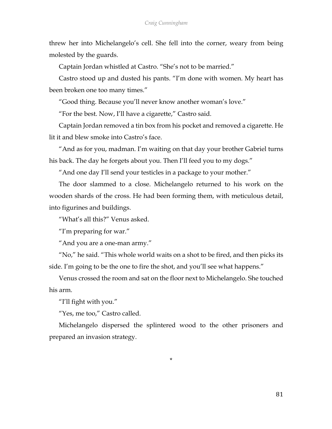threw her into Michelangelo's cell. She fell into the corner, weary from being molested by the guards.

Captain Jordan whistled at Castro. "She's not to be married."

Castro stood up and dusted his pants. "I'm done with women. My heart has been broken one too many times."

"Good thing. Because you'll never know another woman's love."

"For the best. Now, I'll have a cigarette," Castro said.

Captain Jordan removed a tin box from his pocket and removed a cigarette. He lit it and blew smoke into Castro's face.

"And as for you, madman. I'm waiting on that day your brother Gabriel turns his back. The day he forgets about you. Then I'll feed you to my dogs."

"And one day I'll send your testicles in a package to your mother."

The door slammed to a close. Michelangelo returned to his work on the wooden shards of the cross. He had been forming them, with meticulous detail, into figurines and buildings.

"What's all this?" Venus asked.

"I'm preparing for war."

"And you are a one-man army."

"No," he said. "This whole world waits on a shot to be fired, and then picks its side. I'm going to be the one to fire the shot, and you'll see what happens."

Venus crossed the room and sat on the floor next to Michelangelo. She touched his arm.

"I'll fight with you."

"Yes, me too," Castro called.

Michelangelo dispersed the splintered wood to the other prisoners and prepared an invasion strategy.

\*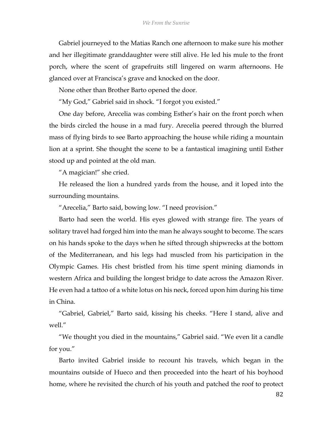Gabriel journeyed to the Matias Ranch one afternoon to make sure his mother and her illegitimate granddaughter were still alive. He led his mule to the front porch, where the scent of grapefruits still lingered on warm afternoons. He glanced over at Francisca's grave and knocked on the door.

None other than Brother Barto opened the door.

"My God," Gabriel said in shock. "I forgot you existed."

One day before, Arecelia was combing Esther's hair on the front porch when the birds circled the house in a mad fury. Arecelia peered through the blurred mass of flying birds to see Barto approaching the house while riding a mountain lion at a sprint. She thought the scene to be a fantastical imagining until Esther stood up and pointed at the old man.

"A magician!" she cried.

He released the lion a hundred yards from the house, and it loped into the surrounding mountains.

"Arecelia," Barto said, bowing low. "I need provision."

Barto had seen the world. His eyes glowed with strange fire. The years of solitary travel had forged him into the man he always sought to become. The scars on his hands spoke to the days when he sifted through shipwrecks at the bottom of the Mediterranean, and his legs had muscled from his participation in the Olympic Games. His chest bristled from his time spent mining diamonds in western Africa and building the longest bridge to date across the Amazon River. He even had a tattoo of a white lotus on his neck, forced upon him during his time in China.

"Gabriel, Gabriel," Barto said, kissing his cheeks. "Here I stand, alive and well."

"We thought you died in the mountains," Gabriel said. "We even lit a candle for you."

Barto invited Gabriel inside to recount his travels, which began in the mountains outside of Hueco and then proceeded into the heart of his boyhood home, where he revisited the church of his youth and patched the roof to protect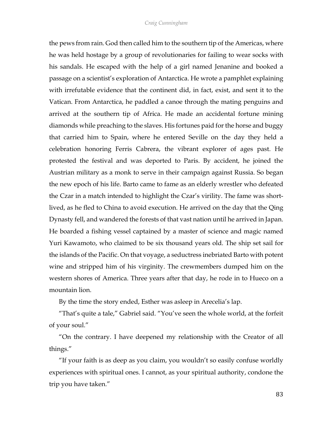the pews from rain. God then called him to the southern tip of the Americas, where he was held hostage by a group of revolutionaries for failing to wear socks with his sandals. He escaped with the help of a girl named Jenanine and booked a passage on a scientist's exploration of Antarctica. He wrote a pamphlet explaining with irrefutable evidence that the continent did, in fact, exist, and sent it to the Vatican. From Antarctica, he paddled a canoe through the mating penguins and arrived at the southern tip of Africa. He made an accidental fortune mining diamonds while preaching to the slaves. His fortunes paid for the horse and buggy that carried him to Spain, where he entered Seville on the day they held a celebration honoring Ferris Cabrera, the vibrant explorer of ages past. He protested the festival and was deported to Paris. By accident, he joined the Austrian military as a monk to serve in their campaign against Russia. So began the new epoch of his life. Barto came to fame as an elderly wrestler who defeated the Czar in a match intended to highlight the Czar's virility. The fame was shortlived, as he fled to China to avoid execution. He arrived on the day that the Qing Dynasty fell, and wandered the forests of that vast nation until he arrived in Japan. He boarded a fishing vessel captained by a master of science and magic named Yuri Kawamoto, who claimed to be six thousand years old. The ship set sail for the islands of the Pacific. On that voyage, a seductress inebriated Barto with potent wine and stripped him of his virginity. The crewmembers dumped him on the western shores of America. Three years after that day, he rode in to Hueco on a mountain lion.

By the time the story ended, Esther was asleep in Arecelia's lap.

"That's quite a tale," Gabriel said. "You've seen the whole world, at the forfeit of your soul."

"On the contrary. I have deepened my relationship with the Creator of all things."

"If your faith is as deep as you claim, you wouldn't so easily confuse worldly experiences with spiritual ones. I cannot, as your spiritual authority, condone the trip you have taken."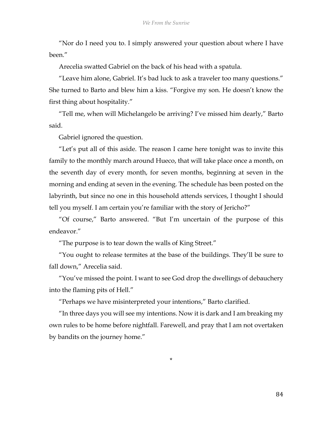"Nor do I need you to. I simply answered your question about where I have been."

Arecelia swatted Gabriel on the back of his head with a spatula.

"Leave him alone, Gabriel. It's bad luck to ask a traveler too many questions." She turned to Barto and blew him a kiss. "Forgive my son. He doesn't know the first thing about hospitality."

"Tell me, when will Michelangelo be arriving? I've missed him dearly," Barto said.

Gabriel ignored the question.

"Let's put all of this aside. The reason I came here tonight was to invite this family to the monthly march around Hueco, that will take place once a month, on the seventh day of every month, for seven months, beginning at seven in the morning and ending at seven in the evening. The schedule has been posted on the labyrinth, but since no one in this household attends services, I thought I should tell you myself. I am certain you're familiar with the story of Jericho?"

"Of course," Barto answered. "But I'm uncertain of the purpose of this endeavor."

"The purpose is to tear down the walls of King Street."

"You ought to release termites at the base of the buildings. They'll be sure to fall down," Arecelia said.

"You've missed the point. I want to see God drop the dwellings of debauchery into the flaming pits of Hell."

"Perhaps we have misinterpreted your intentions," Barto clarified.

"In three days you will see my intentions. Now it is dark and I am breaking my own rules to be home before nightfall. Farewell, and pray that I am not overtaken by bandits on the journey home."

\*

84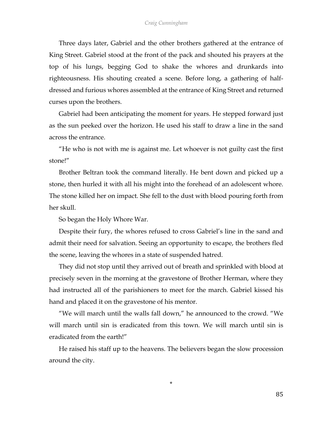Three days later, Gabriel and the other brothers gathered at the entrance of King Street. Gabriel stood at the front of the pack and shouted his prayers at the top of his lungs, begging God to shake the whores and drunkards into righteousness. His shouting created a scene. Before long, a gathering of halfdressed and furious whores assembled at the entrance of King Street and returned curses upon the brothers.

Gabriel had been anticipating the moment for years. He stepped forward just as the sun peeked over the horizon. He used his staff to draw a line in the sand across the entrance.

"He who is not with me is against me. Let whoever is not guilty cast the first stone!"

Brother Beltran took the command literally. He bent down and picked up a stone, then hurled it with all his might into the forehead of an adolescent whore. The stone killed her on impact. She fell to the dust with blood pouring forth from her skull.

So began the Holy Whore War.

Despite their fury, the whores refused to cross Gabriel's line in the sand and admit their need for salvation. Seeing an opportunity to escape, the brothers fled the scene, leaving the whores in a state of suspended hatred.

They did not stop until they arrived out of breath and sprinkled with blood at precisely seven in the morning at the gravestone of Brother Herman, where they had instructed all of the parishioners to meet for the march. Gabriel kissed his hand and placed it on the gravestone of his mentor.

"We will march until the walls fall down," he announced to the crowd. "We will march until sin is eradicated from this town. We will march until sin is eradicated from the earth!"

He raised his staff up to the heavens. The believers began the slow procession around the city.

\*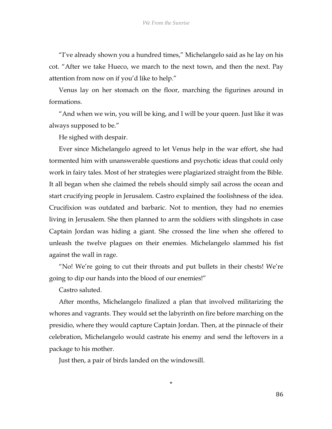"I've already shown you a hundred times," Michelangelo said as he lay on his cot. "After we take Hueco, we march to the next town, and then the next. Pay attention from now on if you'd like to help."

Venus lay on her stomach on the floor, marching the figurines around in formations.

"And when we win, you will be king, and I will be your queen. Just like it was always supposed to be."

He sighed with despair.

Ever since Michelangelo agreed to let Venus help in the war effort, she had tormented him with unanswerable questions and psychotic ideas that could only work in fairy tales. Most of her strategies were plagiarized straight from the Bible. It all began when she claimed the rebels should simply sail across the ocean and start crucifying people in Jerusalem. Castro explained the foolishness of the idea. Crucifixion was outdated and barbaric. Not to mention, they had no enemies living in Jerusalem. She then planned to arm the soldiers with slingshots in case Captain Jordan was hiding a giant. She crossed the line when she offered to unleash the twelve plagues on their enemies. Michelangelo slammed his fist against the wall in rage.

"No! We're going to cut their throats and put bullets in their chests! We're going to dip our hands into the blood of our enemies!"

Castro saluted.

After months, Michelangelo finalized a plan that involved militarizing the whores and vagrants. They would set the labyrinth on fire before marching on the presidio, where they would capture Captain Jordan. Then, at the pinnacle of their celebration, Michelangelo would castrate his enemy and send the leftovers in a package to his mother.

\*

Just then, a pair of birds landed on the windowsill.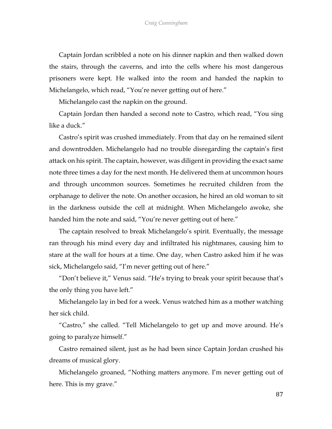Captain Jordan scribbled a note on his dinner napkin and then walked down the stairs, through the caverns, and into the cells where his most dangerous prisoners were kept. He walked into the room and handed the napkin to Michelangelo, which read, "You're never getting out of here."

Michelangelo cast the napkin on the ground.

Captain Jordan then handed a second note to Castro, which read, "You sing like a duck."

Castro's spirit was crushed immediately. From that day on he remained silent and downtrodden. Michelangelo had no trouble disregarding the captain's first attack on his spirit. The captain, however, was diligent in providing the exact same note three times a day for the next month. He delivered them at uncommon hours and through uncommon sources. Sometimes he recruited children from the orphanage to deliver the note. On another occasion, he hired an old woman to sit in the darkness outside the cell at midnight. When Michelangelo awoke, she handed him the note and said, "You're never getting out of here."

The captain resolved to break Michelangelo's spirit. Eventually, the message ran through his mind every day and infiltrated his nightmares, causing him to stare at the wall for hours at a time. One day, when Castro asked him if he was sick, Michelangelo said, "I'm never getting out of here."

"Don't believe it," Venus said. "He's trying to break your spirit because that's the only thing you have left."

Michelangelo lay in bed for a week. Venus watched him as a mother watching her sick child.

"Castro," she called. "Tell Michelangelo to get up and move around. He's going to paralyze himself."

Castro remained silent, just as he had been since Captain Jordan crushed his dreams of musical glory.

Michelangelo groaned, "Nothing matters anymore. I'm never getting out of here. This is my grave."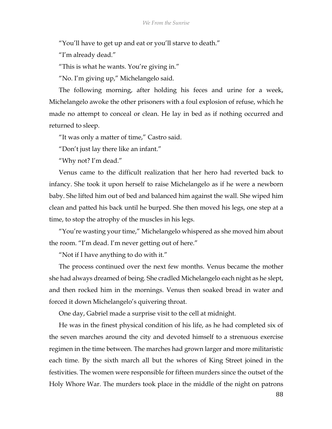"You'll have to get up and eat or you'll starve to death."

"I'm already dead."

"This is what he wants. You're giving in."

"No. I'm giving up," Michelangelo said.

The following morning, after holding his feces and urine for a week, Michelangelo awoke the other prisoners with a foul explosion of refuse, which he made no attempt to conceal or clean. He lay in bed as if nothing occurred and returned to sleep.

"It was only a matter of time," Castro said.

"Don't just lay there like an infant."

"Why not? I'm dead."

Venus came to the difficult realization that her hero had reverted back to infancy. She took it upon herself to raise Michelangelo as if he were a newborn baby. She lifted him out of bed and balanced him against the wall. She wiped him clean and patted his back until he burped. She then moved his legs, one step at a time, to stop the atrophy of the muscles in his legs.

"You're wasting your time," Michelangelo whispered as she moved him about the room. "I'm dead. I'm never getting out of here."

"Not if I have anything to do with it."

The process continued over the next few months. Venus became the mother she had always dreamed of being. She cradled Michelangelo each night as he slept, and then rocked him in the mornings. Venus then soaked bread in water and forced it down Michelangelo's quivering throat.

One day, Gabriel made a surprise visit to the cell at midnight.

He was in the finest physical condition of his life, as he had completed six of the seven marches around the city and devoted himself to a strenuous exercise regimen in the time between. The marches had grown larger and more militaristic each time. By the sixth march all but the whores of King Street joined in the festivities. The women were responsible for fifteen murders since the outset of the Holy Whore War. The murders took place in the middle of the night on patrons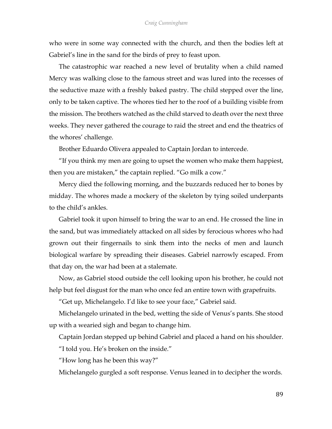who were in some way connected with the church, and then the bodies left at Gabriel's line in the sand for the birds of prey to feast upon.

The catastrophic war reached a new level of brutality when a child named Mercy was walking close to the famous street and was lured into the recesses of the seductive maze with a freshly baked pastry. The child stepped over the line, only to be taken captive. The whores tied her to the roof of a building visible from the mission. The brothers watched as the child starved to death over the next three weeks. They never gathered the courage to raid the street and end the theatrics of the whores' challenge.

Brother Eduardo Olivera appealed to Captain Jordan to intercede.

"If you think my men are going to upset the women who make them happiest, then you are mistaken," the captain replied. "Go milk a cow."

Mercy died the following morning, and the buzzards reduced her to bones by midday. The whores made a mockery of the skeleton by tying soiled underpants to the child's ankles.

Gabriel took it upon himself to bring the war to an end. He crossed the line in the sand, but was immediately attacked on all sides by ferocious whores who had grown out their fingernails to sink them into the necks of men and launch biological warfare by spreading their diseases. Gabriel narrowly escaped. From that day on, the war had been at a stalemate.

Now, as Gabriel stood outside the cell looking upon his brother, he could not help but feel disgust for the man who once fed an entire town with grapefruits.

"Get up, Michelangelo. I'd like to see your face," Gabriel said.

Michelangelo urinated in the bed, wetting the side of Venus's pants. She stood up with a wearied sigh and began to change him.

Captain Jordan stepped up behind Gabriel and placed a hand on his shoulder.

"I told you. He's broken on the inside."

"How long has he been this way?"

Michelangelo gurgled a soft response. Venus leaned in to decipher the words.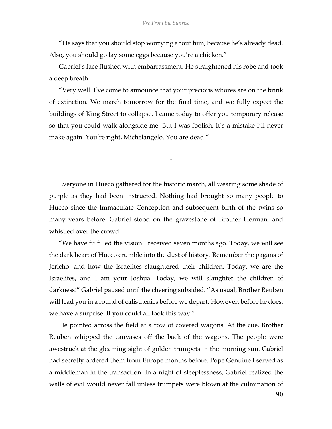"He says that you should stop worrying about him, because he's already dead. Also, you should go lay some eggs because you're a chicken."

Gabriel's face flushed with embarrassment. He straightened his robe and took a deep breath.

"Very well. I've come to announce that your precious whores are on the brink of extinction. We march tomorrow for the final time, and we fully expect the buildings of King Street to collapse. I came today to offer you temporary release so that you could walk alongside me. But I was foolish. It's a mistake I'll never make again. You're right, Michelangelo. You are dead."

\*

Everyone in Hueco gathered for the historic march, all wearing some shade of purple as they had been instructed. Nothing had brought so many people to Hueco since the Immaculate Conception and subsequent birth of the twins so many years before. Gabriel stood on the gravestone of Brother Herman, and whistled over the crowd.

"We have fulfilled the vision I received seven months ago. Today, we will see the dark heart of Hueco crumble into the dust of history. Remember the pagans of Jericho, and how the Israelites slaughtered their children. Today, we are the Israelites, and I am your Joshua. Today, we will slaughter the children of darkness!" Gabriel paused until the cheering subsided. "As usual, Brother Reuben will lead you in a round of calisthenics before we depart. However, before he does, we have a surprise. If you could all look this way."

He pointed across the field at a row of covered wagons. At the cue, Brother Reuben whipped the canvases off the back of the wagons. The people were awestruck at the gleaming sight of golden trumpets in the morning sun. Gabriel had secretly ordered them from Europe months before. Pope Genuine I served as a middleman in the transaction. In a night of sleeplessness, Gabriel realized the walls of evil would never fall unless trumpets were blown at the culmination of

90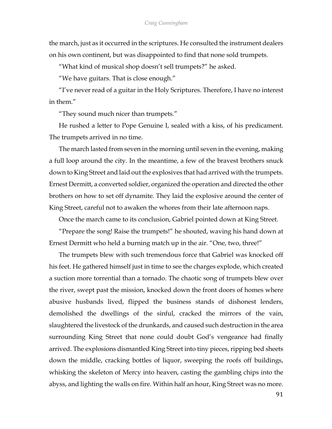the march, just as it occurred in the scriptures. He consulted the instrument dealers on his own continent, but was disappointed to find that none sold trumpets.

"What kind of musical shop doesn't sell trumpets?" he asked.

"We have guitars. That is close enough."

"I've never read of a guitar in the Holy Scriptures. Therefore, I have no interest in them."

"They sound much nicer than trumpets."

He rushed a letter to Pope Genuine I, sealed with a kiss, of his predicament. The trumpets arrived in no time.

The march lasted from seven in the morning until seven in the evening, making a full loop around the city. In the meantime, a few of the bravest brothers snuck down to King Street and laid out the explosives that had arrived with the trumpets. Ernest Dermitt, a converted soldier, organized the operation and directed the other brothers on how to set off dynamite. They laid the explosive around the center of King Street, careful not to awaken the whores from their late afternoon naps.

Once the march came to its conclusion, Gabriel pointed down at King Street.

"Prepare the song! Raise the trumpets!" he shouted, waving his hand down at Ernest Dermitt who held a burning match up in the air. "One, two, three!"

The trumpets blew with such tremendous force that Gabriel was knocked off his feet. He gathered himself just in time to see the charges explode, which created a suction more torrential than a tornado. The chaotic song of trumpets blew over the river, swept past the mission, knocked down the front doors of homes where abusive husbands lived, flipped the business stands of dishonest lenders, demolished the dwellings of the sinful, cracked the mirrors of the vain, slaughtered the livestock of the drunkards, and caused such destruction in the area surrounding King Street that none could doubt God's vengeance had finally arrived. The explosions dismantled King Street into tiny pieces, ripping bed sheets down the middle, cracking bottles of liquor, sweeping the roofs off buildings, whisking the skeleton of Mercy into heaven, casting the gambling chips into the abyss, and lighting the walls on fire. Within half an hour, King Street was no more.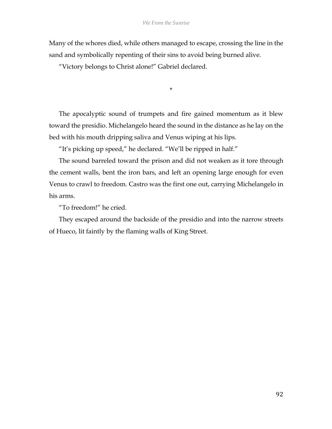Many of the whores died, while others managed to escape, crossing the line in the sand and symbolically repenting of their sins to avoid being burned alive.

"Victory belongs to Christ alone!" Gabriel declared.

The apocalyptic sound of trumpets and fire gained momentum as it blew toward the presidio. Michelangelo heard the sound in the distance as he lay on the bed with his mouth dripping saliva and Venus wiping at his lips.

\*

"It's picking up speed," he declared. "We'll be ripped in half."

The sound barreled toward the prison and did not weaken as it tore through the cement walls, bent the iron bars, and left an opening large enough for even Venus to crawl to freedom. Castro was the first one out, carrying Michelangelo in his arms.

"To freedom!" he cried.

They escaped around the backside of the presidio and into the narrow streets of Hueco, lit faintly by the flaming walls of King Street.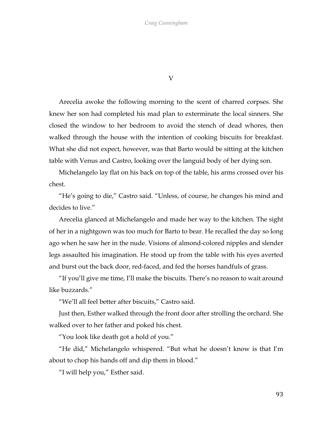V

Arecelia awoke the following morning to the scent of charred corpses. She knew her son had completed his mad plan to exterminate the local sinners. She closed the window to her bedroom to avoid the stench of dead whores, then walked through the house with the intention of cooking biscuits for breakfast. What she did not expect, however, was that Barto would be sitting at the kitchen table with Venus and Castro, looking over the languid body of her dying son.

Michelangelo lay flat on his back on top of the table, his arms crossed over his chest.

"He's going to die," Castro said. "Unless, of course, he changes his mind and decides to live."

Arecelia glanced at Michelangelo and made her way to the kitchen. The sight of her in a nightgown was too much for Barto to bear. He recalled the day so long ago when he saw her in the nude. Visions of almond-colored nipples and slender legs assaulted his imagination. He stood up from the table with his eyes averted and burst out the back door, red-faced, and fed the horses handfuls of grass.

"If you'll give me time, I'll make the biscuits. There's no reason to wait around like buzzards."

"We'll all feel better after biscuits," Castro said.

Just then, Esther walked through the front door after strolling the orchard. She walked over to her father and poked his chest.

"You look like death got a hold of you."

"He did," Michelangelo whispered. "But what he doesn't know is that I'm about to chop his hands off and dip them in blood."

"I will help you," Esther said.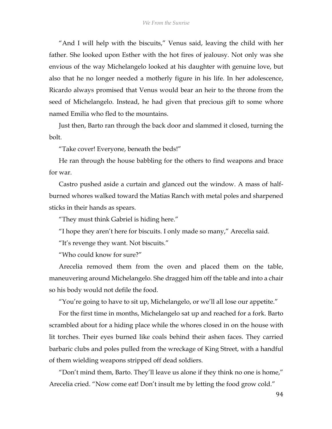"And I will help with the biscuits," Venus said, leaving the child with her father. She looked upon Esther with the hot fires of jealousy. Not only was she envious of the way Michelangelo looked at his daughter with genuine love, but also that he no longer needed a motherly figure in his life. In her adolescence, Ricardo always promised that Venus would bear an heir to the throne from the seed of Michelangelo. Instead, he had given that precious gift to some whore named Emilia who fled to the mountains.

Just then, Barto ran through the back door and slammed it closed, turning the bolt.

"Take cover! Everyone, beneath the beds!"

He ran through the house babbling for the others to find weapons and brace for war.

Castro pushed aside a curtain and glanced out the window. A mass of halfburned whores walked toward the Matias Ranch with metal poles and sharpened sticks in their hands as spears.

"They must think Gabriel is hiding here."

"I hope they aren't here for biscuits. I only made so many," Arecelia said.

"It's revenge they want. Not biscuits."

"Who could know for sure?"

Arecelia removed them from the oven and placed them on the table, maneuvering around Michelangelo. She dragged him off the table and into a chair so his body would not defile the food.

"You're going to have to sit up, Michelangelo, or we'll all lose our appetite."

For the first time in months, Michelangelo sat up and reached for a fork. Barto scrambled about for a hiding place while the whores closed in on the house with lit torches. Their eyes burned like coals behind their ashen faces. They carried barbaric clubs and poles pulled from the wreckage of King Street, with a handful of them wielding weapons stripped off dead soldiers.

"Don't mind them, Barto. They'll leave us alone if they think no one is home," Arecelia cried. "Now come eat! Don't insult me by letting the food grow cold."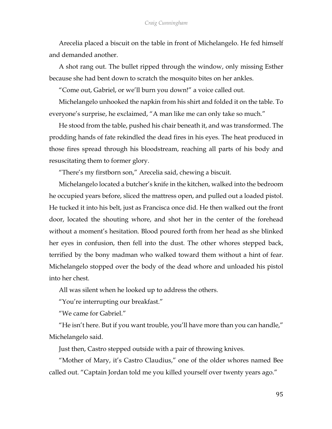Arecelia placed a biscuit on the table in front of Michelangelo. He fed himself and demanded another.

A shot rang out. The bullet ripped through the window, only missing Esther because she had bent down to scratch the mosquito bites on her ankles.

"Come out, Gabriel, or we'll burn you down!" a voice called out.

Michelangelo unhooked the napkin from his shirt and folded it on the table. To everyone's surprise, he exclaimed, "A man like me can only take so much."

He stood from the table, pushed his chair beneath it, and was transformed. The prodding hands of fate rekindled the dead fires in his eyes. The heat produced in those fires spread through his bloodstream, reaching all parts of his body and resuscitating them to former glory.

"There's my firstborn son," Arecelia said, chewing a biscuit.

Michelangelo located a butcher's knife in the kitchen, walked into the bedroom he occupied years before, sliced the mattress open, and pulled out a loaded pistol. He tucked it into his belt, just as Francisca once did. He then walked out the front door, located the shouting whore, and shot her in the center of the forehead without a moment's hesitation. Blood poured forth from her head as she blinked her eyes in confusion, then fell into the dust. The other whores stepped back, terrified by the bony madman who walked toward them without a hint of fear. Michelangelo stopped over the body of the dead whore and unloaded his pistol into her chest.

All was silent when he looked up to address the others.

"You're interrupting our breakfast."

"We came for Gabriel."

"He isn't here. But if you want trouble, you'll have more than you can handle," Michelangelo said.

Just then, Castro stepped outside with a pair of throwing knives.

"Mother of Mary, it's Castro Claudius," one of the older whores named Bee called out. "Captain Jordan told me you killed yourself over twenty years ago."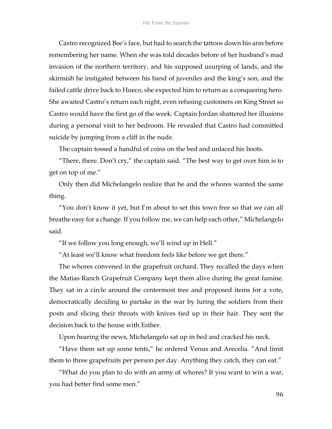Castro recognized Bee's face, but had to search the tattoos down his arm before remembering her name. When she was told decades before of her husband's mad invasion of the northern territory, and his supposed usurping of lands, and the skirmish he instigated between his band of juveniles and the king's son, and the failed cattle drive back to Hueco, she expected him to return as a conquering hero. She awaited Castro's return each night, even refusing customers on King Street so Castro would have the first go of the week. Captain Jordan shattered her illusions during a personal visit to her bedroom. He revealed that Castro had committed suicide by jumping from a cliff in the nude.

The captain tossed a handful of coins on the bed and unlaced his boots.

"There, there. Don't cry," the captain said. "The best way to get over him is to get on top of me."

Only then did Michelangelo realize that he and the whores wanted the same thing.

"You don't know it yet, but I'm about to set this town free so that we can all breathe easy for a change. If you follow me, we can help each other," Michelangelo said.

"If we follow you long enough, we'll wind up in Hell."

"At least we'll know what freedom feels like before we get there."

The whores convened in the grapefruit orchard. They recalled the days when the Matias Ranch Grapefruit Company kept them alive during the great famine. They sat in a circle around the centermost tree and proposed items for a vote, democratically deciding to partake in the war by luring the soldiers from their posts and slicing their throats with knives tied up in their hair. They sent the decision back to the house with Esther.

Upon hearing the news, Michelangelo sat up in bed and cracked his neck.

"Have them set up some tents," he ordered Venus and Arecelia. "And limit them to three grapefruits per person per day. Anything they catch, they can eat."

"What do you plan to do with an army of whores? If you want to win a war, you had better find some men."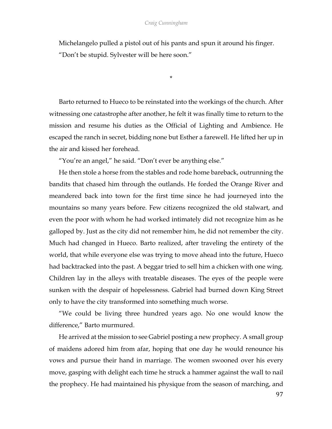Michelangelo pulled a pistol out of his pants and spun it around his finger. "Don't be stupid. Sylvester will be here soon."

\*

Barto returned to Hueco to be reinstated into the workings of the church. After witnessing one catastrophe after another, he felt it was finally time to return to the mission and resume his duties as the Official of Lighting and Ambience. He escaped the ranch in secret, bidding none but Esther a farewell. He lifted her up in the air and kissed her forehead.

"You're an angel," he said. "Don't ever be anything else."

He then stole a horse from the stables and rode home bareback, outrunning the bandits that chased him through the outlands. He forded the Orange River and meandered back into town for the first time since he had journeyed into the mountains so many years before. Few citizens recognized the old stalwart, and even the poor with whom he had worked intimately did not recognize him as he galloped by. Just as the city did not remember him, he did not remember the city. Much had changed in Hueco. Barto realized, after traveling the entirety of the world, that while everyone else was trying to move ahead into the future, Hueco had backtracked into the past. A beggar tried to sell him a chicken with one wing. Children lay in the alleys with treatable diseases. The eyes of the people were sunken with the despair of hopelessness. Gabriel had burned down King Street only to have the city transformed into something much worse.

"We could be living three hundred years ago. No one would know the difference," Barto murmured.

He arrived at the mission to see Gabriel posting a new prophecy. A small group of maidens adored him from afar, hoping that one day he would renounce his vows and pursue their hand in marriage. The women swooned over his every move, gasping with delight each time he struck a hammer against the wall to nail the prophecy. He had maintained his physique from the season of marching, and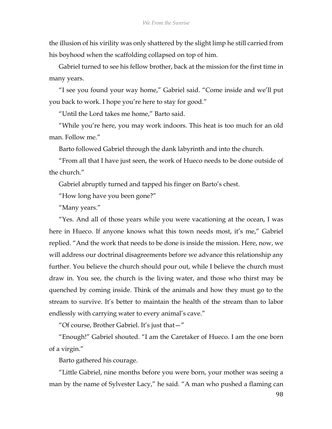the illusion of his virility was only shattered by the slight limp he still carried from his boyhood when the scaffolding collapsed on top of him.

Gabriel turned to see his fellow brother, back at the mission for the first time in many years.

"I see you found your way home," Gabriel said. "Come inside and we'll put you back to work. I hope you're here to stay for good."

"Until the Lord takes me home," Barto said.

"While you're here, you may work indoors. This heat is too much for an old man. Follow me."

Barto followed Gabriel through the dank labyrinth and into the church.

"From all that I have just seen, the work of Hueco needs to be done outside of the church."

Gabriel abruptly turned and tapped his finger on Barto's chest.

"How long have you been gone?"

"Many years."

"Yes. And all of those years while you were vacationing at the ocean, I was here in Hueco. If anyone knows what this town needs most, it's me," Gabriel replied. "And the work that needs to be done is inside the mission. Here, now, we will address our doctrinal disagreements before we advance this relationship any further. You believe the church should pour out, while I believe the church must draw in. You see, the church is the living water, and those who thirst may be quenched by coming inside. Think of the animals and how they must go to the stream to survive. It's better to maintain the health of the stream than to labor endlessly with carrying water to every animal's cave."

"Of course, Brother Gabriel. It's just that—"

"Enough!" Gabriel shouted. "I am the Caretaker of Hueco. I am the one born of a virgin."

Barto gathered his courage.

"Little Gabriel, nine months before you were born, your mother was seeing a man by the name of Sylvester Lacy," he said. "A man who pushed a flaming can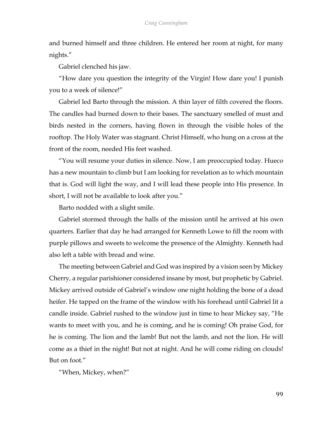and burned himself and three children. He entered her room at night, for many nights."

Gabriel clenched his jaw.

"How dare you question the integrity of the Virgin! How dare you! I punish you to a week of silence!"

Gabriel led Barto through the mission. A thin layer of filth covered the floors. The candles had burned down to their bases. The sanctuary smelled of must and birds nested in the corners, having flown in through the visible holes of the rooftop. The Holy Water was stagnant. Christ Himself, who hung on a cross at the front of the room, needed His feet washed.

"You will resume your duties in silence. Now, I am preoccupied today. Hueco has a new mountain to climb but I am looking for revelation as to which mountain that is. God will light the way, and I will lead these people into His presence. In short, I will not be available to look after you."

Barto nodded with a slight smile.

Gabriel stormed through the halls of the mission until he arrived at his own quarters. Earlier that day he had arranged for Kenneth Lowe to fill the room with purple pillows and sweets to welcome the presence of the Almighty. Kenneth had also left a table with bread and wine.

The meeting between Gabriel and God was inspired by a vision seen by Mickey Cherry, a regular parishioner considered insane by most, but prophetic by Gabriel. Mickey arrived outside of Gabriel's window one night holding the bone of a dead heifer. He tapped on the frame of the window with his forehead until Gabriel lit a candle inside. Gabriel rushed to the window just in time to hear Mickey say, "He wants to meet with you, and he is coming, and he is coming! Oh praise God, for he is coming. The lion and the lamb! But not the lamb, and not the lion. He will come as a thief in the night! But not at night. And he will come riding on clouds! But on foot."

"When, Mickey, when?"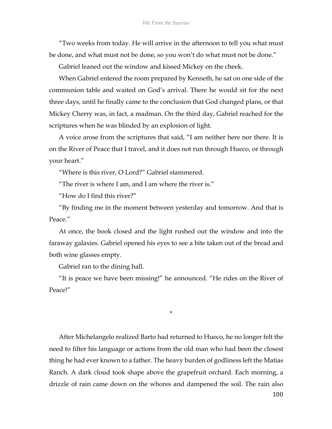"Two weeks from today. He will arrive in the afternoon to tell you what must be done, and what must not be done, so you won't do what must not be done."

Gabriel leaned out the window and kissed Mickey on the cheek.

When Gabriel entered the room prepared by Kenneth, he sat on one side of the communion table and waited on God's arrival. There he would sit for the next three days, until he finally came to the conclusion that God changed plans, or that Mickey Cherry was, in fact, a madman. On the third day, Gabriel reached for the scriptures when he was blinded by an explosion of light.

A voice arose from the scriptures that said, "I am neither here nor there. It is on the River of Peace that I travel, and it does not run through Hueco, or through your heart."

"Where is this river, O Lord?" Gabriel stammered.

"The river is where I am, and I am where the river is."

"How do I find this river?"

"By finding me in the moment between yesterday and tomorrow. And that is Peace"

At once, the book closed and the light rushed out the window and into the faraway galaxies. Gabriel opened his eyes to see a bite taken out of the bread and both wine glasses empty.

Gabriel ran to the dining hall.

"It is peace we have been missing!" he announced. "He rides on the River of Peace!"

\*

After Michelangelo realized Barto had returned to Hueco, he no longer felt the need to filter his language or actions from the old man who had been the closest thing he had ever known to a father. The heavy burden of godliness left the Matias Ranch. A dark cloud took shape above the grapefruit orchard. Each morning, a drizzle of rain came down on the whores and dampened the soil. The rain also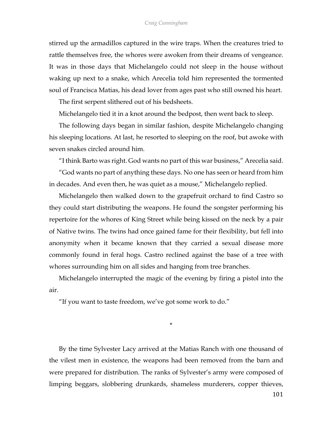stirred up the armadillos captured in the wire traps. When the creatures tried to rattle themselves free, the whores were awoken from their dreams of vengeance. It was in those days that Michelangelo could not sleep in the house without waking up next to a snake, which Arecelia told him represented the tormented soul of Francisca Matias, his dead lover from ages past who still owned his heart.

The first serpent slithered out of his bedsheets.

Michelangelo tied it in a knot around the bedpost, then went back to sleep.

The following days began in similar fashion, despite Michelangelo changing his sleeping locations. At last, he resorted to sleeping on the roof, but awoke with seven snakes circled around him.

"I think Barto was right. God wants no part of this war business," Arecelia said.

"God wants no part of anything these days. No one has seen or heard from him in decades. And even then, he was quiet as a mouse," Michelangelo replied.

Michelangelo then walked down to the grapefruit orchard to find Castro so they could start distributing the weapons. He found the songster performing his repertoire for the whores of King Street while being kissed on the neck by a pair of Native twins. The twins had once gained fame for their flexibility, but fell into anonymity when it became known that they carried a sexual disease more commonly found in feral hogs. Castro reclined against the base of a tree with whores surrounding him on all sides and hanging from tree branches.

Michelangelo interrupted the magic of the evening by firing a pistol into the air.

"If you want to taste freedom, we've got some work to do."

\*

By the time Sylvester Lacy arrived at the Matias Ranch with one thousand of the vilest men in existence, the weapons had been removed from the barn and were prepared for distribution. The ranks of Sylvester's army were composed of limping beggars, slobbering drunkards, shameless murderers, copper thieves,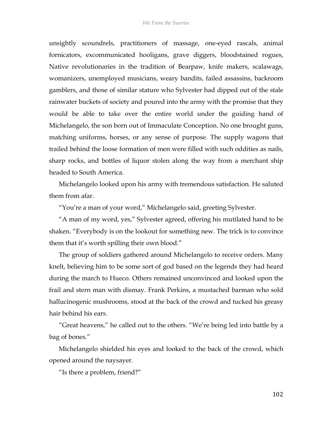unsightly scoundrels, practitioners of massage, one-eyed rascals, animal fornicators, excommunicated hooligans, grave diggers, bloodstained rogues, Native revolutionaries in the tradition of Bearpaw, knife makers, scalawags, womanizers, unemployed musicians, weary bandits, failed assassins, backroom gamblers, and those of similar stature who Sylvester had dipped out of the stale rainwater buckets of society and poured into the army with the promise that they would be able to take over the entire world under the guiding hand of Michelangelo, the son born out of Immaculate Conception. No one brought guns, matching uniforms, horses, or any sense of purpose. The supply wagons that trailed behind the loose formation of men were filled with such oddities as nails, sharp rocks, and bottles of liquor stolen along the way from a merchant ship headed to South America.

Michelangelo looked upon his army with tremendous satisfaction. He saluted them from afar.

"You're a man of your word," Michelangelo said, greeting Sylvester.

"A man of my word, yes," Sylvester agreed, offering his mutilated hand to be shaken. "Everybody is on the lookout for something new. The trick is to convince them that it's worth spilling their own blood."

The group of soldiers gathered around Michelangelo to receive orders. Many knelt, believing him to be some sort of god based on the legends they had heard during the march to Hueco. Others remained unconvinced and looked upon the frail and stern man with dismay. Frank Perkins, a mustached barman who sold hallucinogenic mushrooms, stood at the back of the crowd and tucked his greasy hair behind his ears.

"Great heavens," he called out to the others. "We're being led into battle by a bag of bones."

Michelangelo shielded his eyes and looked to the back of the crowd, which opened around the naysayer.

"Is there a problem, friend?"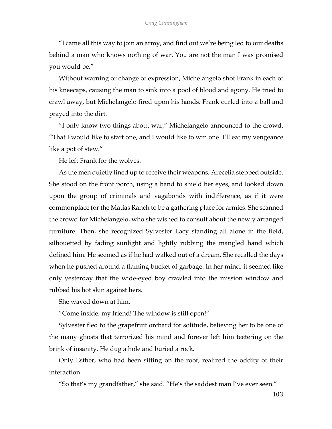"I came all this way to join an army, and find out we're being led to our deaths behind a man who knows nothing of war. You are not the man I was promised you would be."

Without warning or change of expression, Michelangelo shot Frank in each of his kneecaps, causing the man to sink into a pool of blood and agony. He tried to crawl away, but Michelangelo fired upon his hands. Frank curled into a ball and prayed into the dirt.

"I only know two things about war," Michelangelo announced to the crowd. "That I would like to start one, and I would like to win one. I'll eat my vengeance like a pot of stew."

He left Frank for the wolves.

As the men quietly lined up to receive their weapons, Arecelia stepped outside. She stood on the front porch, using a hand to shield her eyes, and looked down upon the group of criminals and vagabonds with indifference, as if it were commonplace for the Matias Ranch to be a gathering place for armies. She scanned the crowd for Michelangelo, who she wished to consult about the newly arranged furniture. Then, she recognized Sylvester Lacy standing all alone in the field, silhouetted by fading sunlight and lightly rubbing the mangled hand which defined him. He seemed as if he had walked out of a dream. She recalled the days when he pushed around a flaming bucket of garbage. In her mind, it seemed like only yesterday that the wide-eyed boy crawled into the mission window and rubbed his hot skin against hers.

She waved down at him.

"Come inside, my friend! The window is still open!"

Sylvester fled to the grapefruit orchard for solitude, believing her to be one of the many ghosts that terrorized his mind and forever left him teetering on the brink of insanity. He dug a hole and buried a rock.

Only Esther, who had been sitting on the roof, realized the oddity of their interaction.

"So that's my grandfather," she said. "He's the saddest man I've ever seen."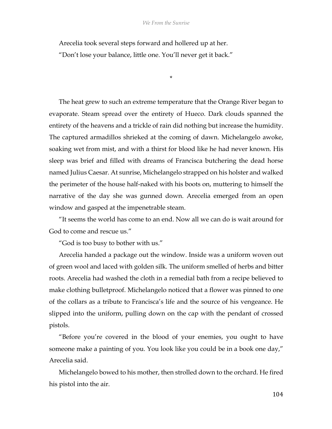\*

Arecelia took several steps forward and hollered up at her. "Don't lose your balance, little one. You'll never get it back."

The heat grew to such an extreme temperature that the Orange River began to evaporate. Steam spread over the entirety of Hueco. Dark clouds spanned the entirety of the heavens and a trickle of rain did nothing but increase the humidity. The captured armadillos shrieked at the coming of dawn. Michelangelo awoke, soaking wet from mist, and with a thirst for blood like he had never known. His sleep was brief and filled with dreams of Francisca butchering the dead horse named Julius Caesar. At sunrise, Michelangelo strapped on his holster and walked the perimeter of the house half-naked with his boots on, muttering to himself the narrative of the day she was gunned down. Arecelia emerged from an open window and gasped at the impenetrable steam.

"It seems the world has come to an end. Now all we can do is wait around for God to come and rescue us."

"God is too busy to bother with us."

Arecelia handed a package out the window. Inside was a uniform woven out of green wool and laced with golden silk. The uniform smelled of herbs and bitter roots. Arecelia had washed the cloth in a remedial bath from a recipe believed to make clothing bulletproof. Michelangelo noticed that a flower was pinned to one of the collars as a tribute to Francisca's life and the source of his vengeance. He slipped into the uniform, pulling down on the cap with the pendant of crossed pistols.

"Before you're covered in the blood of your enemies, you ought to have someone make a painting of you. You look like you could be in a book one day," Arecelia said.

Michelangelo bowed to his mother, then strolled down to the orchard. He fired his pistol into the air.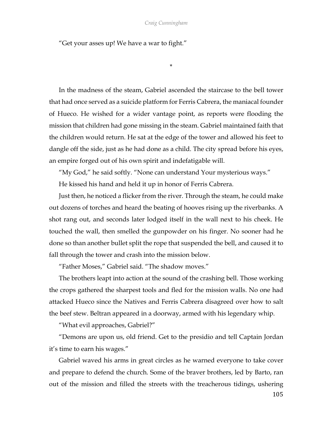\*

"Get your asses up! We have a war to fight."

In the madness of the steam, Gabriel ascended the staircase to the bell tower that had once served as a suicide platform for Ferris Cabrera, the maniacal founder of Hueco. He wished for a wider vantage point, as reports were flooding the mission that children had gone missing in the steam. Gabriel maintained faith that the children would return. He sat at the edge of the tower and allowed his feet to dangle off the side, just as he had done as a child. The city spread before his eyes, an empire forged out of his own spirit and indefatigable will.

"My God," he said softly. "None can understand Your mysterious ways."

He kissed his hand and held it up in honor of Ferris Cabrera.

Just then, he noticed a flicker from the river. Through the steam, he could make out dozens of torches and heard the beating of hooves rising up the riverbanks. A shot rang out, and seconds later lodged itself in the wall next to his cheek. He touched the wall, then smelled the gunpowder on his finger. No sooner had he done so than another bullet split the rope that suspended the bell, and caused it to fall through the tower and crash into the mission below.

"Father Moses," Gabriel said. "The shadow moves."

The brothers leapt into action at the sound of the crashing bell. Those working the crops gathered the sharpest tools and fled for the mission walls. No one had attacked Hueco since the Natives and Ferris Cabrera disagreed over how to salt the beef stew. Beltran appeared in a doorway, armed with his legendary whip.

"What evil approaches, Gabriel?"

"Demons are upon us, old friend. Get to the presidio and tell Captain Jordan it's time to earn his wages."

Gabriel waved his arms in great circles as he warned everyone to take cover and prepare to defend the church. Some of the braver brothers, led by Barto, ran out of the mission and filled the streets with the treacherous tidings, ushering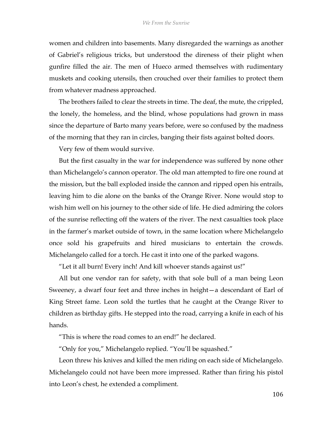women and children into basements. Many disregarded the warnings as another of Gabriel's religious tricks, but understood the direness of their plight when gunfire filled the air. The men of Hueco armed themselves with rudimentary muskets and cooking utensils, then crouched over their families to protect them from whatever madness approached.

The brothers failed to clear the streets in time. The deaf, the mute, the crippled, the lonely, the homeless, and the blind, whose populations had grown in mass since the departure of Barto many years before, were so confused by the madness of the morning that they ran in circles, banging their fists against bolted doors.

Very few of them would survive.

But the first casualty in the war for independence was suffered by none other than Michelangelo's cannon operator. The old man attempted to fire one round at the mission, but the ball exploded inside the cannon and ripped open his entrails, leaving him to die alone on the banks of the Orange River. None would stop to wish him well on his journey to the other side of life. He died admiring the colors of the sunrise reflecting off the waters of the river. The next casualties took place in the farmer's market outside of town, in the same location where Michelangelo once sold his grapefruits and hired musicians to entertain the crowds. Michelangelo called for a torch. He cast it into one of the parked wagons.

"Let it all burn! Every inch! And kill whoever stands against us!"

All but one vendor ran for safety, with that sole bull of a man being Leon Sweeney, a dwarf four feet and three inches in height—a descendant of Earl of King Street fame. Leon sold the turtles that he caught at the Orange River to children as birthday gifts. He stepped into the road, carrying a knife in each of his hands.

"This is where the road comes to an end!" he declared.

"Only for you," Michelangelo replied. "You'll be squashed."

Leon threw his knives and killed the men riding on each side of Michelangelo. Michelangelo could not have been more impressed. Rather than firing his pistol into Leon's chest, he extended a compliment.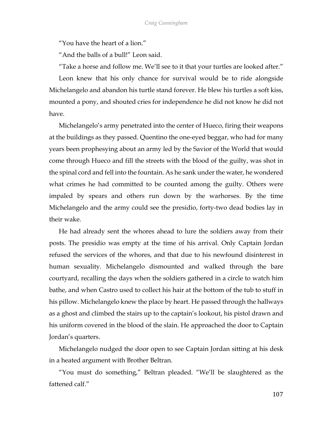"You have the heart of a lion."

"And the balls of a bull!" Leon said.

"Take a horse and follow me. We'll see to it that your turtles are looked after." Leon knew that his only chance for survival would be to ride alongside Michelangelo and abandon his turtle stand forever. He blew his turtles a soft kiss, mounted a pony, and shouted cries for independence he did not know he did not

have.

Michelangelo's army penetrated into the center of Hueco, firing their weapons at the buildings as they passed. Quentino the one-eyed beggar, who had for many years been prophesying about an army led by the Savior of the World that would come through Hueco and fill the streets with the blood of the guilty, was shot in the spinal cord and fell into the fountain. As he sank under the water, he wondered what crimes he had committed to be counted among the guilty. Others were impaled by spears and others run down by the warhorses. By the time Michelangelo and the army could see the presidio, forty-two dead bodies lay in their wake.

He had already sent the whores ahead to lure the soldiers away from their posts. The presidio was empty at the time of his arrival. Only Captain Jordan refused the services of the whores, and that due to his newfound disinterest in human sexuality. Michelangelo dismounted and walked through the bare courtyard, recalling the days when the soldiers gathered in a circle to watch him bathe, and when Castro used to collect his hair at the bottom of the tub to stuff in his pillow. Michelangelo knew the place by heart. He passed through the hallways as a ghost and climbed the stairs up to the captain's lookout, his pistol drawn and his uniform covered in the blood of the slain. He approached the door to Captain Jordan's quarters.

Michelangelo nudged the door open to see Captain Jordan sitting at his desk in a heated argument with Brother Beltran.

"You must do something," Beltran pleaded. "We'll be slaughtered as the fattened calf."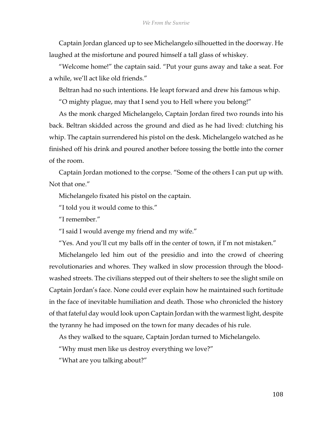Captain Jordan glanced up to see Michelangelo silhouetted in the doorway. He laughed at the misfortune and poured himself a tall glass of whiskey.

"Welcome home!" the captain said. "Put your guns away and take a seat. For a while, we'll act like old friends."

Beltran had no such intentions. He leapt forward and drew his famous whip.

"O mighty plague, may that I send you to Hell where you belong!"

As the monk charged Michelangelo, Captain Jordan fired two rounds into his back. Beltran skidded across the ground and died as he had lived: clutching his whip. The captain surrendered his pistol on the desk. Michelangelo watched as he finished off his drink and poured another before tossing the bottle into the corner of the room.

Captain Jordan motioned to the corpse. "Some of the others I can put up with. Not that one."

Michelangelo fixated his pistol on the captain.

"I told you it would come to this."

"I remember"

"I said I would avenge my friend and my wife."

"Yes. And you'll cut my balls off in the center of town, if I'm not mistaken."

Michelangelo led him out of the presidio and into the crowd of cheering revolutionaries and whores. They walked in slow procession through the bloodwashed streets. The civilians stepped out of their shelters to see the slight smile on Captain Jordan's face. None could ever explain how he maintained such fortitude in the face of inevitable humiliation and death. Those who chronicled the history of that fateful day would look upon Captain Jordan with the warmest light, despite the tyranny he had imposed on the town for many decades of his rule.

As they walked to the square, Captain Jordan turned to Michelangelo.

"Why must men like us destroy everything we love?"

"What are you talking about?"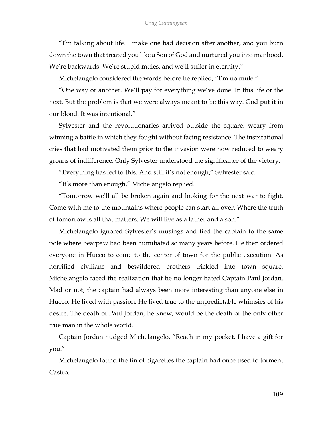"I'm talking about life. I make one bad decision after another, and you burn down the town that treated you like a Son of God and nurtured you into manhood. We're backwards. We're stupid mules, and we'll suffer in eternity."

Michelangelo considered the words before he replied, "I'm no mule."

"One way or another. We'll pay for everything we've done. In this life or the next. But the problem is that we were always meant to be this way. God put it in our blood. It was intentional."

Sylvester and the revolutionaries arrived outside the square, weary from winning a battle in which they fought without facing resistance. The inspirational cries that had motivated them prior to the invasion were now reduced to weary groans of indifference. Only Sylvester understood the significance of the victory.

"Everything has led to this. And still it's not enough," Sylvester said.

"It's more than enough," Michelangelo replied.

"Tomorrow we'll all be broken again and looking for the next war to fight. Come with me to the mountains where people can start all over. Where the truth of tomorrow is all that matters. We will live as a father and a son."

Michelangelo ignored Sylvester's musings and tied the captain to the same pole where Bearpaw had been humiliated so many years before. He then ordered everyone in Hueco to come to the center of town for the public execution. As horrified civilians and bewildered brothers trickled into town square, Michelangelo faced the realization that he no longer hated Captain Paul Jordan. Mad or not, the captain had always been more interesting than anyone else in Hueco. He lived with passion. He lived true to the unpredictable whimsies of his desire. The death of Paul Jordan, he knew, would be the death of the only other true man in the whole world.

Captain Jordan nudged Michelangelo. "Reach in my pocket. I have a gift for you."

Michelangelo found the tin of cigarettes the captain had once used to torment Castro.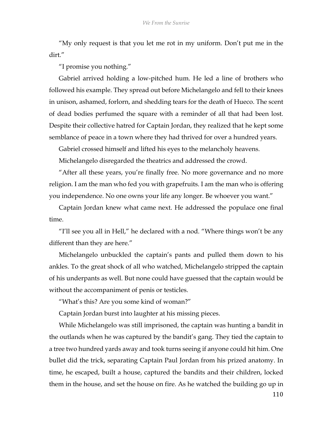"My only request is that you let me rot in my uniform. Don't put me in the dirt."

"I promise you nothing."

Gabriel arrived holding a low-pitched hum. He led a line of brothers who followed his example. They spread out before Michelangelo and fell to their knees in unison, ashamed, forlorn, and shedding tears for the death of Hueco. The scent of dead bodies perfumed the square with a reminder of all that had been lost. Despite their collective hatred for Captain Jordan, they realized that he kept some semblance of peace in a town where they had thrived for over a hundred years.

Gabriel crossed himself and lifted his eyes to the melancholy heavens.

Michelangelo disregarded the theatrics and addressed the crowd.

"After all these years, you're finally free. No more governance and no more religion. I am the man who fed you with grapefruits. I am the man who is offering you independence. No one owns your life any longer. Be whoever you want."

Captain Jordan knew what came next. He addressed the populace one final time.

"I'll see you all in Hell," he declared with a nod. "Where things won't be any different than they are here."

Michelangelo unbuckled the captain's pants and pulled them down to his ankles. To the great shock of all who watched, Michelangelo stripped the captain of his underpants as well. But none could have guessed that the captain would be without the accompaniment of penis or testicles.

"What's this? Are you some kind of woman?"

Captain Jordan burst into laughter at his missing pieces.

While Michelangelo was still imprisoned, the captain was hunting a bandit in the outlands when he was captured by the bandit's gang. They tied the captain to a tree two hundred yards away and took turns seeing if anyone could hit him. One bullet did the trick, separating Captain Paul Jordan from his prized anatomy. In time, he escaped, built a house, captured the bandits and their children, locked them in the house, and set the house on fire. As he watched the building go up in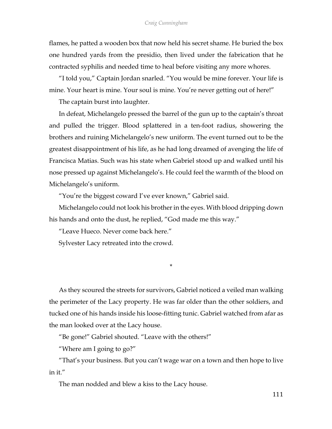flames, he patted a wooden box that now held his secret shame. He buried the box one hundred yards from the presidio, then lived under the fabrication that he contracted syphilis and needed time to heal before visiting any more whores.

"I told you," Captain Jordan snarled. "You would be mine forever. Your life is mine. Your heart is mine. Your soul is mine. You're never getting out of here!"

The captain burst into laughter.

In defeat, Michelangelo pressed the barrel of the gun up to the captain's throat and pulled the trigger. Blood splattered in a ten-foot radius, showering the brothers and ruining Michelangelo's new uniform. The event turned out to be the greatest disappointment of his life, as he had long dreamed of avenging the life of Francisca Matias. Such was his state when Gabriel stood up and walked until his nose pressed up against Michelangelo's. He could feel the warmth of the blood on Michelangelo's uniform.

"You're the biggest coward I've ever known," Gabriel said.

Michelangelo could not look his brother in the eyes. With blood dripping down his hands and onto the dust, he replied, "God made me this way."

"Leave Hueco. Never come back here."

Sylvester Lacy retreated into the crowd.

As they scoured the streets for survivors, Gabriel noticed a veiled man walking the perimeter of the Lacy property. He was far older than the other soldiers, and tucked one of his hands inside his loose-fitting tunic. Gabriel watched from afar as the man looked over at the Lacy house.

\*

"Be gone!" Gabriel shouted. "Leave with the others!"

"Where am I going to go?"

"That's your business. But you can't wage war on a town and then hope to live in it."

The man nodded and blew a kiss to the Lacy house.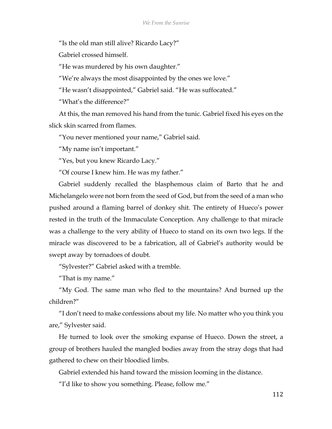"Is the old man still alive? Ricardo Lacy?"

Gabriel crossed himself.

"He was murdered by his own daughter."

"We're always the most disappointed by the ones we love."

"He wasn't disappointed," Gabriel said. "He was suffocated."

"What's the difference?"

At this, the man removed his hand from the tunic. Gabriel fixed his eyes on the slick skin scarred from flames.

"You never mentioned your name," Gabriel said.

"My name isn't important."

"Yes, but you knew Ricardo Lacy."

"Of course I knew him. He was my father."

Gabriel suddenly recalled the blasphemous claim of Barto that he and Michelangelo were not born from the seed of God, but from the seed of a man who pushed around a flaming barrel of donkey shit. The entirety of Hueco's power rested in the truth of the Immaculate Conception. Any challenge to that miracle was a challenge to the very ability of Hueco to stand on its own two legs. If the miracle was discovered to be a fabrication, all of Gabriel's authority would be swept away by tornadoes of doubt.

"Sylvester?" Gabriel asked with a tremble.

"That is my name."

"My God. The same man who fled to the mountains? And burned up the children?"

"I don't need to make confessions about my life. No matter who you think you are," Sylvester said.

He turned to look over the smoking expanse of Hueco. Down the street, a group of brothers hauled the mangled bodies away from the stray dogs that had gathered to chew on their bloodied limbs.

Gabriel extended his hand toward the mission looming in the distance.

"I'd like to show you something. Please, follow me."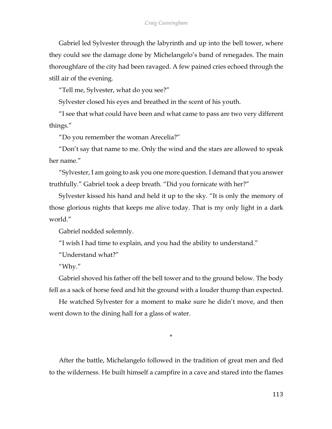Gabriel led Sylvester through the labyrinth and up into the bell tower, where they could see the damage done by Michelangelo's band of renegades. The main thoroughfare of the city had been ravaged. A few pained cries echoed through the still air of the evening.

"Tell me, Sylvester, what do you see?"

Sylvester closed his eyes and breathed in the scent of his youth.

"I see that what could have been and what came to pass are two very different things."

"Do you remember the woman Arecelia?"

"Don't say that name to me. Only the wind and the stars are allowed to speak her name."

"Sylvester, I am going to ask you one more question. I demand that you answer truthfully." Gabriel took a deep breath. "Did you fornicate with her?"

Sylvester kissed his hand and held it up to the sky. "It is only the memory of those glorious nights that keeps me alive today. That is my only light in a dark world."

Gabriel nodded solemnly.

"I wish I had time to explain, and you had the ability to understand."

"Understand what?"

"Why."

Gabriel shoved his father off the bell tower and to the ground below. The body fell as a sack of horse feed and hit the ground with a louder thump than expected.

He watched Sylvester for a moment to make sure he didn't move, and then went down to the dining hall for a glass of water.

\*

After the battle, Michelangelo followed in the tradition of great men and fled to the wilderness. He built himself a campfire in a cave and stared into the flames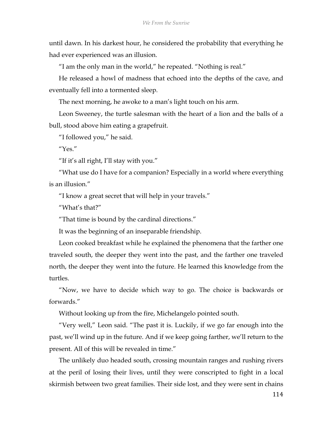until dawn. In his darkest hour, he considered the probability that everything he had ever experienced was an illusion.

"I am the only man in the world," he repeated. "Nothing is real."

He released a howl of madness that echoed into the depths of the cave, and eventually fell into a tormented sleep.

The next morning, he awoke to a man's light touch on his arm.

Leon Sweeney, the turtle salesman with the heart of a lion and the balls of a bull, stood above him eating a grapefruit.

"I followed you," he said.

"Yes."

"If it's all right, I'll stay with you."

"What use do I have for a companion? Especially in a world where everything is an illusion."

"I know a great secret that will help in your travels."

"What's that?"

"That time is bound by the cardinal directions."

It was the beginning of an inseparable friendship.

Leon cooked breakfast while he explained the phenomena that the farther one traveled south, the deeper they went into the past, and the farther one traveled north, the deeper they went into the future. He learned this knowledge from the turtles.

"Now, we have to decide which way to go. The choice is backwards or forwards."

Without looking up from the fire, Michelangelo pointed south.

"Very well," Leon said. "The past it is. Luckily, if we go far enough into the past, we'll wind up in the future. And if we keep going farther, we'll return to the present. All of this will be revealed in time."

The unlikely duo headed south, crossing mountain ranges and rushing rivers at the peril of losing their lives, until they were conscripted to fight in a local skirmish between two great families. Their side lost, and they were sent in chains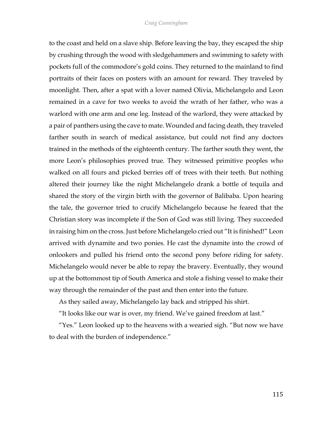to the coast and held on a slave ship. Before leaving the bay, they escaped the ship by crushing through the wood with sledgehammers and swimming to safety with pockets full of the commodore's gold coins. They returned to the mainland to find portraits of their faces on posters with an amount for reward. They traveled by moonlight. Then, after a spat with a lover named Olivia, Michelangelo and Leon remained in a cave for two weeks to avoid the wrath of her father, who was a warlord with one arm and one leg. Instead of the warlord, they were attacked by a pair of panthers using the cave to mate. Wounded and facing death, they traveled farther south in search of medical assistance, but could not find any doctors trained in the methods of the eighteenth century. The farther south they went, the more Leon's philosophies proved true. They witnessed primitive peoples who walked on all fours and picked berries off of trees with their teeth. But nothing altered their journey like the night Michelangelo drank a bottle of tequila and shared the story of the virgin birth with the governor of Balibaba. Upon hearing the tale, the governor tried to crucify Michelangelo because he feared that the Christian story was incomplete if the Son of God was still living. They succeeded in raising him on the cross. Just before Michelangelo cried out "It is finished!" Leon arrived with dynamite and two ponies. He cast the dynamite into the crowd of onlookers and pulled his friend onto the second pony before riding for safety. Michelangelo would never be able to repay the bravery. Eventually, they wound up at the bottommost tip of South America and stole a fishing vessel to make their way through the remainder of the past and then enter into the future.

As they sailed away, Michelangelo lay back and stripped his shirt.

"It looks like our war is over, my friend. We've gained freedom at last."

"Yes." Leon looked up to the heavens with a wearied sigh. "But now we have to deal with the burden of independence."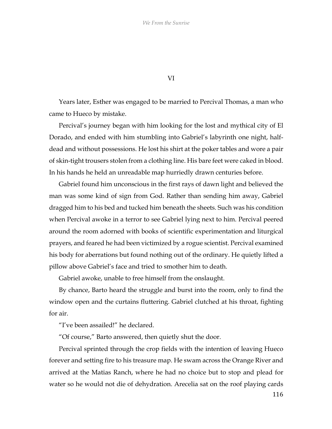VI

Years later, Esther was engaged to be married to Percival Thomas, a man who came to Hueco by mistake.

Percival's journey began with him looking for the lost and mythical city of El Dorado, and ended with him stumbling into Gabriel's labyrinth one night, halfdead and without possessions. He lost his shirt at the poker tables and wore a pair of skin-tight trousers stolen from a clothing line. His bare feet were caked in blood. In his hands he held an unreadable map hurriedly drawn centuries before.

Gabriel found him unconscious in the first rays of dawn light and believed the man was some kind of sign from God. Rather than sending him away, Gabriel dragged him to his bed and tucked him beneath the sheets. Such was his condition when Percival awoke in a terror to see Gabriel lying next to him. Percival peered around the room adorned with books of scientific experimentation and liturgical prayers, and feared he had been victimized by a rogue scientist. Percival examined his body for aberrations but found nothing out of the ordinary. He quietly lifted a pillow above Gabriel's face and tried to smother him to death.

Gabriel awoke, unable to free himself from the onslaught.

By chance, Barto heard the struggle and burst into the room, only to find the window open and the curtains fluttering. Gabriel clutched at his throat, fighting for air.

"I've been assailed!" he declared.

"Of course," Barto answered, then quietly shut the door.

Percival sprinted through the crop fields with the intention of leaving Hueco forever and setting fire to his treasure map. He swam across the Orange River and arrived at the Matias Ranch, where he had no choice but to stop and plead for water so he would not die of dehydration. Arecelia sat on the roof playing cards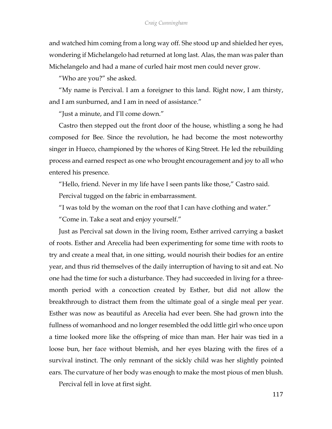and watched him coming from a long way off. She stood up and shielded her eyes, wondering if Michelangelo had returned at long last. Alas, the man was paler than Michelangelo and had a mane of curled hair most men could never grow.

"Who are you?" she asked.

"My name is Percival. I am a foreigner to this land. Right now, I am thirsty, and I am sunburned, and I am in need of assistance."

"Just a minute, and I'll come down."

Castro then stepped out the front door of the house, whistling a song he had composed for Bee. Since the revolution, he had become the most noteworthy singer in Hueco, championed by the whores of King Street. He led the rebuilding process and earned respect as one who brought encouragement and joy to all who entered his presence.

"Hello, friend. Never in my life have I seen pants like those," Castro said. Percival tugged on the fabric in embarrassment.

"I was told by the woman on the roof that I can have clothing and water."

"Come in. Take a seat and enjoy yourself."

Just as Percival sat down in the living room, Esther arrived carrying a basket of roots. Esther and Arecelia had been experimenting for some time with roots to try and create a meal that, in one sitting, would nourish their bodies for an entire year, and thus rid themselves of the daily interruption of having to sit and eat. No one had the time for such a disturbance. They had succeeded in living for a threemonth period with a concoction created by Esther, but did not allow the breakthrough to distract them from the ultimate goal of a single meal per year. Esther was now as beautiful as Arecelia had ever been. She had grown into the fullness of womanhood and no longer resembled the odd little girl who once upon a time looked more like the offspring of mice than man. Her hair was tied in a loose bun, her face without blemish, and her eyes blazing with the fires of a survival instinct. The only remnant of the sickly child was her slightly pointed ears. The curvature of her body was enough to make the most pious of men blush.

Percival fell in love at first sight.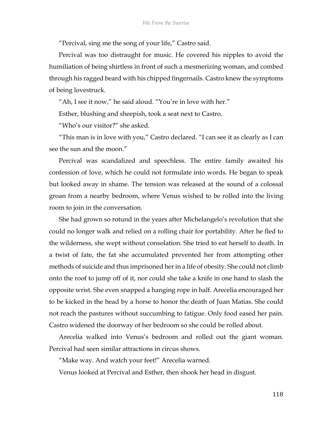"Percival, sing me the song of your life," Castro said.

Percival was too distraught for music. He covered his nipples to avoid the humiliation of being shirtless in front of such a mesmerizing woman, and combed through his ragged beard with his chipped fingernails. Castro knew the symptoms of being lovestruck.

"Ah, I see it now," he said aloud. "You're in love with her."

Esther, blushing and sheepish, took a seat next to Castro.

"Who's our visitor?" she asked.

"This man is in love with you," Castro declared. "I can see it as clearly as I can see the sun and the moon."

Percival was scandalized and speechless. The entire family awaited his confession of love, which he could not formulate into words. He began to speak but looked away in shame. The tension was released at the sound of a colossal groan from a nearby bedroom, where Venus wished to be rolled into the living room to join in the conversation.

She had grown so rotund in the years after Michelangelo's revolution that she could no longer walk and relied on a rolling chair for portability. After he fled to the wilderness, she wept without consolation. She tried to eat herself to death. In a twist of fate, the fat she accumulated prevented her from attempting other methods of suicide and thus imprisoned her in a life of obesity. She could not climb onto the roof to jump off of it, nor could she take a knife in one hand to slash the opposite wrist. She even snapped a hanging rope in half. Arecelia encouraged her to be kicked in the head by a horse to honor the death of Juan Matias. She could not reach the pastures without succumbing to fatigue. Only food eased her pain. Castro widened the doorway of her bedroom so she could be rolled about.

Arecelia walked into Venus's bedroom and rolled out the giant woman. Percival had seen similar attractions in circus shows.

"Make way. And watch your feet!" Arecelia warned.

Venus looked at Percival and Esther, then shook her head in disgust.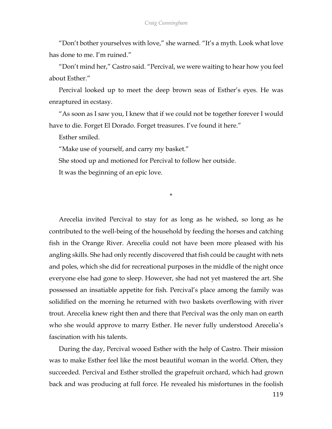"Don't bother yourselves with love," she warned. "It's a myth. Look what love has done to me. I'm ruined."

"Don't mind her," Castro said. "Percival, we were waiting to hear how you feel about Esther."

Percival looked up to meet the deep brown seas of Esther's eyes. He was enraptured in ecstasy.

"As soon as I saw you, I knew that if we could not be together forever I would have to die. Forget El Dorado. Forget treasures. I've found it here."

Esther smiled.

"Make use of yourself, and carry my basket."

She stood up and motioned for Percival to follow her outside.

It was the beginning of an epic love.

\*

Arecelia invited Percival to stay for as long as he wished, so long as he contributed to the well-being of the household by feeding the horses and catching fish in the Orange River. Arecelia could not have been more pleased with his angling skills. She had only recently discovered that fish could be caught with nets and poles, which she did for recreational purposes in the middle of the night once everyone else had gone to sleep. However, she had not yet mastered the art. She possessed an insatiable appetite for fish. Percival's place among the family was solidified on the morning he returned with two baskets overflowing with river trout. Arecelia knew right then and there that Percival was the only man on earth who she would approve to marry Esther. He never fully understood Arecelia's fascination with his talents.

During the day, Percival wooed Esther with the help of Castro. Their mission was to make Esther feel like the most beautiful woman in the world. Often, they succeeded. Percival and Esther strolled the grapefruit orchard, which had grown back and was producing at full force. He revealed his misfortunes in the foolish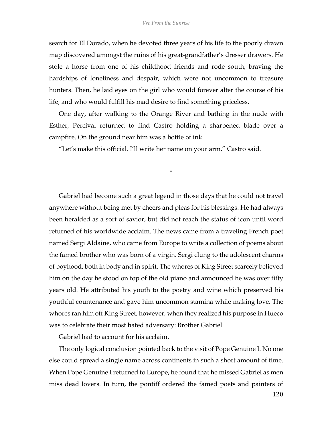search for El Dorado, when he devoted three years of his life to the poorly drawn map discovered amongst the ruins of his great-grandfather's dresser drawers. He stole a horse from one of his childhood friends and rode south, braving the hardships of loneliness and despair, which were not uncommon to treasure hunters. Then, he laid eyes on the girl who would forever alter the course of his life, and who would fulfill his mad desire to find something priceless.

One day, after walking to the Orange River and bathing in the nude with Esther, Percival returned to find Castro holding a sharpened blade over a campfire. On the ground near him was a bottle of ink.

\*

"Let's make this official. I'll write her name on your arm," Castro said.

Gabriel had become such a great legend in those days that he could not travel anywhere without being met by cheers and pleas for his blessings. He had always been heralded as a sort of savior, but did not reach the status of icon until word returned of his worldwide acclaim. The news came from a traveling French poet named Sergi Aldaine, who came from Europe to write a collection of poems about the famed brother who was born of a virgin. Sergi clung to the adolescent charms of boyhood, both in body and in spirit. The whores of King Street scarcely believed him on the day he stood on top of the old piano and announced he was over fifty years old. He attributed his youth to the poetry and wine which preserved his youthful countenance and gave him uncommon stamina while making love. The whores ran him off King Street, however, when they realized his purpose in Hueco was to celebrate their most hated adversary: Brother Gabriel.

Gabriel had to account for his acclaim.

The only logical conclusion pointed back to the visit of Pope Genuine I. No one else could spread a single name across continents in such a short amount of time. When Pope Genuine I returned to Europe, he found that he missed Gabriel as men miss dead lovers. In turn, the pontiff ordered the famed poets and painters of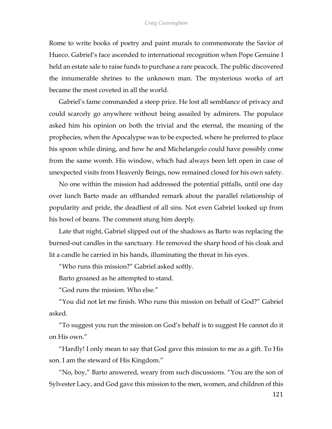Rome to write books of poetry and paint murals to commemorate the Savior of Hueco. Gabriel's face ascended to international recognition when Pope Genuine I held an estate sale to raise funds to purchase a rare peacock. The public discovered the innumerable shrines to the unknown man. The mysterious works of art became the most coveted in all the world.

Gabriel's fame commanded a steep price. He lost all semblance of privacy and could scarcely go anywhere without being assailed by admirers. The populace asked him his opinion on both the trivial and the eternal, the meaning of the prophecies, when the Apocalypse was to be expected, where he preferred to place his spoon while dining, and how he and Michelangelo could have possibly come from the same womb. His window, which had always been left open in case of unexpected visits from Heavenly Beings, now remained closed for his own safety.

No one within the mission had addressed the potential pitfalls, until one day over lunch Barto made an offhanded remark about the parallel relationship of popularity and pride, the deadliest of all sins. Not even Gabriel looked up from his bowl of beans. The comment stung him deeply.

Late that night, Gabriel slipped out of the shadows as Barto was replacing the burned-out candles in the sanctuary. He removed the sharp hood of his cloak and lit a candle he carried in his hands, illuminating the threat in his eyes.

"Who runs this mission?" Gabriel asked softly.

Barto groaned as he attempted to stand.

"God runs the mission. Who else."

"You did not let me finish. Who runs this mission on behalf of God?" Gabriel asked.

"To suggest you run the mission on God's behalf is to suggest He cannot do it on His own."

"Hardly! I only mean to say that God gave this mission to me as a gift. To His son. I am the steward of His Kingdom."

"No, boy," Barto answered, weary from such discussions. "You are the son of Sylvester Lacy, and God gave this mission to the men, women, and children of this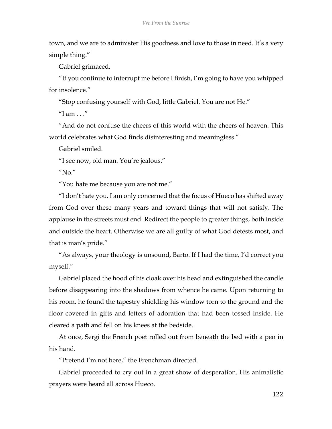town, and we are to administer His goodness and love to those in need. It's a very simple thing."

Gabriel grimaced.

"If you continue to interrupt me before I finish, I'm going to have you whipped for insolence."

"Stop confusing yourself with God, little Gabriel. You are not He."

 $''$ I am . . ."

"And do not confuse the cheers of this world with the cheers of heaven. This world celebrates what God finds disinteresting and meaningless."

Gabriel smiled.

"I see now, old man. You're jealous."

"No."

"You hate me because you are not me."

"I don't hate you. I am only concerned that the focus of Hueco has shifted away from God over these many years and toward things that will not satisfy. The applause in the streets must end. Redirect the people to greater things, both inside and outside the heart. Otherwise we are all guilty of what God detests most, and that is man's pride."

"As always, your theology is unsound, Barto. If I had the time, I'd correct you myself."

Gabriel placed the hood of his cloak over his head and extinguished the candle before disappearing into the shadows from whence he came. Upon returning to his room, he found the tapestry shielding his window torn to the ground and the floor covered in gifts and letters of adoration that had been tossed inside. He cleared a path and fell on his knees at the bedside.

At once, Sergi the French poet rolled out from beneath the bed with a pen in his hand.

"Pretend I'm not here," the Frenchman directed.

Gabriel proceeded to cry out in a great show of desperation. His animalistic prayers were heard all across Hueco.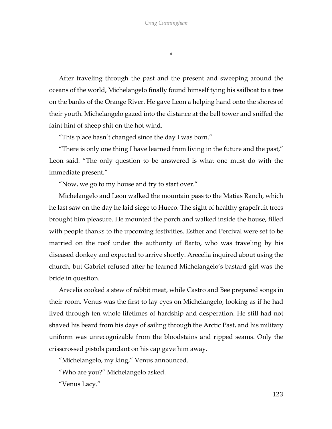\*

After traveling through the past and the present and sweeping around the oceans of the world, Michelangelo finally found himself tying his sailboat to a tree on the banks of the Orange River. He gave Leon a helping hand onto the shores of their youth. Michelangelo gazed into the distance at the bell tower and sniffed the faint hint of sheep shit on the hot wind.

"This place hasn't changed since the day I was born."

"There is only one thing I have learned from living in the future and the past," Leon said. "The only question to be answered is what one must do with the immediate present."

"Now, we go to my house and try to start over."

Michelangelo and Leon walked the mountain pass to the Matias Ranch, which he last saw on the day he laid siege to Hueco. The sight of healthy grapefruit trees brought him pleasure. He mounted the porch and walked inside the house, filled with people thanks to the upcoming festivities. Esther and Percival were set to be married on the roof under the authority of Barto, who was traveling by his diseased donkey and expected to arrive shortly. Arecelia inquired about using the church, but Gabriel refused after he learned Michelangelo's bastard girl was the bride in question.

Arecelia cooked a stew of rabbit meat, while Castro and Bee prepared songs in their room. Venus was the first to lay eyes on Michelangelo, looking as if he had lived through ten whole lifetimes of hardship and desperation. He still had not shaved his beard from his days of sailing through the Arctic Past, and his military uniform was unrecognizable from the bloodstains and ripped seams. Only the crisscrossed pistols pendant on his cap gave him away.

"Michelangelo, my king," Venus announced.

"Who are you?" Michelangelo asked.

"Venus Lacy."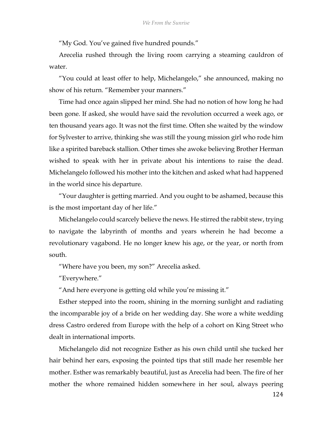"My God. You've gained five hundred pounds."

Arecelia rushed through the living room carrying a steaming cauldron of water.

"You could at least offer to help, Michelangelo," she announced, making no show of his return. "Remember your manners."

Time had once again slipped her mind. She had no notion of how long he had been gone. If asked, she would have said the revolution occurred a week ago, or ten thousand years ago. It was not the first time. Often she waited by the window for Sylvester to arrive, thinking she was still the young mission girl who rode him like a spirited bareback stallion. Other times she awoke believing Brother Herman wished to speak with her in private about his intentions to raise the dead. Michelangelo followed his mother into the kitchen and asked what had happened in the world since his departure.

"Your daughter is getting married. And you ought to be ashamed, because this is the most important day of her life."

Michelangelo could scarcely believe the news. He stirred the rabbit stew, trying to navigate the labyrinth of months and years wherein he had become a revolutionary vagabond. He no longer knew his age, or the year, or north from south.

"Where have you been, my son?" Arecelia asked.

"Everywhere."

"And here everyone is getting old while you're missing it."

Esther stepped into the room, shining in the morning sunlight and radiating the incomparable joy of a bride on her wedding day. She wore a white wedding dress Castro ordered from Europe with the help of a cohort on King Street who dealt in international imports.

Michelangelo did not recognize Esther as his own child until she tucked her hair behind her ears, exposing the pointed tips that still made her resemble her mother. Esther was remarkably beautiful, just as Arecelia had been. The fire of her mother the whore remained hidden somewhere in her soul, always peering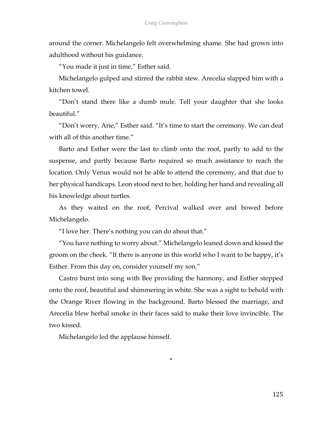around the corner. Michelangelo felt overwhelming shame. She had grown into adulthood without his guidance.

"You made it just in time," Esther said.

Michelangelo gulped and stirred the rabbit stew. Arecelia slapped him with a kitchen towel.

"Don't stand there like a dumb mule. Tell your daughter that she looks beautiful."

"Don't worry, Arie," Esther said. "It's time to start the ceremony. We can deal with all of this another time."

Barto and Esther were the last to climb onto the roof, partly to add to the suspense, and partly because Barto required so much assistance to reach the location. Only Venus would not be able to attend the ceremony, and that due to her physical handicaps. Leon stood next to her, holding her hand and revealing all his knowledge about turtles.

As they waited on the roof, Percival walked over and bowed before Michelangelo.

"I love her. There's nothing you can do about that."

"You have nothing to worry about." Michelangelo leaned down and kissed the groom on the cheek. "If there is anyone in this world who I want to be happy, it's Esther. From this day on, consider yourself my son."

Castro burst into song with Bee providing the harmony, and Esther stepped onto the roof, beautiful and shimmering in white. She was a sight to behold with the Orange River flowing in the background. Barto blessed the marriage, and Arecelia blew herbal smoke in their faces said to make their love invincible. The two kissed.

\*

Michelangelo led the applause himself.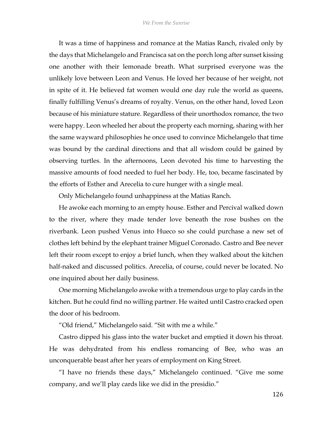It was a time of happiness and romance at the Matias Ranch, rivaled only by the days that Michelangelo and Francisca sat on the porch long after sunset kissing one another with their lemonade breath. What surprised everyone was the unlikely love between Leon and Venus. He loved her because of her weight, not in spite of it. He believed fat women would one day rule the world as queens, finally fulfilling Venus's dreams of royalty. Venus, on the other hand, loved Leon because of his miniature stature. Regardless of their unorthodox romance, the two were happy. Leon wheeled her about the property each morning, sharing with her the same wayward philosophies he once used to convince Michelangelo that time was bound by the cardinal directions and that all wisdom could be gained by observing turtles. In the afternoons, Leon devoted his time to harvesting the massive amounts of food needed to fuel her body. He, too, became fascinated by the efforts of Esther and Arecelia to cure hunger with a single meal.

Only Michelangelo found unhappiness at the Matias Ranch.

He awoke each morning to an empty house. Esther and Percival walked down to the river, where they made tender love beneath the rose bushes on the riverbank. Leon pushed Venus into Hueco so she could purchase a new set of clothes left behind by the elephant trainer Miguel Coronado. Castro and Bee never left their room except to enjoy a brief lunch, when they walked about the kitchen half-naked and discussed politics. Arecelia, of course, could never be located. No one inquired about her daily business.

One morning Michelangelo awoke with a tremendous urge to play cards in the kitchen. But he could find no willing partner. He waited until Castro cracked open the door of his bedroom.

"Old friend," Michelangelo said. "Sit with me a while."

Castro dipped his glass into the water bucket and emptied it down his throat. He was dehydrated from his endless romancing of Bee, who was an unconquerable beast after her years of employment on King Street.

"I have no friends these days," Michelangelo continued. "Give me some company, and we'll play cards like we did in the presidio."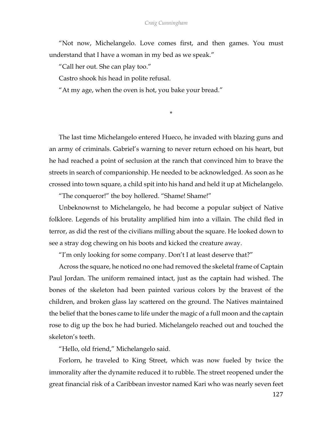"Not now, Michelangelo. Love comes first, and then games. You must understand that I have a woman in my bed as we speak."

"Call her out. She can play too."

Castro shook his head in polite refusal.

"At my age, when the oven is hot, you bake your bread."

\*

The last time Michelangelo entered Hueco, he invaded with blazing guns and an army of criminals. Gabriel's warning to never return echoed on his heart, but he had reached a point of seclusion at the ranch that convinced him to brave the streets in search of companionship. He needed to be acknowledged. As soon as he crossed into town square, a child spit into his hand and held it up at Michelangelo.

"The conqueror!" the boy hollered. "Shame! Shame!"

Unbeknownst to Michelangelo, he had become a popular subject of Native folklore. Legends of his brutality amplified him into a villain. The child fled in terror, as did the rest of the civilians milling about the square. He looked down to see a stray dog chewing on his boots and kicked the creature away.

"I'm only looking for some company. Don't I at least deserve that?"

Across the square, he noticed no one had removed the skeletal frame of Captain Paul Jordan. The uniform remained intact, just as the captain had wished. The bones of the skeleton had been painted various colors by the bravest of the children, and broken glass lay scattered on the ground. The Natives maintained the belief that the bones came to life under the magic of a full moon and the captain rose to dig up the box he had buried. Michelangelo reached out and touched the skeleton's teeth.

"Hello, old friend," Michelangelo said.

Forlorn, he traveled to King Street, which was now fueled by twice the immorality after the dynamite reduced it to rubble. The street reopened under the great financial risk of a Caribbean investor named Kari who was nearly seven feet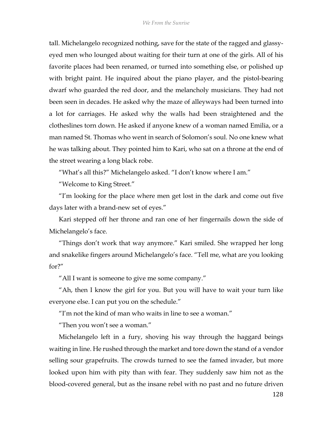tall. Michelangelo recognized nothing, save for the state of the ragged and glassyeyed men who lounged about waiting for their turn at one of the girls. All of his favorite places had been renamed, or turned into something else, or polished up with bright paint. He inquired about the piano player, and the pistol-bearing dwarf who guarded the red door, and the melancholy musicians. They had not been seen in decades. He asked why the maze of alleyways had been turned into a lot for carriages. He asked why the walls had been straightened and the clotheslines torn down. He asked if anyone knew of a woman named Emilia, or a man named St. Thomas who went in search of Solomon's soul. No one knew what he was talking about. They pointed him to Kari, who sat on a throne at the end of the street wearing a long black robe.

"What's all this?" Michelangelo asked. "I don't know where I am."

"Welcome to King Street."

"I'm looking for the place where men get lost in the dark and come out five days later with a brand-new set of eyes."

Kari stepped off her throne and ran one of her fingernails down the side of Michelangelo's face.

"Things don't work that way anymore." Kari smiled. She wrapped her long and snakelike fingers around Michelangelo's face. "Tell me, what are you looking for?"

"All I want is someone to give me some company."

"Ah, then I know the girl for you. But you will have to wait your turn like everyone else. I can put you on the schedule."

"I'm not the kind of man who waits in line to see a woman."

"Then you won't see a woman."

Michelangelo left in a fury, shoving his way through the haggard beings waiting in line. He rushed through the market and tore down the stand of a vendor selling sour grapefruits. The crowds turned to see the famed invader, but more looked upon him with pity than with fear. They suddenly saw him not as the blood-covered general, but as the insane rebel with no past and no future driven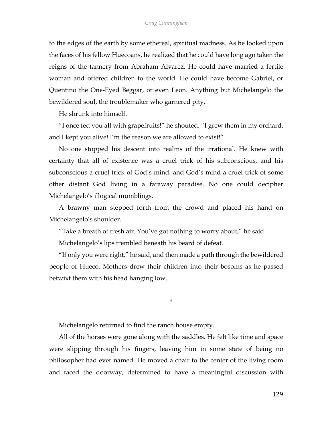to the edges of the earth by some ethereal, spiritual madness. As he looked upon the faces of his fellow Huecoans, he realized that he could have long ago taken the reigns of the tannery from Abraham Alvarez. He could have married a fertile woman and offered children to the world. He could have become Gabriel, or Quentino the One-Eyed Beggar, or even Leon. Anything but Michelangelo the bewildered soul, the troublemaker who garnered pity.

He shrunk into himself.

"I once fed you all with grapefruits!" he shouted. "I grew them in my orchard, and I kept you alive! I'm the reason we are allowed to exist!"

No one stopped his descent into realms of the irrational. He knew with certainty that all of existence was a cruel trick of his subconscious, and his subconscious a cruel trick of God's mind, and God's mind a cruel trick of some other distant God living in a faraway paradise. No one could decipher Michelangelo's illogical mumblings.

A brawny man stepped forth from the crowd and placed his hand on Michelangelo's shoulder.

"Take a breath of fresh air. You've got nothing to worry about," he said. Michelangelo's lips trembled beneath his beard of defeat.

"If only you were right," he said, and then made a path through the bewildered people of Hueco. Mothers drew their children into their bosoms as he passed betwixt them with his head hanging low.

\*

Michelangelo returned to find the ranch house empty.

All of the horses were gone along with the saddles. He felt like time and space were slipping through his fingers, leaving him in some state of being no philosopher had ever named. He moved a chair to the center of the living room and faced the doorway, determined to have a meaningful discussion with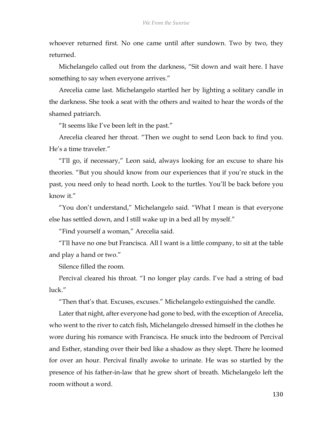whoever returned first. No one came until after sundown. Two by two, they returned.

Michelangelo called out from the darkness, "Sit down and wait here. I have something to say when everyone arrives."

Arecelia came last. Michelangelo startled her by lighting a solitary candle in the darkness. She took a seat with the others and waited to hear the words of the shamed patriarch.

"It seems like I've been left in the past."

Arecelia cleared her throat. "Then we ought to send Leon back to find you. He's a time traveler."

"I'll go, if necessary," Leon said, always looking for an excuse to share his theories. "But you should know from our experiences that if you're stuck in the past, you need only to head north. Look to the turtles. You'll be back before you know it."

"You don't understand," Michelangelo said. "What I mean is that everyone else has settled down, and I still wake up in a bed all by myself."

"Find yourself a woman," Arecelia said.

"I'll have no one but Francisca. All I want is a little company, to sit at the table and play a hand or two."

Silence filled the room.

Percival cleared his throat. "I no longer play cards. I've had a string of bad luck."

"Then that's that. Excuses, excuses." Michelangelo extinguished the candle.

Later that night, after everyone had gone to bed, with the exception of Arecelia, who went to the river to catch fish, Michelangelo dressed himself in the clothes he wore during his romance with Francisca. He snuck into the bedroom of Percival and Esther, standing over their bed like a shadow as they slept. There he loomed for over an hour. Percival finally awoke to urinate. He was so startled by the presence of his father-in-law that he grew short of breath. Michelangelo left the room without a word.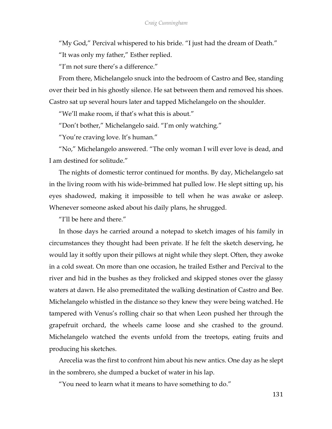"My God," Percival whispered to his bride. "I just had the dream of Death."

"It was only my father," Esther replied.

"I'm not sure there's a difference."

From there, Michelangelo snuck into the bedroom of Castro and Bee, standing over their bed in his ghostly silence. He sat between them and removed his shoes. Castro sat up several hours later and tapped Michelangelo on the shoulder.

"We'll make room, if that's what this is about."

"Don't bother," Michelangelo said. "I'm only watching."

"You're craving love. It's human."

"No," Michelangelo answered. "The only woman I will ever love is dead, and I am destined for solitude."

The nights of domestic terror continued for months. By day, Michelangelo sat in the living room with his wide-brimmed hat pulled low. He slept sitting up, his eyes shadowed, making it impossible to tell when he was awake or asleep. Whenever someone asked about his daily plans, he shrugged.

"I'll be here and there."

In those days he carried around a notepad to sketch images of his family in circumstances they thought had been private. If he felt the sketch deserving, he would lay it softly upon their pillows at night while they slept. Often, they awoke in a cold sweat. On more than one occasion, he trailed Esther and Percival to the river and hid in the bushes as they frolicked and skipped stones over the glassy waters at dawn. He also premeditated the walking destination of Castro and Bee. Michelangelo whistled in the distance so they knew they were being watched. He tampered with Venus's rolling chair so that when Leon pushed her through the grapefruit orchard, the wheels came loose and she crashed to the ground. Michelangelo watched the events unfold from the treetops, eating fruits and producing his sketches.

Arecelia was the first to confront him about his new antics. One day as he slept in the sombrero, she dumped a bucket of water in his lap.

"You need to learn what it means to have something to do."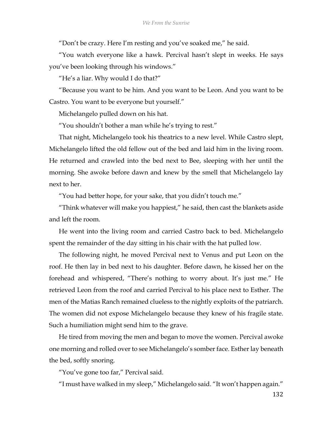"Don't be crazy. Here I'm resting and you've soaked me," he said.

"You watch everyone like a hawk. Percival hasn't slept in weeks. He says you've been looking through his windows."

"He's a liar. Why would I do that?"

"Because you want to be him. And you want to be Leon. And you want to be Castro. You want to be everyone but yourself."

Michelangelo pulled down on his hat.

"You shouldn't bother a man while he's trying to rest."

That night, Michelangelo took his theatrics to a new level. While Castro slept, Michelangelo lifted the old fellow out of the bed and laid him in the living room. He returned and crawled into the bed next to Bee, sleeping with her until the morning. She awoke before dawn and knew by the smell that Michelangelo lay next to her.

"You had better hope, for your sake, that you didn't touch me."

"Think whatever will make you happiest," he said, then cast the blankets aside and left the room.

He went into the living room and carried Castro back to bed. Michelangelo spent the remainder of the day sitting in his chair with the hat pulled low.

The following night, he moved Percival next to Venus and put Leon on the roof. He then lay in bed next to his daughter. Before dawn, he kissed her on the forehead and whispered, "There's nothing to worry about. It's just me." He retrieved Leon from the roof and carried Percival to his place next to Esther. The men of the Matias Ranch remained clueless to the nightly exploits of the patriarch. The women did not expose Michelangelo because they knew of his fragile state. Such a humiliation might send him to the grave.

He tired from moving the men and began to move the women. Percival awoke one morning and rolled over to see Michelangelo's somber face. Esther lay beneath the bed, softly snoring.

"You've gone too far," Percival said.

"I must have walked in my sleep," Michelangelo said. "It won't happen again."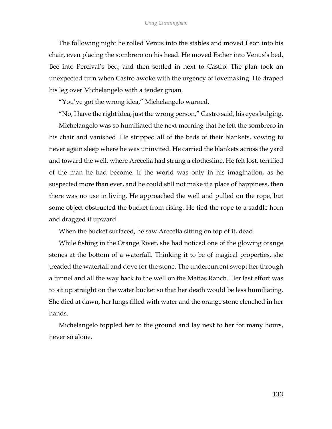## *Craig Cunningham*

The following night he rolled Venus into the stables and moved Leon into his chair, even placing the sombrero on his head. He moved Esther into Venus's bed, Bee into Percival's bed, and then settled in next to Castro. The plan took an unexpected turn when Castro awoke with the urgency of lovemaking. He draped his leg over Michelangelo with a tender groan.

"You've got the wrong idea," Michelangelo warned.

"No, I have the right idea, just the wrong person," Castro said, his eyes bulging.

Michelangelo was so humiliated the next morning that he left the sombrero in his chair and vanished. He stripped all of the beds of their blankets, vowing to never again sleep where he was uninvited. He carried the blankets across the yard and toward the well, where Arecelia had strung a clothesline. He felt lost, terrified of the man he had become. If the world was only in his imagination, as he suspected more than ever, and he could still not make it a place of happiness, then there was no use in living. He approached the well and pulled on the rope, but some object obstructed the bucket from rising. He tied the rope to a saddle horn and dragged it upward.

When the bucket surfaced, he saw Arecelia sitting on top of it, dead.

While fishing in the Orange River, she had noticed one of the glowing orange stones at the bottom of a waterfall. Thinking it to be of magical properties, she treaded the waterfall and dove for the stone. The undercurrent swept her through a tunnel and all the way back to the well on the Matias Ranch. Her last effort was to sit up straight on the water bucket so that her death would be less humiliating. She died at dawn, her lungs filled with water and the orange stone clenched in her hands.

Michelangelo toppled her to the ground and lay next to her for many hours, never so alone.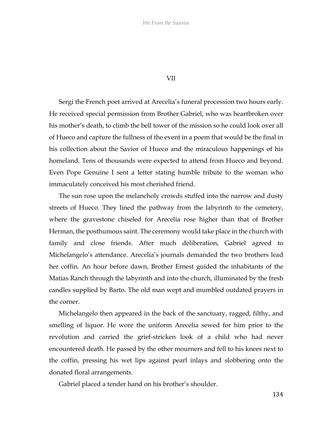## VII

Sergi the French poet arrived at Arecelia's funeral procession two hours early. He received special permission from Brother Gabriel, who was heartbroken over his mother's death, to climb the bell tower of the mission so he could look over all of Hueco and capture the fullness of the event in a poem that would be the final in his collection about the Savior of Hueco and the miraculous happenings of his homeland. Tens of thousands were expected to attend from Hueco and beyond. Even Pope Genuine I sent a letter stating humble tribute to the woman who immaculately conceived his most cherished friend.

The sun rose upon the melancholy crowds stuffed into the narrow and dusty streets of Hueco. They lined the pathway from the labyrinth to the cemetery, where the gravestone chiseled for Arecelia rose higher than that of Brother Herman, the posthumous saint. The ceremony would take place in the church with family and close friends. After much deliberation, Gabriel agreed to Michelangelo's attendance. Arecelia's journals demanded the two brothers lead her coffin. An hour before dawn, Brother Ernest guided the inhabitants of the Matias Ranch through the labyrinth and into the church, illuminated by the fresh candles supplied by Barto. The old man wept and mumbled outdated prayers in the corner.

Michelangelo then appeared in the back of the sanctuary, ragged, filthy, and smelling of liquor. He wore the uniform Arecelia sewed for him prior to the revolution and carried the grief-stricken look of a child who had never encountered death. He passed by the other mourners and fell to his knees next to the coffin, pressing his wet lips against pearl inlays and slobbering onto the donated floral arrangements.

Gabriel placed a tender hand on his brother's shoulder.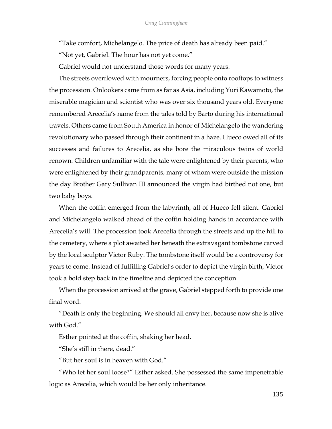"Take comfort, Michelangelo. The price of death has already been paid."

"Not yet, Gabriel. The hour has not yet come."

Gabriel would not understand those words for many years.

The streets overflowed with mourners, forcing people onto rooftops to witness the procession. Onlookers came from as far as Asia, including Yuri Kawamoto, the miserable magician and scientist who was over six thousand years old. Everyone remembered Arecelia's name from the tales told by Barto during his international travels. Others came from South America in honor of Michelangelo the wandering revolutionary who passed through their continent in a haze. Hueco owed all of its successes and failures to Arecelia, as she bore the miraculous twins of world renown. Children unfamiliar with the tale were enlightened by their parents, who were enlightened by their grandparents, many of whom were outside the mission the day Brother Gary Sullivan III announced the virgin had birthed not one, but two baby boys.

When the coffin emerged from the labyrinth, all of Hueco fell silent. Gabriel and Michelangelo walked ahead of the coffin holding hands in accordance with Arecelia's will. The procession took Arecelia through the streets and up the hill to the cemetery, where a plot awaited her beneath the extravagant tombstone carved by the local sculptor Victor Ruby. The tombstone itself would be a controversy for years to come. Instead of fulfilling Gabriel's order to depict the virgin birth, Victor took a bold step back in the timeline and depicted the conception.

When the procession arrived at the grave, Gabriel stepped forth to provide one final word.

"Death is only the beginning. We should all envy her, because now she is alive with God."

Esther pointed at the coffin, shaking her head.

"She's still in there, dead."

"But her soul is in heaven with God."

"Who let her soul loose?" Esther asked. She possessed the same impenetrable logic as Arecelia, which would be her only inheritance.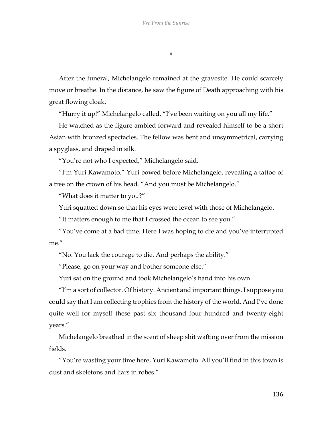\*

After the funeral, Michelangelo remained at the gravesite. He could scarcely move or breathe. In the distance, he saw the figure of Death approaching with his great flowing cloak.

"Hurry it up!" Michelangelo called. "I've been waiting on you all my life."

He watched as the figure ambled forward and revealed himself to be a short Asian with bronzed spectacles. The fellow was bent and unsymmetrical, carrying a spyglass, and draped in silk.

"You're not who I expected," Michelangelo said.

"I'm Yuri Kawamoto." Yuri bowed before Michelangelo, revealing a tattoo of a tree on the crown of his head. "And you must be Michelangelo."

"What does it matter to you?"

Yuri squatted down so that his eyes were level with those of Michelangelo.

"It matters enough to me that I crossed the ocean to see you."

"You've come at a bad time. Here I was hoping to die and you've interrupted me"

"No. You lack the courage to die. And perhaps the ability."

"Please, go on your way and bother someone else."

Yuri sat on the ground and took Michelangelo's hand into his own.

"I'm a sort of collector. Of history. Ancient and important things. I suppose you could say that I am collecting trophies from the history of the world. And I've done quite well for myself these past six thousand four hundred and twenty-eight years."

Michelangelo breathed in the scent of sheep shit wafting over from the mission fields.

"You're wasting your time here, Yuri Kawamoto. All you'll find in this town is dust and skeletons and liars in robes."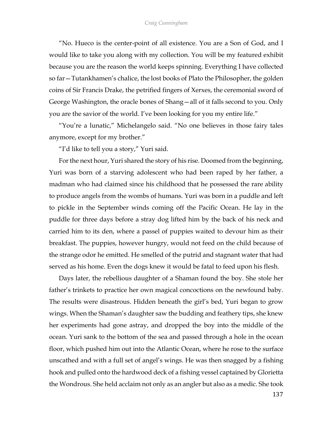"No. Hueco is the center-point of all existence. You are a Son of God, and I would like to take you along with my collection. You will be my featured exhibit because you are the reason the world keeps spinning. Everything I have collected so far—Tutankhamen's chalice, the lost books of Plato the Philosopher, the golden coins of Sir Francis Drake, the petrified fingers of Xerxes, the ceremonial sword of George Washington, the oracle bones of Shang—all of it falls second to you. Only you are the savior of the world. I've been looking for you my entire life."

"You're a lunatic," Michelangelo said. "No one believes in those fairy tales anymore, except for my brother."

"I'd like to tell you a story," Yuri said.

For the next hour, Yuri shared the story of his rise. Doomed from the beginning, Yuri was born of a starving adolescent who had been raped by her father, a madman who had claimed since his childhood that he possessed the rare ability to produce angels from the wombs of humans. Yuri was born in a puddle and left to pickle in the September winds coming off the Pacific Ocean. He lay in the puddle for three days before a stray dog lifted him by the back of his neck and carried him to its den, where a passel of puppies waited to devour him as their breakfast. The puppies, however hungry, would not feed on the child because of the strange odor he emitted. He smelled of the putrid and stagnant water that had served as his home. Even the dogs knew it would be fatal to feed upon his flesh.

Days later, the rebellious daughter of a Shaman found the boy. She stole her father's trinkets to practice her own magical concoctions on the newfound baby. The results were disastrous. Hidden beneath the girl's bed, Yuri began to grow wings. When the Shaman's daughter saw the budding and feathery tips, she knew her experiments had gone astray, and dropped the boy into the middle of the ocean. Yuri sank to the bottom of the sea and passed through a hole in the ocean floor, which pushed him out into the Atlantic Ocean, where he rose to the surface unscathed and with a full set of angel's wings. He was then snagged by a fishing hook and pulled onto the hardwood deck of a fishing vessel captained by Glorietta the Wondrous. She held acclaim not only as an angler but also as a medic. She took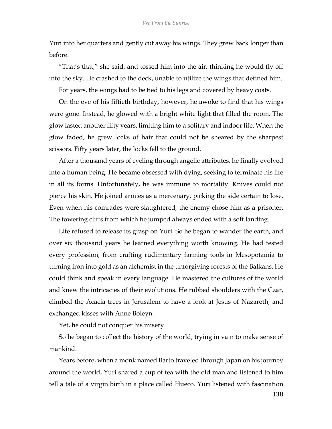Yuri into her quarters and gently cut away his wings. They grew back longer than before.

"That's that," she said, and tossed him into the air, thinking he would fly off into the sky. He crashed to the deck, unable to utilize the wings that defined him.

For years, the wings had to be tied to his legs and covered by heavy coats.

On the eve of his fiftieth birthday, however, he awoke to find that his wings were gone. Instead, he glowed with a bright white light that filled the room. The glow lasted another fifty years, limiting him to a solitary and indoor life. When the glow faded, he grew locks of hair that could not be sheared by the sharpest scissors. Fifty years later, the locks fell to the ground.

After a thousand years of cycling through angelic attributes, he finally evolved into a human being. He became obsessed with dying, seeking to terminate his life in all its forms. Unfortunately, he was immune to mortality. Knives could not pierce his skin. He joined armies as a mercenary, picking the side certain to lose. Even when his comrades were slaughtered, the enemy chose him as a prisoner. The towering cliffs from which he jumped always ended with a soft landing.

Life refused to release its grasp on Yuri. So he began to wander the earth, and over six thousand years he learned everything worth knowing. He had tested every profession, from crafting rudimentary farming tools in Mesopotamia to turning iron into gold as an alchemist in the unforgiving forests of the Balkans. He could think and speak in every language. He mastered the cultures of the world and knew the intricacies of their evolutions. He rubbed shoulders with the Czar, climbed the Acacia trees in Jerusalem to have a look at Jesus of Nazareth, and exchanged kisses with Anne Boleyn.

Yet, he could not conquer his misery.

So he began to collect the history of the world, trying in vain to make sense of mankind.

Years before, when a monk named Barto traveled through Japan on his journey around the world, Yuri shared a cup of tea with the old man and listened to him tell a tale of a virgin birth in a place called Hueco. Yuri listened with fascination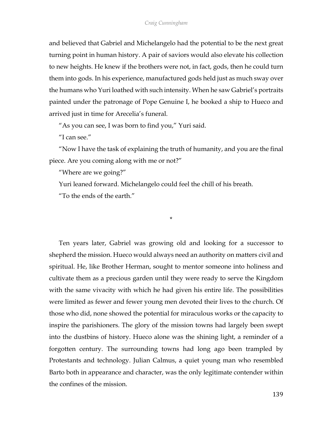and believed that Gabriel and Michelangelo had the potential to be the next great turning point in human history. A pair of saviors would also elevate his collection to new heights. He knew if the brothers were not, in fact, gods, then he could turn them into gods. In his experience, manufactured gods held just as much sway over the humans who Yuri loathed with such intensity. When he saw Gabriel's portraits painted under the patronage of Pope Genuine I, he booked a ship to Hueco and arrived just in time for Arecelia's funeral.

"As you can see, I was born to find you," Yuri said.

"I can see."

"Now I have the task of explaining the truth of humanity, and you are the final piece. Are you coming along with me or not?"

\*

"Where are we going?"

Yuri leaned forward. Michelangelo could feel the chill of his breath.

"To the ends of the earth."

Ten years later, Gabriel was growing old and looking for a successor to shepherd the mission. Hueco would always need an authority on matters civil and spiritual. He, like Brother Herman, sought to mentor someone into holiness and cultivate them as a precious garden until they were ready to serve the Kingdom with the same vivacity with which he had given his entire life. The possibilities were limited as fewer and fewer young men devoted their lives to the church. Of those who did, none showed the potential for miraculous works or the capacity to inspire the parishioners. The glory of the mission towns had largely been swept into the dustbins of history. Hueco alone was the shining light, a reminder of a forgotten century. The surrounding towns had long ago been trampled by Protestants and technology. Julian Calmus, a quiet young man who resembled Barto both in appearance and character, was the only legitimate contender within the confines of the mission.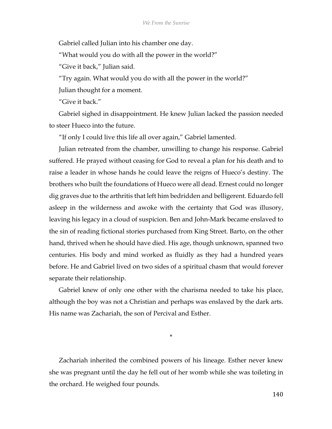Gabriel called Julian into his chamber one day.

"What would you do with all the power in the world?"

"Give it back," Julian said.

"Try again. What would you do with all the power in the world?"

Julian thought for a moment.

"Give it back."

Gabriel sighed in disappointment. He knew Julian lacked the passion needed to steer Hueco into the future.

"If only I could live this life all over again," Gabriel lamented.

Julian retreated from the chamber, unwilling to change his response. Gabriel suffered. He prayed without ceasing for God to reveal a plan for his death and to raise a leader in whose hands he could leave the reigns of Hueco's destiny. The brothers who built the foundations of Hueco were all dead. Ernest could no longer dig graves due to the arthritis that left him bedridden and belligerent. Eduardo fell asleep in the wilderness and awoke with the certainty that God was illusory, leaving his legacy in a cloud of suspicion. Ben and John-Mark became enslaved to the sin of reading fictional stories purchased from King Street. Barto, on the other hand, thrived when he should have died. His age, though unknown, spanned two centuries. His body and mind worked as fluidly as they had a hundred years before. He and Gabriel lived on two sides of a spiritual chasm that would forever separate their relationship.

Gabriel knew of only one other with the charisma needed to take his place, although the boy was not a Christian and perhaps was enslaved by the dark arts. His name was Zachariah, the son of Percival and Esther.

\*

Zachariah inherited the combined powers of his lineage. Esther never knew she was pregnant until the day he fell out of her womb while she was toileting in the orchard. He weighed four pounds.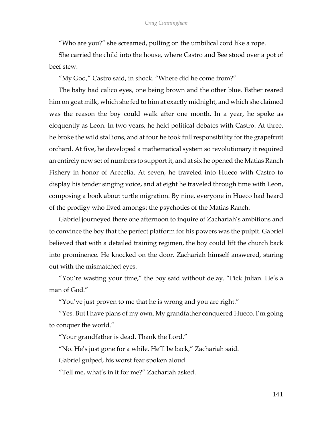"Who are you?" she screamed, pulling on the umbilical cord like a rope.

She carried the child into the house, where Castro and Bee stood over a pot of beef stew.

"My God," Castro said, in shock. "Where did he come from?"

The baby had calico eyes, one being brown and the other blue. Esther reared him on goat milk, which she fed to him at exactly midnight, and which she claimed was the reason the boy could walk after one month. In a year, he spoke as eloquently as Leon. In two years, he held political debates with Castro. At three, he broke the wild stallions, and at four he took full responsibility for the grapefruit orchard. At five, he developed a mathematical system so revolutionary it required an entirely new set of numbers to support it, and at six he opened the Matias Ranch Fishery in honor of Arecelia. At seven, he traveled into Hueco with Castro to display his tender singing voice, and at eight he traveled through time with Leon, composing a book about turtle migration. By nine, everyone in Hueco had heard of the prodigy who lived amongst the psychotics of the Matias Ranch.

Gabriel journeyed there one afternoon to inquire of Zachariah's ambitions and to convince the boy that the perfect platform for his powers was the pulpit. Gabriel believed that with a detailed training regimen, the boy could lift the church back into prominence. He knocked on the door. Zachariah himself answered, staring out with the mismatched eyes.

"You're wasting your time," the boy said without delay. "Pick Julian. He's a man of God."

"You've just proven to me that he is wrong and you are right."

"Yes. But I have plans of my own. My grandfather conquered Hueco. I'm going to conquer the world."

"Your grandfather is dead. Thank the Lord."

"No. He's just gone for a while. He'll be back," Zachariah said.

Gabriel gulped, his worst fear spoken aloud.

"Tell me, what's in it for me?" Zachariah asked.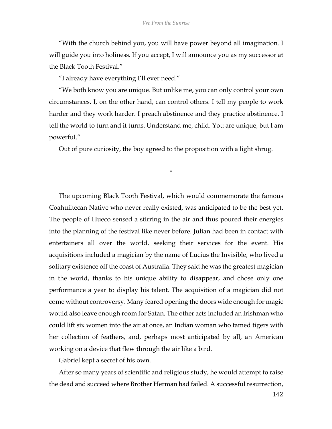"With the church behind you, you will have power beyond all imagination. I will guide you into holiness. If you accept, I will announce you as my successor at the Black Tooth Festival."

"I already have everything I'll ever need."

"We both know you are unique. But unlike me, you can only control your own circumstances. I, on the other hand, can control others. I tell my people to work harder and they work harder. I preach abstinence and they practice abstinence. I tell the world to turn and it turns. Understand me, child. You are unique, but I am powerful."

Out of pure curiosity, the boy agreed to the proposition with a light shrug.

\*

The upcoming Black Tooth Festival, which would commemorate the famous Coahuiltecan Native who never really existed, was anticipated to be the best yet. The people of Hueco sensed a stirring in the air and thus poured their energies into the planning of the festival like never before. Julian had been in contact with entertainers all over the world, seeking their services for the event. His acquisitions included a magician by the name of Lucius the Invisible, who lived a solitary existence off the coast of Australia. They said he was the greatest magician in the world, thanks to his unique ability to disappear, and chose only one performance a year to display his talent. The acquisition of a magician did not come without controversy. Many feared opening the doors wide enough for magic would also leave enough room for Satan. The other acts included an Irishman who could lift six women into the air at once, an Indian woman who tamed tigers with her collection of feathers, and, perhaps most anticipated by all, an American working on a device that flew through the air like a bird.

Gabriel kept a secret of his own.

After so many years of scientific and religious study, he would attempt to raise the dead and succeed where Brother Herman had failed. A successful resurrection,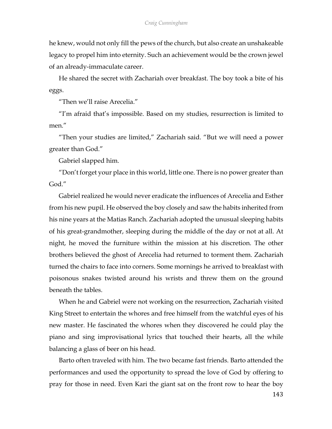he knew, would not only fill the pews of the church, but also create an unshakeable legacy to propel him into eternity. Such an achievement would be the crown jewel of an already-immaculate career.

He shared the secret with Zachariah over breakfast. The boy took a bite of his eggs.

"Then we'll raise Arecelia."

"I'm afraid that's impossible. Based on my studies, resurrection is limited to men."

"Then your studies are limited," Zachariah said. "But we will need a power greater than God."

Gabriel slapped him.

"Don't forget your place in this world, little one. There is no power greater than God."

Gabriel realized he would never eradicate the influences of Arecelia and Esther from his new pupil. He observed the boy closely and saw the habits inherited from his nine years at the Matias Ranch. Zachariah adopted the unusual sleeping habits of his great-grandmother, sleeping during the middle of the day or not at all. At night, he moved the furniture within the mission at his discretion. The other brothers believed the ghost of Arecelia had returned to torment them. Zachariah turned the chairs to face into corners. Some mornings he arrived to breakfast with poisonous snakes twisted around his wrists and threw them on the ground beneath the tables.

When he and Gabriel were not working on the resurrection, Zachariah visited King Street to entertain the whores and free himself from the watchful eyes of his new master. He fascinated the whores when they discovered he could play the piano and sing improvisational lyrics that touched their hearts, all the while balancing a glass of beer on his head.

Barto often traveled with him. The two became fast friends. Barto attended the performances and used the opportunity to spread the love of God by offering to pray for those in need. Even Kari the giant sat on the front row to hear the boy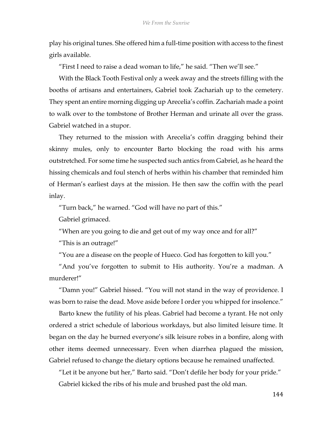play his original tunes. She offered him a full-time position with access to the finest girls available.

"First I need to raise a dead woman to life," he said. "Then we'll see."

With the Black Tooth Festival only a week away and the streets filling with the booths of artisans and entertainers, Gabriel took Zachariah up to the cemetery. They spent an entire morning digging up Arecelia's coffin. Zachariah made a point to walk over to the tombstone of Brother Herman and urinate all over the grass. Gabriel watched in a stupor.

They returned to the mission with Arecelia's coffin dragging behind their skinny mules, only to encounter Barto blocking the road with his arms outstretched. For some time he suspected such antics from Gabriel, as he heard the hissing chemicals and foul stench of herbs within his chamber that reminded him of Herman's earliest days at the mission. He then saw the coffin with the pearl inlay.

"Turn back," he warned. "God will have no part of this."

Gabriel grimaced.

"When are you going to die and get out of my way once and for all?"

"This is an outrage!"

"You are a disease on the people of Hueco. God has forgotten to kill you."

"And you've forgotten to submit to His authority. You're a madman. A murderer!"

"Damn you!" Gabriel hissed. "You will not stand in the way of providence. I was born to raise the dead. Move aside before I order you whipped for insolence."

Barto knew the futility of his pleas. Gabriel had become a tyrant. He not only ordered a strict schedule of laborious workdays, but also limited leisure time. It began on the day he burned everyone's silk leisure robes in a bonfire, along with other items deemed unnecessary. Even when diarrhea plagued the mission, Gabriel refused to change the dietary options because he remained unaffected.

"Let it be anyone but her," Barto said. "Don't defile her body for your pride." Gabriel kicked the ribs of his mule and brushed past the old man.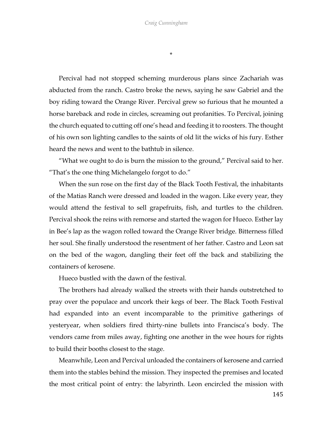\*

Percival had not stopped scheming murderous plans since Zachariah was abducted from the ranch. Castro broke the news, saying he saw Gabriel and the boy riding toward the Orange River. Percival grew so furious that he mounted a horse bareback and rode in circles, screaming out profanities. To Percival, joining the church equated to cutting off one's head and feeding it to roosters. The thought of his own son lighting candles to the saints of old lit the wicks of his fury. Esther heard the news and went to the bathtub in silence.

"What we ought to do is burn the mission to the ground," Percival said to her. "That's the one thing Michelangelo forgot to do."

When the sun rose on the first day of the Black Tooth Festival, the inhabitants of the Matias Ranch were dressed and loaded in the wagon. Like every year, they would attend the festival to sell grapefruits, fish, and turtles to the children. Percival shook the reins with remorse and started the wagon for Hueco. Esther lay in Bee's lap as the wagon rolled toward the Orange River bridge. Bitterness filled her soul. She finally understood the resentment of her father. Castro and Leon sat on the bed of the wagon, dangling their feet off the back and stabilizing the containers of kerosene.

Hueco bustled with the dawn of the festival.

The brothers had already walked the streets with their hands outstretched to pray over the populace and uncork their kegs of beer. The Black Tooth Festival had expanded into an event incomparable to the primitive gatherings of yesteryear, when soldiers fired thirty-nine bullets into Francisca's body. The vendors came from miles away, fighting one another in the wee hours for rights to build their booths closest to the stage.

Meanwhile, Leon and Percival unloaded the containers of kerosene and carried them into the stables behind the mission. They inspected the premises and located the most critical point of entry: the labyrinth. Leon encircled the mission with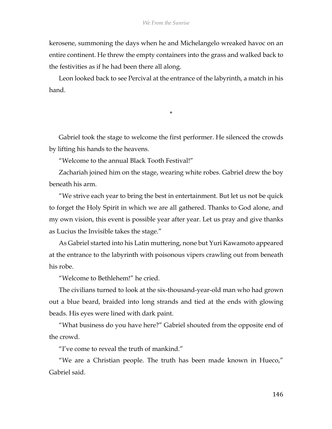kerosene, summoning the days when he and Michelangelo wreaked havoc on an entire continent. He threw the empty containers into the grass and walked back to the festivities as if he had been there all along.

Leon looked back to see Percival at the entrance of the labyrinth, a match in his hand.

\*

Gabriel took the stage to welcome the first performer. He silenced the crowds by lifting his hands to the heavens.

"Welcome to the annual Black Tooth Festival!"

Zachariah joined him on the stage, wearing white robes. Gabriel drew the boy beneath his arm.

"We strive each year to bring the best in entertainment. But let us not be quick to forget the Holy Spirit in which we are all gathered. Thanks to God alone, and my own vision, this event is possible year after year. Let us pray and give thanks as Lucius the Invisible takes the stage."

As Gabriel started into his Latin muttering, none but Yuri Kawamoto appeared at the entrance to the labyrinth with poisonous vipers crawling out from beneath his robe.

"Welcome to Bethlehem!" he cried.

The civilians turned to look at the six-thousand-year-old man who had grown out a blue beard, braided into long strands and tied at the ends with glowing beads. His eyes were lined with dark paint.

"What business do you have here?" Gabriel shouted from the opposite end of the crowd.

"I've come to reveal the truth of mankind."

"We are a Christian people. The truth has been made known in Hueco," Gabriel said.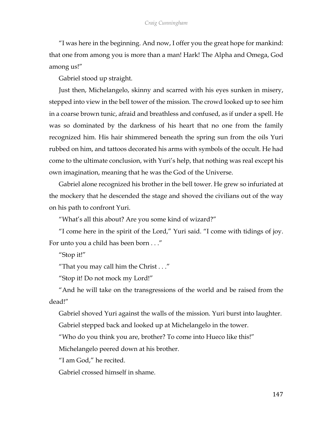"I was here in the beginning. And now, I offer you the great hope for mankind: that one from among you is more than a man! Hark! The Alpha and Omega, God among us!"

Gabriel stood up straight.

Just then, Michelangelo, skinny and scarred with his eyes sunken in misery, stepped into view in the bell tower of the mission. The crowd looked up to see him in a coarse brown tunic, afraid and breathless and confused, as if under a spell. He was so dominated by the darkness of his heart that no one from the family recognized him. His hair shimmered beneath the spring sun from the oils Yuri rubbed on him, and tattoos decorated his arms with symbols of the occult. He had come to the ultimate conclusion, with Yuri's help, that nothing was real except his own imagination, meaning that he was the God of the Universe.

Gabriel alone recognized his brother in the bell tower. He grew so infuriated at the mockery that he descended the stage and shoved the civilians out of the way on his path to confront Yuri.

"What's all this about? Are you some kind of wizard?"

"I come here in the spirit of the Lord," Yuri said. "I come with tidings of joy. For unto you a child has been born . . ."

"Stop it!"

"That you may call him the Christ  $\dots$ "

"Stop it! Do not mock my Lord!"

"And he will take on the transgressions of the world and be raised from the dead!"

Gabriel shoved Yuri against the walls of the mission. Yuri burst into laughter.

Gabriel stepped back and looked up at Michelangelo in the tower.

"Who do you think you are, brother? To come into Hueco like this!"

Michelangelo peered down at his brother.

"I am God," he recited.

Gabriel crossed himself in shame.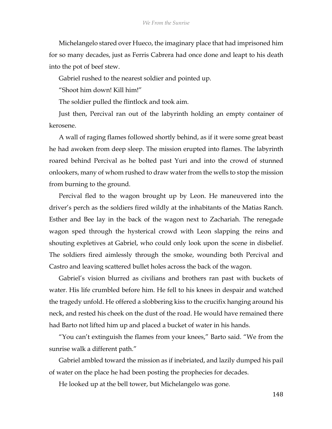Michelangelo stared over Hueco, the imaginary place that had imprisoned him for so many decades, just as Ferris Cabrera had once done and leapt to his death into the pot of beef stew.

Gabriel rushed to the nearest soldier and pointed up.

"Shoot him down! Kill him!"

The soldier pulled the flintlock and took aim.

Just then, Percival ran out of the labyrinth holding an empty container of kerosene.

A wall of raging flames followed shortly behind, as if it were some great beast he had awoken from deep sleep. The mission erupted into flames. The labyrinth roared behind Percival as he bolted past Yuri and into the crowd of stunned onlookers, many of whom rushed to draw water from the wells to stop the mission from burning to the ground.

Percival fled to the wagon brought up by Leon. He maneuvered into the driver's perch as the soldiers fired wildly at the inhabitants of the Matias Ranch. Esther and Bee lay in the back of the wagon next to Zachariah. The renegade wagon sped through the hysterical crowd with Leon slapping the reins and shouting expletives at Gabriel, who could only look upon the scene in disbelief. The soldiers fired aimlessly through the smoke, wounding both Percival and Castro and leaving scattered bullet holes across the back of the wagon.

Gabriel's vision blurred as civilians and brothers ran past with buckets of water. His life crumbled before him. He fell to his knees in despair and watched the tragedy unfold. He offered a slobbering kiss to the crucifix hanging around his neck, and rested his cheek on the dust of the road. He would have remained there had Barto not lifted him up and placed a bucket of water in his hands.

"You can't extinguish the flames from your knees," Barto said. "We from the sunrise walk a different path."

Gabriel ambled toward the mission as if inebriated, and lazily dumped his pail of water on the place he had been posting the prophecies for decades.

He looked up at the bell tower, but Michelangelo was gone.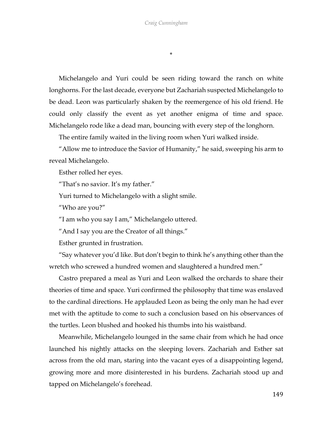\*

Michelangelo and Yuri could be seen riding toward the ranch on white longhorns. For the last decade, everyone but Zachariah suspected Michelangelo to be dead. Leon was particularly shaken by the reemergence of his old friend. He could only classify the event as yet another enigma of time and space. Michelangelo rode like a dead man, bouncing with every step of the longhorn.

The entire family waited in the living room when Yuri walked inside.

"Allow me to introduce the Savior of Humanity," he said, sweeping his arm to reveal Michelangelo.

Esther rolled her eyes.

"That's no savior. It's my father."

Yuri turned to Michelangelo with a slight smile.

"Who are you?"

"I am who you say I am," Michelangelo uttered.

"And I say you are the Creator of all things."

Esther grunted in frustration.

"Say whatever you'd like. But don't begin to think he's anything other than the wretch who screwed a hundred women and slaughtered a hundred men."

Castro prepared a meal as Yuri and Leon walked the orchards to share their theories of time and space. Yuri confirmed the philosophy that time was enslaved to the cardinal directions. He applauded Leon as being the only man he had ever met with the aptitude to come to such a conclusion based on his observances of the turtles. Leon blushed and hooked his thumbs into his waistband.

Meanwhile, Michelangelo lounged in the same chair from which he had once launched his nightly attacks on the sleeping lovers. Zachariah and Esther sat across from the old man, staring into the vacant eyes of a disappointing legend, growing more and more disinterested in his burdens. Zachariah stood up and tapped on Michelangelo's forehead.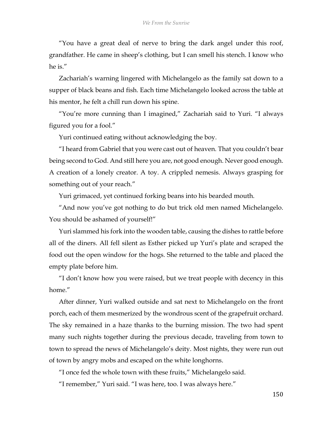"You have a great deal of nerve to bring the dark angel under this roof, grandfather. He came in sheep's clothing, but I can smell his stench. I know who he is."

Zachariah's warning lingered with Michelangelo as the family sat down to a supper of black beans and fish. Each time Michelangelo looked across the table at his mentor, he felt a chill run down his spine.

"You're more cunning than I imagined," Zachariah said to Yuri. "I always figured you for a fool."

Yuri continued eating without acknowledging the boy.

"I heard from Gabriel that you were cast out of heaven. That you couldn't bear being second to God. And still here you are, not good enough. Never good enough. A creation of a lonely creator. A toy. A crippled nemesis. Always grasping for something out of your reach."

Yuri grimaced, yet continued forking beans into his bearded mouth.

"And now you've got nothing to do but trick old men named Michelangelo. You should be ashamed of yourself!"

Yuri slammed his fork into the wooden table, causing the dishes to rattle before all of the diners. All fell silent as Esther picked up Yuri's plate and scraped the food out the open window for the hogs. She returned to the table and placed the empty plate before him.

"I don't know how you were raised, but we treat people with decency in this home."

After dinner, Yuri walked outside and sat next to Michelangelo on the front porch, each of them mesmerized by the wondrous scent of the grapefruit orchard. The sky remained in a haze thanks to the burning mission. The two had spent many such nights together during the previous decade, traveling from town to town to spread the news of Michelangelo's deity. Most nights, they were run out of town by angry mobs and escaped on the white longhorns.

"I once fed the whole town with these fruits," Michelangelo said.

"I remember," Yuri said. "I was here, too. I was always here."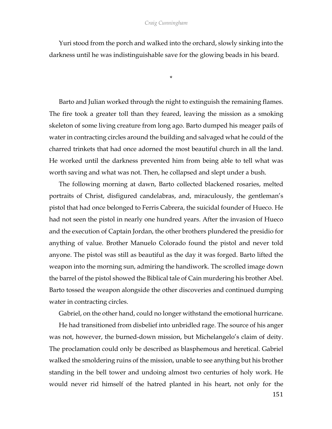## *Craig Cunningham*

Yuri stood from the porch and walked into the orchard, slowly sinking into the darkness until he was indistinguishable save for the glowing beads in his beard.

\*

Barto and Julian worked through the night to extinguish the remaining flames. The fire took a greater toll than they feared, leaving the mission as a smoking skeleton of some living creature from long ago. Barto dumped his meager pails of water in contracting circles around the building and salvaged what he could of the charred trinkets that had once adorned the most beautiful church in all the land. He worked until the darkness prevented him from being able to tell what was worth saving and what was not. Then, he collapsed and slept under a bush.

The following morning at dawn, Barto collected blackened rosaries, melted portraits of Christ, disfigured candelabras, and, miraculously, the gentleman's pistol that had once belonged to Ferris Cabrera, the suicidal founder of Hueco. He had not seen the pistol in nearly one hundred years. After the invasion of Hueco and the execution of Captain Jordan, the other brothers plundered the presidio for anything of value. Brother Manuelo Colorado found the pistol and never told anyone. The pistol was still as beautiful as the day it was forged. Barto lifted the weapon into the morning sun, admiring the handiwork. The scrolled image down the barrel of the pistol showed the Biblical tale of Cain murdering his brother Abel. Barto tossed the weapon alongside the other discoveries and continued dumping water in contracting circles.

Gabriel, on the other hand, could no longer withstand the emotional hurricane.

He had transitioned from disbelief into unbridled rage. The source of his anger was not, however, the burned-down mission, but Michelangelo's claim of deity. The proclamation could only be described as blasphemous and heretical. Gabriel walked the smoldering ruins of the mission, unable to see anything but his brother standing in the bell tower and undoing almost two centuries of holy work. He would never rid himself of the hatred planted in his heart, not only for the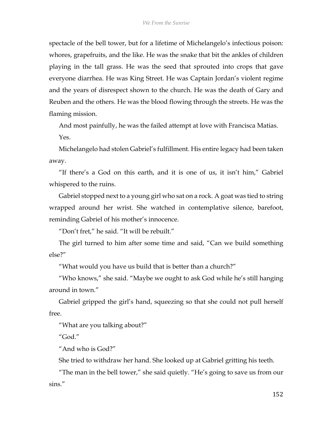spectacle of the bell tower, but for a lifetime of Michelangelo's infectious poison: whores, grapefruits, and the like. He was the snake that bit the ankles of children playing in the tall grass. He was the seed that sprouted into crops that gave everyone diarrhea. He was King Street. He was Captain Jordan's violent regime and the years of disrespect shown to the church. He was the death of Gary and Reuben and the others. He was the blood flowing through the streets. He was the flaming mission.

And most painfully, he was the failed attempt at love with Francisca Matias. Yes.

Michelangelo had stolen Gabriel's fulfillment. His entire legacy had been taken away.

"If there's a God on this earth, and it is one of us, it isn't him," Gabriel whispered to the ruins.

Gabriel stopped next to a young girl who sat on a rock. A goat was tied to string wrapped around her wrist. She watched in contemplative silence, barefoot, reminding Gabriel of his mother's innocence.

"Don't fret," he said. "It will be rebuilt."

The girl turned to him after some time and said, "Can we build something else?"

"What would you have us build that is better than a church?"

"Who knows," she said. "Maybe we ought to ask God while he's still hanging around in town."

Gabriel gripped the girl's hand, squeezing so that she could not pull herself free.

"What are you talking about?"

"God."

"And who is God?"

She tried to withdraw her hand. She looked up at Gabriel gritting his teeth.

"The man in the bell tower," she said quietly. "He's going to save us from our sins."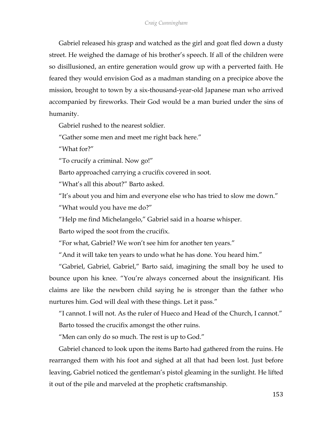Gabriel released his grasp and watched as the girl and goat fled down a dusty street. He weighed the damage of his brother's speech. If all of the children were so disillusioned, an entire generation would grow up with a perverted faith. He feared they would envision God as a madman standing on a precipice above the mission, brought to town by a six-thousand-year-old Japanese man who arrived accompanied by fireworks. Their God would be a man buried under the sins of humanity.

Gabriel rushed to the nearest soldier.

"Gather some men and meet me right back here."

"What for?"

"To crucify a criminal. Now go!"

Barto approached carrying a crucifix covered in soot.

"What's all this about?" Barto asked.

"It's about you and him and everyone else who has tried to slow me down."

"What would you have me do?"

"Help me find Michelangelo," Gabriel said in a hoarse whisper.

Barto wiped the soot from the crucifix.

"For what, Gabriel? We won't see him for another ten years."

"And it will take ten years to undo what he has done. You heard him."

"Gabriel, Gabriel, Gabriel," Barto said, imagining the small boy he used to bounce upon his knee. "You're always concerned about the insignificant. His claims are like the newborn child saying he is stronger than the father who nurtures him. God will deal with these things. Let it pass."

"I cannot. I will not. As the ruler of Hueco and Head of the Church, I cannot."

Barto tossed the crucifix amongst the other ruins.

"Men can only do so much. The rest is up to God."

Gabriel chanced to look upon the items Barto had gathered from the ruins. He rearranged them with his foot and sighed at all that had been lost. Just before leaving, Gabriel noticed the gentleman's pistol gleaming in the sunlight. He lifted it out of the pile and marveled at the prophetic craftsmanship.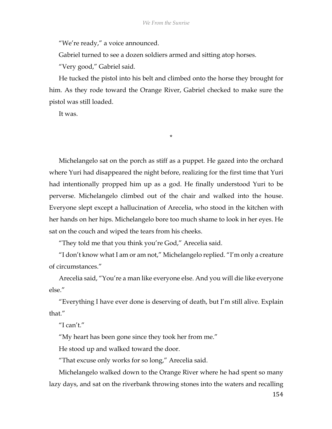"We're ready," a voice announced.

Gabriel turned to see a dozen soldiers armed and sitting atop horses.

"Very good," Gabriel said.

He tucked the pistol into his belt and climbed onto the horse they brought for him. As they rode toward the Orange River, Gabriel checked to make sure the pistol was still loaded.

\*

It was.

Michelangelo sat on the porch as stiff as a puppet. He gazed into the orchard where Yuri had disappeared the night before, realizing for the first time that Yuri had intentionally propped him up as a god. He finally understood Yuri to be perverse. Michelangelo climbed out of the chair and walked into the house. Everyone slept except a hallucination of Arecelia, who stood in the kitchen with her hands on her hips. Michelangelo bore too much shame to look in her eyes. He sat on the couch and wiped the tears from his cheeks.

"They told me that you think you're God," Arecelia said.

"I don't know what I am or am not," Michelangelo replied. "I'm only a creature of circumstances."

Arecelia said, "You're a man like everyone else. And you will die like everyone else."

"Everything I have ever done is deserving of death, but I'm still alive. Explain that."

"I can't."

"My heart has been gone since they took her from me."

He stood up and walked toward the door.

"That excuse only works for so long," Arecelia said.

Michelangelo walked down to the Orange River where he had spent so many lazy days, and sat on the riverbank throwing stones into the waters and recalling

154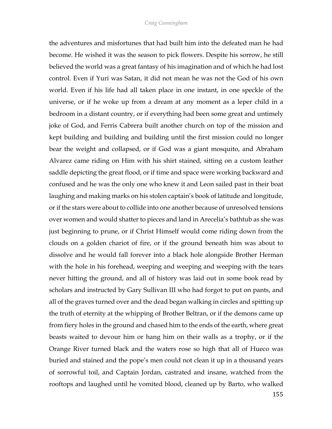the adventures and misfortunes that had built him into the defeated man he had become. He wished it was the season to pick flowers. Despite his sorrow, he still believed the world was a great fantasy of his imagination and of which he had lost control. Even if Yuri was Satan, it did not mean he was not the God of his own world. Even if his life had all taken place in one instant, in one speckle of the universe, or if he woke up from a dream at any moment as a leper child in a bedroom in a distant country, or if everything had been some great and untimely joke of God, and Ferris Cabrera built another church on top of the mission and kept building and building and building until the first mission could no longer bear the weight and collapsed, or if God was a giant mosquito, and Abraham Alvarez came riding on Him with his shirt stained, sitting on a custom leather saddle depicting the great flood, or if time and space were working backward and confused and he was the only one who knew it and Leon sailed past in their boat laughing and making marks on his stolen captain's book of latitude and longitude, orif the stars were about to collide into one another because of unresolved tensions over women and would shatter to pieces and land in Arecelia's bathtub as she was just beginning to prune, or if Christ Himself would come riding down from the clouds on a golden chariot of fire, or if the ground beneath him was about to dissolve and he would fall forever into a black hole alongside Brother Herman with the hole in his forehead, weeping and weeping and weeping with the tears never hitting the ground, and all of history was laid out in some book read by scholars and instructed by Gary Sullivan III who had forgot to put on pants, and all of the graves turned over and the dead began walking in circles and spitting up the truth of eternity at the whipping of Brother Beltran, or if the demons came up from fiery holes in the ground and chased him to the ends of the earth, where great beasts waited to devour him or hang him on their walls as a trophy, or if the Orange River turned black and the waters rose so high that all of Hueco was buried and stained and the pope's men could not clean it up in a thousand years of sorrowful toil, and Captain Jordan, castrated and insane, watched from the rooftops and laughed until he vomited blood, cleaned up by Barto, who walked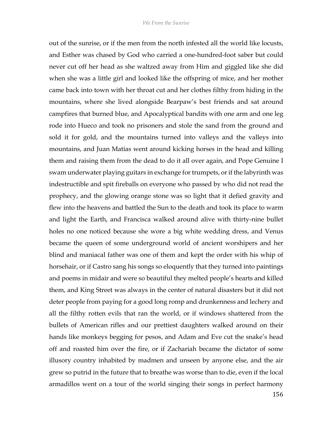out of the sunrise, or if the men from the north infested all the world like locusts, and Esther was chased by God who carried a one-hundred-foot saber but could never cut off her head as she waltzed away from Him and giggled like she did when she was a little girl and looked like the offspring of mice, and her mother came back into town with her throat cut and her clothes filthy from hiding in the mountains, where she lived alongside Bearpaw's best friends and sat around campfires that burned blue, and Apocalyptical bandits with one arm and one leg rode into Hueco and took no prisoners and stole the sand from the ground and sold it for gold, and the mountains turned into valleys and the valleys into mountains, and Juan Matias went around kicking horses in the head and killing them and raising them from the dead to do it all over again, and Pope Genuine I swam underwater playing guitars in exchange for trumpets, or if the labyrinth was indestructible and spit fireballs on everyone who passed by who did not read the prophecy, and the glowing orange stone was so light that it defied gravity and flew into the heavens and battled the Sun to the death and took its place to warm and light the Earth, and Francisca walked around alive with thirty-nine bullet holes no one noticed because she wore a big white wedding dress, and Venus became the queen of some underground world of ancient worshipers and her blind and maniacal father was one of them and kept the order with his whip of horsehair, or if Castro sang his songs so eloquently that they turned into paintings and poems in midair and were so beautiful they melted people's hearts and killed them, and King Street was always in the center of natural disasters but it did not deter people from paying for a good long romp and drunkenness and lechery and all the filthy rotten evils that ran the world, or if windows shattered from the bullets of American rifles and our prettiest daughters walked around on their hands like monkeys begging for pesos, and Adam and Eve cut the snake's head off and roasted him over the fire, or if Zachariah became the dictator of some illusory country inhabited by madmen and unseen by anyone else, and the air grew so putrid in the future that to breathe was worse than to die, even if the local armadillos went on a tour of the world singing their songs in perfect harmony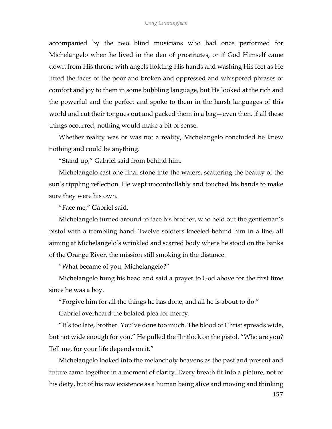accompanied by the two blind musicians who had once performed for Michelangelo when he lived in the den of prostitutes, or if God Himself came down from His throne with angels holding His hands and washing His feet as He lifted the faces of the poor and broken and oppressed and whispered phrases of comfort and joy to them in some bubbling language, but He looked at the rich and the powerful and the perfect and spoke to them in the harsh languages of this world and cut their tongues out and packed them in a bag—even then, if all these things occurred, nothing would make a bit of sense.

Whether reality was or was not a reality, Michelangelo concluded he knew nothing and could be anything.

"Stand up," Gabriel said from behind him.

Michelangelo cast one final stone into the waters, scattering the beauty of the sun's rippling reflection. He wept uncontrollably and touched his hands to make sure they were his own.

"Face me," Gabriel said.

Michelangelo turned around to face his brother, who held out the gentleman's pistol with a trembling hand. Twelve soldiers kneeled behind him in a line, all aiming at Michelangelo's wrinkled and scarred body where he stood on the banks of the Orange River, the mission still smoking in the distance.

"What became of you, Michelangelo?"

Michelangelo hung his head and said a prayer to God above for the first time since he was a boy.

"Forgive him for all the things he has done, and all he is about to do."

Gabriel overheard the belated plea for mercy.

"It's too late, brother. You've done too much. The blood of Christ spreads wide, but not wide enough for you." He pulled the flintlock on the pistol. "Who are you? Tell me, for your life depends on it."

Michelangelo looked into the melancholy heavens as the past and present and future came together in a moment of clarity. Every breath fit into a picture, not of his deity, but of his raw existence as a human being alive and moving and thinking

157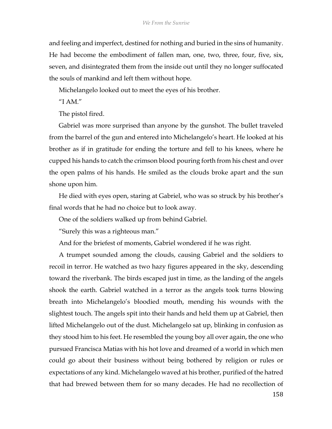and feeling and imperfect, destined for nothing and buried in the sins of humanity. He had become the embodiment of fallen man, one, two, three, four, five, six, seven, and disintegrated them from the inside out until they no longer suffocated the souls of mankind and left them without hope.

Michelangelo looked out to meet the eyes of his brother.

"I AM."

The pistol fired.

Gabriel was more surprised than anyone by the gunshot. The bullet traveled from the barrel of the gun and entered into Michelangelo's heart. He looked at his brother as if in gratitude for ending the torture and fell to his knees, where he cupped his hands to catch the crimson blood pouring forth from his chest and over the open palms of his hands. He smiled as the clouds broke apart and the sun shone upon him.

He died with eyes open, staring at Gabriel, who was so struck by his brother's final words that he had no choice but to look away.

One of the soldiers walked up from behind Gabriel.

"Surely this was a righteous man."

And for the briefest of moments, Gabriel wondered if he was right.

A trumpet sounded among the clouds, causing Gabriel and the soldiers to recoil in terror. He watched as two hazy figures appeared in the sky, descending toward the riverbank. The birds escaped just in time, as the landing of the angels shook the earth. Gabriel watched in a terror as the angels took turns blowing breath into Michelangelo's bloodied mouth, mending his wounds with the slightest touch. The angels spit into their hands and held them up at Gabriel, then lifted Michelangelo out of the dust. Michelangelo sat up, blinking in confusion as they stood him to his feet. He resembled the young boy all over again, the one who pursued Francisca Matias with his hot love and dreamed of a world in which men could go about their business without being bothered by religion or rules or expectations of any kind. Michelangelo waved at his brother, purified of the hatred that had brewed between them for so many decades. He had no recollection of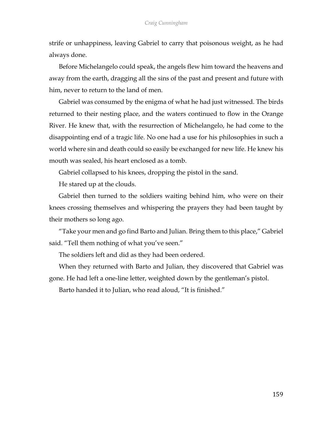strife or unhappiness, leaving Gabriel to carry that poisonous weight, as he had always done.

Before Michelangelo could speak, the angels flew him toward the heavens and away from the earth, dragging all the sins of the past and present and future with him, never to return to the land of men.

Gabriel was consumed by the enigma of what he had just witnessed. The birds returned to their nesting place, and the waters continued to flow in the Orange River. He knew that, with the resurrection of Michelangelo, he had come to the disappointing end of a tragic life. No one had a use for his philosophies in such a world where sin and death could so easily be exchanged for new life. He knew his mouth was sealed, his heart enclosed as a tomb.

Gabriel collapsed to his knees, dropping the pistol in the sand.

He stared up at the clouds.

Gabriel then turned to the soldiers waiting behind him, who were on their knees crossing themselves and whispering the prayers they had been taught by their mothers so long ago.

"Take your men and go find Barto and Julian. Bring them to this place," Gabriel said. "Tell them nothing of what you've seen."

The soldiers left and did as they had been ordered.

When they returned with Barto and Julian, they discovered that Gabriel was gone. He had left a one-line letter, weighted down by the gentleman's pistol.

Barto handed it to Julian, who read aloud, "It is finished."